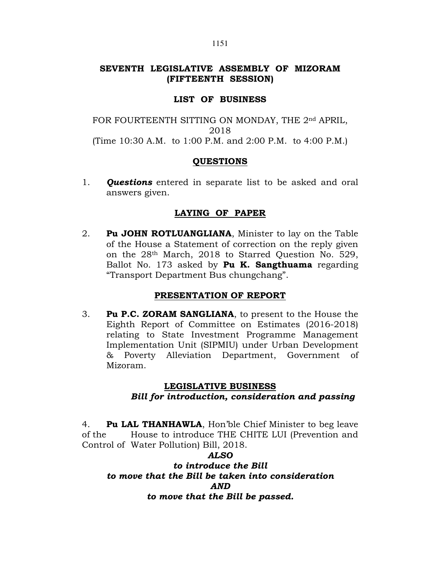# SEVENTH LEGISLATIVE ASSEMBLY OF MIZORAM (FIFTEENTH SESSION)

### LIST OF BUSINESS

FOR FOURTEENTH SITTING ON MONDAY, THE 2nd APRIL, 2018 (Time 10:30 A.M. to 1:00 P.M. and 2:00 P.M. to 4:00 P.M.)

### **QUESTIONS**

1. **Questions** entered in separate list to be asked and oral answers given.

## LAYING OF PAPER

2. Pu JOHN ROTLUANGLIANA, Minister to lay on the Table of the House a Statement of correction on the reply given on the 28th March, 2018 to Starred Question No. 529, Ballot No. 173 asked by Pu K. Sangthuama regarding "Transport Department Bus chungchang".

## PRESENTATION OF REPORT

3. Pu P.C. ZORAM SANGLIANA, to present to the House the Eighth Report of Committee on Estimates (2016-2018) relating to State Investment Programme Management Implementation Unit (SIPMIU) under Urban Development & Poverty Alleviation Department, Government of Mizoram.

## LEGISLATIVE BUSINESS

# Bill for introduction, consideration and passing

4. Pu LAL THANHAWLA, Hon'ble Chief Minister to beg leave of the House to introduce THE CHITE LUI (Prevention and Control of Water Pollution) Bill, 2018.

### ALSO

## to introduce the Bill to move that the Bill be taken into consideration AND to move that the Bill be passed.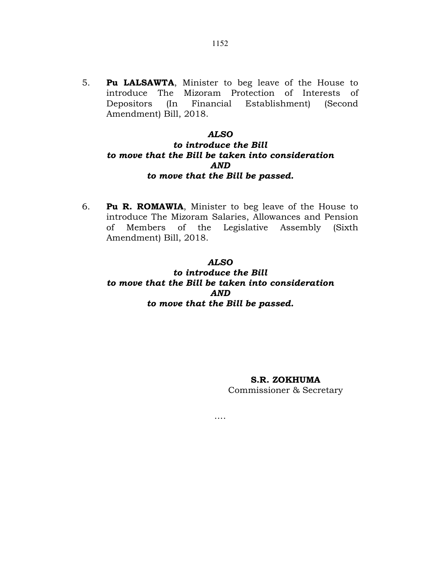5. Pu LALSAWTA, Minister to beg leave of the House to introduce The Mizoram Protection of Interests of Depositors (In Financial Establishment) (Second Amendment) Bill, 2018.

#### ALSO

## to introduce the Bill to move that the Bill be taken into consideration AND to move that the Bill be passed.

6. Pu R. ROMAWIA, Minister to beg leave of the House to introduce The Mizoram Salaries, Allowances and Pension of Members of the Legislative Assembly (Sixth Amendment) Bill, 2018.

### ALSO

## to introduce the Bill to move that the Bill be taken into consideration AND to move that the Bill be passed.

….

### S.R. ZOKHUMA

Commissioner & Secretary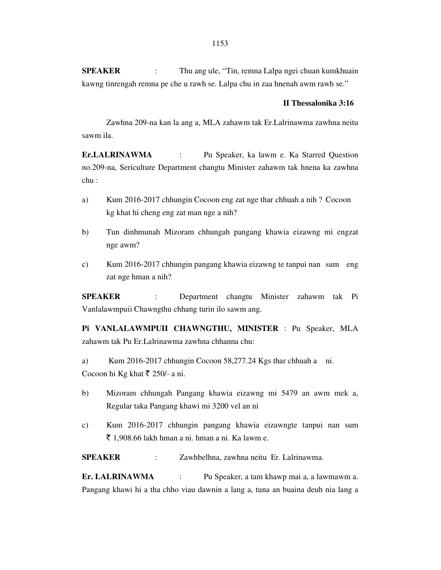**SPEAKER** : Thu ang ule, "Tin, remna Lalpa ngei chuan kumkhuain kawng tinrengah remna pe che u rawh se. Lalpa chu in zaa hnenah awm rawh se."

#### **II Thessalonika 3:16**

 Zawhna 209-na kan la ang a, MLA zahawm tak Er.Lalrinawma zawhna neitu sawm ila.

**Er.LALRINAWMA** : Pu Speaker, ka lawm e. Ka Starred Question no.209-na, Sericulture Department changtu Minister zahawm tak hnena ka zawhna chu :

- a) Kum 2016-2017 chhungin Cocoon eng zat nge thar chhuah a nih ? Cocoon kg khat hi cheng eng zat man nge a nih?
- b) Tun dinhmunah Mizoram chhungah pangang khawia eizawng mi engzat nge awm?
- c) Kum 2016-2017 chhungin pangang khawia eizawng te tanpui nan sum eng zat nge hman a nih?

**SPEAKER** : Department changtu Minister zahawm tak Pi Vanlalawmpuii Chawngthu chhang turin ilo sawm ang.

**Pi VANLALAWMPUII CHAWNGTHU, MINISTER** : Pu Speaker, MLA zahawm tak Pu Er.Lalrinawma zawhna chhanna chu:

a) Kum 2016-2017 chhungin Cocoon 58,277.24 Kgs thar chhuah a ni. Cocoon hi Kg khat  $\bar{\tau}$  250/- a ni.

- b) Mizoram chhungah Pangang khawia eizawng mi 5479 an awm mek a, Regular taka Pangang khawi mi 3200 vel an ni
- c) Kum 2016-2017 chhungin pangang khawia eizawngte tanpui nan sum  $\bar{\tau}$  1,908.66 lakh hman a ni. hman a ni. Ka lawm e.

**SPEAKER** : Zawhbelhna, zawhna neitu Er. Lalrinawma.

**Er. LALRINAWMA** : Pu Speaker, a tam khawp mai a, a lawmawm a. Pangang khawi hi a tha chho viau dawnin a lang a, tuna an buaina deuh nia lang a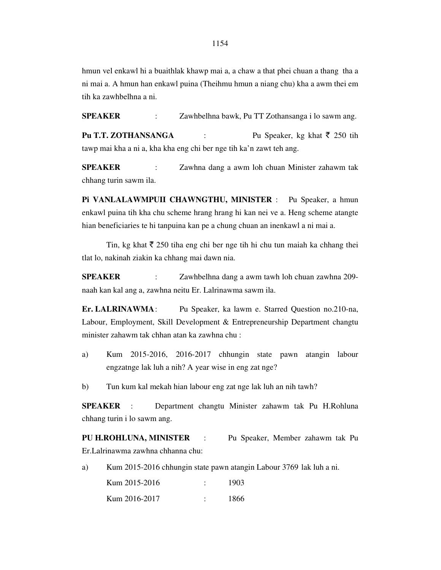hmun vel enkawl hi a buaithlak khawp mai a, a chaw a that phei chuan a thang tha a ni mai a. A hmun han enkawl puina (Theihmu hmun a niang chu) kha a awm thei em tih ka zawhbelhna a ni.

**SPEAKER** : Zawhbelhna bawk, Pu TT Zothansanga i lo sawm ang. **Pu T.T. ZOTHANSANGA** : Pu Speaker, kg khat  $\bar{\tau}$  250 tih

tawp mai kha a ni a, kha kha eng chi ber nge tih ka'n zawt teh ang.

**SPEAKER** : Zawhna dang a awm loh chuan Minister zahawm tak chhang turin sawm ila.

**Pi VANLALAWMPUII CHAWNGTHU, MINISTER** : Pu Speaker, a hmun enkawl puina tih kha chu scheme hrang hrang hi kan nei ve a. Heng scheme atangte hian beneficiaries te hi tanpuina kan pe a chung chuan an inenkawl a ni mai a.

Tin, kg khat  $\bar{\xi}$  250 tiha eng chi ber nge tih hi chu tun maiah ka chhang thei tlat lo, nakinah ziakin ka chhang mai dawn nia.

**SPEAKER** : Zawhbelhna dang a awm tawh loh chuan zawhna 209 naah kan kal ang a, zawhna neitu Er. Lalrinawma sawm ila.

**Er. LALRINAWMA** : Pu Speaker, ka lawm e. Starred Question no.210-na, Labour, Employment, Skill Development & Entrepreneurship Department changtu minister zahawm tak chhan atan ka zawhna chu :

a) Kum 2015-2016, 2016-2017 chhungin state pawn atangin labour engzatnge lak luh a nih? A year wise in eng zat nge?

b) Tun kum kal mekah hian labour eng zat nge lak luh an nih tawh?

**SPEAKER** : Department changtu Minister zahawm tak Pu H.Rohluna chhang turin i lo sawm ang.

**PU H.ROHLUNA, MINISTER** : Pu Speaker, Member zahawm tak Pu Er.Lalrinawma zawhna chhanna chu:

a) Kum 2015-2016 chhungin state pawn atangin Labour 3769 lak luh a ni.

| Kum 2015-2016 | 1903 |
|---------------|------|
| Kum 2016-2017 | 1866 |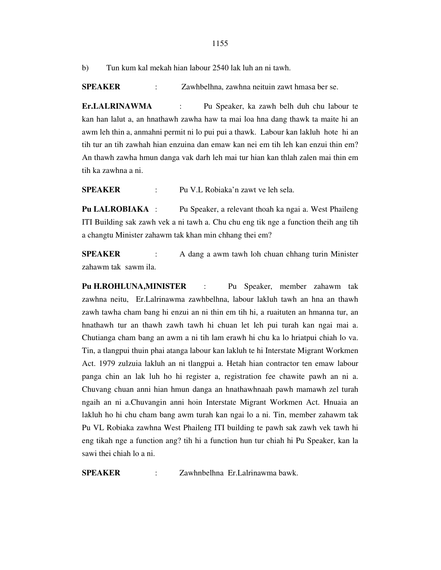b) Tun kum kal mekah hian labour 2540 lak luh an ni tawh.

**SPEAKER** : Zawhbelhna, zawhna neituin zawt hmasa ber se.

**Er.LALRINAWMA** : Pu Speaker, ka zawh belh duh chu labour te kan han lalut a, an hnathawh zawha haw ta mai loa hna dang thawk ta maite hi an awm leh thin a, anmahni permit ni lo pui pui a thawk. Labour kan lakluh hote hi an tih tur an tih zawhah hian enzuina dan emaw kan nei em tih leh kan enzui thin em? An thawh zawha hmun danga vak darh leh mai tur hian kan thlah zalen mai thin em tih ka zawhna a ni.

**SPEAKER** : Pu V.L Robiaka'n zawt ve leh sela.

**Pu LALROBIAKA** : Pu Speaker, a relevant thoah ka ngai a. West Phaileng ITI Building sak zawh vek a ni tawh a. Chu chu eng tik nge a function theih ang tih a changtu Minister zahawm tak khan min chhang thei em?

**SPEAKER** : A dang a awm tawh loh chuan chhang turin Minister zahawm tak sawm ila.

**Pu H.ROHLUNA,MINISTER** : Pu Speaker, member zahawm tak zawhna neitu, Er.Lalrinawma zawhbelhna, labour lakluh tawh an hna an thawh zawh tawha cham bang hi enzui an ni thin em tih hi, a ruaituten an hmanna tur, an hnathawh tur an thawh zawh tawh hi chuan let leh pui turah kan ngai mai a. Chutianga cham bang an awm a ni tih lam erawh hi chu ka lo hriatpui chiah lo va. Tin, a tlangpui thuin phai atanga labour kan lakluh te hi Interstate Migrant Workmen Act. 1979 zulzuia lakluh an ni tlangpui a. Hetah hian contractor ten emaw labour panga chin an lak luh ho hi register a, registration fee chawite pawh an ni a. Chuvang chuan anni hian hmun danga an hnathawhnaah pawh mamawh zel turah ngaih an ni a.Chuvangin anni hoin Interstate Migrant Workmen Act. Hnuaia an lakluh ho hi chu cham bang awm turah kan ngai lo a ni. Tin, member zahawm tak Pu VL Robiaka zawhna West Phaileng ITI building te pawh sak zawh vek tawh hi eng tikah nge a function ang? tih hi a function hun tur chiah hi Pu Speaker, kan la sawi thei chiah lo a ni.

**SPEAKER** : Zawhnbelhna Er.Lalrinawma bawk.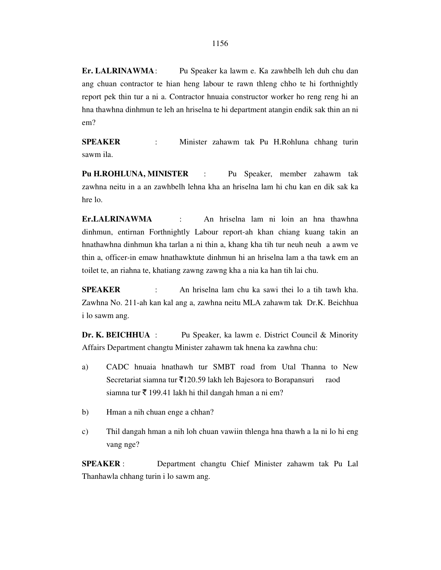**Er. LALRINAWMA** : Pu Speaker ka lawm e. Ka zawhbelh leh duh chu dan ang chuan contractor te hian heng labour te rawn thleng chho te hi forthnightly report pek thin tur a ni a. Contractor hnuaia constructor worker ho reng reng hi an hna thawhna dinhmun te leh an hriselna te hi department atangin endik sak thin an ni em?

**SPEAKER** : Minister zahawm tak Pu H.Rohluna chhang turin sawm ila.

**Pu H.ROHLUNA, MINISTER** : Pu Speaker, member zahawm tak zawhna neitu in a an zawhbelh lehna kha an hriselna lam hi chu kan en dik sak ka hre lo.

**Er.LALRINAWMA** : An hriselna lam ni loin an hna thawhna dinhmun, entirnan Forthnightly Labour report-ah khan chiang kuang takin an hnathawhna dinhmun kha tarlan a ni thin a, khang kha tih tur neuh neuh a awm ve thin a, officer-in emaw hnathawktute dinhmun hi an hriselna lam a tha tawk em an toilet te, an riahna te, khatiang zawng zawng kha a nia ka han tih lai chu.

**SPEAKER** : An hriselna lam chu ka sawi thei lo a tih tawh kha. Zawhna No. 211-ah kan kal ang a, zawhna neitu MLA zahawm tak Dr.K. Beichhua i lo sawm ang.

**Dr. K. BEICHHUA** : Pu Speaker, ka lawm e. District Council & Minority Affairs Department changtu Minister zahawm tak hnena ka zawhna chu:

- a) CADC hnuaia hnathawh tur SMBT road from Utal Thanna to New Secretariat siamna tur  $\overline{5}120.59$  lakh leh Bajesora to Borapansuri raod siamna tur  $\bar{\tau}$  199.41 lakh hi thil dangah hman a ni em?
- b) Hman a nih chuan enge a chhan?
- c) Thil dangah hman a nih loh chuan vawiin thlenga hna thawh a la ni lo hi eng vang nge?

**SPEAKER** : Department changtu Chief Minister zahawm tak Pu Lal Thanhawla chhang turin i lo sawm ang.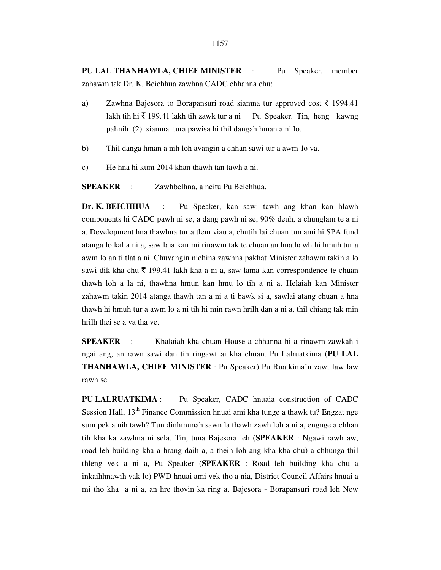**PU LAL THANHAWLA, CHIEF MINISTER** : Pu Speaker, member zahawm tak Dr. K. Beichhua zawhna CADC chhanna chu:

- a) Zawhna Bajesora to Borapansuri road siamna tur approved cost  $\bar{\tau}$  1994.41 lakh tih hi  $\bar{\xi}$  199.41 lakh tih zawk tur a ni Pu Speaker. Tin, heng kawng pahnih (2) siamna tura pawisa hi thil dangah hman a ni lo.
- b) Thil danga hman a nih loh avangin a chhan sawi tur a awm lo va.
- c) He hna hi kum 2014 khan thawh tan tawh a ni.

**SPEAKER** : Zawhbelhna, a neitu Pu Beichhua.

**Dr. K. BEICHHUA** : Pu Speaker, kan sawi tawh ang khan kan hlawh components hi CADC pawh ni se, a dang pawh ni se, 90% deuh, a chunglam te a ni a. Development hna thawhna tur a tlem viau a, chutih lai chuan tun ami hi SPA fund atanga lo kal a ni a, saw laia kan mi rinawm tak te chuan an hnathawh hi hmuh tur a awm lo an ti tlat a ni. Chuvangin nichina zawhna pakhat Minister zahawm takin a lo sawi dik kha chu  $\bar{\tau}$  199.41 lakh kha a ni a, saw lama kan correspondence te chuan thawh loh a la ni, thawhna hmun kan hmu lo tih a ni a. Helaiah kan Minister zahawm takin 2014 atanga thawh tan a ni a ti bawk si a, sawlai atang chuan a hna thawh hi hmuh tur a awm lo a ni tih hi min rawn hrilh dan a ni a, thil chiang tak min hrilh thei se a va tha ve.

**SPEAKER** : Khalaiah kha chuan House-a chhanna hi a rinawm zawkah i ngai ang, an rawn sawi dan tih ringawt ai kha chuan. Pu Lalruatkima (**PU LAL THANHAWLA, CHIEF MINISTER** : Pu Speaker) Pu Ruatkima'n zawt law law rawh se.

**PU LALRUATKIMA** : Pu Speaker, CADC hnuaia construction of CADC Session Hall, 13<sup>th</sup> Finance Commission hnuai ami kha tunge a thawk tu? Engzat nge sum pek a nih tawh? Tun dinhmunah sawn la thawh zawh loh a ni a, engnge a chhan tih kha ka zawhna ni sela. Tin, tuna Bajesora leh (**SPEAKER** : Ngawi rawh aw, road leh building kha a hrang daih a, a theih loh ang kha kha chu) a chhunga thil thleng vek a ni a, Pu Speaker (**SPEAKER** : Road leh building kha chu a inkaihhnawih vak lo) PWD hnuai ami vek tho a nia, District Council Affairs hnuai a mi tho kha a ni a, an hre thovin ka ring a. Bajesora - Borapansuri road leh New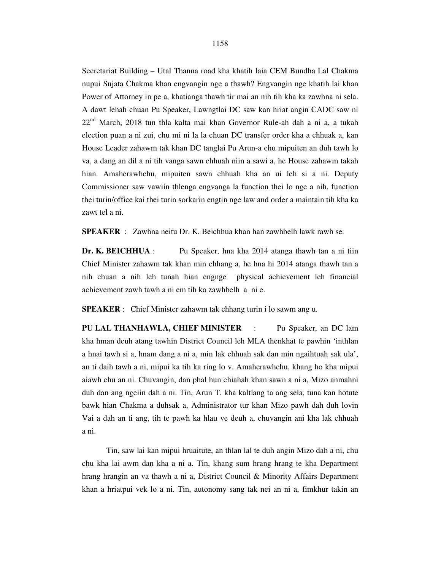Secretariat Building – Utal Thanna road kha khatih laia CEM Bundha Lal Chakma nupui Sujata Chakma khan engvangin nge a thawh? Engvangin nge khatih lai khan Power of Attorney in pe a, khatianga thawh tir mai an nih tih kha ka zawhna ni sela. A dawt lehah chuan Pu Speaker, Lawngtlai DC saw kan hriat angin CADC saw ni  $22<sup>nd</sup>$  March, 2018 tun thla kalta mai khan Governor Rule-ah dah a ni a, a tukah election puan a ni zui, chu mi ni la la chuan DC transfer order kha a chhuak a, kan House Leader zahawm tak khan DC tanglai Pu Arun-a chu mipuiten an duh tawh lo va, a dang an dil a ni tih vanga sawn chhuah niin a sawi a, he House zahawm takah hian. Amaherawhchu, mipuiten sawn chhuah kha an ui leh si a ni. Deputy Commissioner saw vawiin thlenga engvanga la function thei lo nge a nih, function thei turin/office kai thei turin sorkarin engtin nge law and order a maintain tih kha ka zawt tel a ni.

**SPEAKER** : Zawhna neitu Dr. K. Beichhua khan han zawhbelh lawk rawh se.

**Dr. K. BEICHHUA** : Pu Speaker, hna kha 2014 atanga thawh tan a ni tiin Chief Minister zahawm tak khan min chhang a, he hna hi 2014 atanga thawh tan a nih chuan a nih leh tunah hian engnge physical achievement leh financial achievement zawh tawh a ni em tih ka zawhbelh a ni e.

**SPEAKER** : Chief Minister zahawm tak chhang turin i lo sawm ang u.

**PU LAL THANHAWLA, CHIEF MINISTER** : Pu Speaker, an DC lam kha hman deuh atang tawhin District Council leh MLA thenkhat te pawhin 'inthlan a hnai tawh si a, hnam dang a ni a, min lak chhuah sak dan min ngaihtuah sak ula', an ti daih tawh a ni, mipui ka tih ka ring lo v. Amaherawhchu, khang ho kha mipui aiawh chu an ni. Chuvangin, dan phal hun chiahah khan sawn a ni a, Mizo anmahni duh dan ang ngeiin dah a ni. Tin, Arun T. kha kaltlang ta ang sela, tuna kan hotute bawk hian Chakma a duhsak a, Administrator tur khan Mizo pawh dah duh lovin Vai a dah an ti ang, tih te pawh ka hlau ve deuh a, chuvangin ani kha lak chhuah a ni.

 Tin, saw lai kan mipui hruaitute, an thlan lal te duh angin Mizo dah a ni, chu chu kha lai awm dan kha a ni a. Tin, khang sum hrang hrang te kha Department hrang hrangin an va thawh a ni a, District Council & Minority Affairs Department khan a hriatpui vek lo a ni. Tin, autonomy sang tak nei an ni a, fimkhur takin an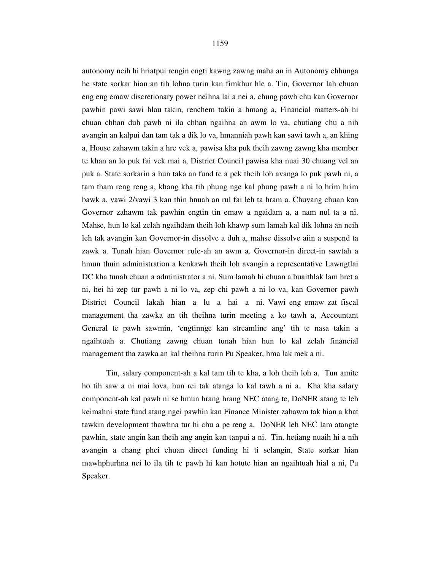autonomy neih hi hriatpui rengin engti kawng zawng maha an in Autonomy chhunga he state sorkar hian an tih lohna turin kan fimkhur hle a. Tin, Governor lah chuan eng eng emaw discretionary power neihna lai a nei a, chung pawh chu kan Governor pawhin pawi sawi hlau takin, renchem takin a hmang a, Financial matters-ah hi chuan chhan duh pawh ni ila chhan ngaihna an awm lo va, chutiang chu a nih avangin an kalpui dan tam tak a dik lo va, hmanniah pawh kan sawi tawh a, an khing a, House zahawm takin a hre vek a, pawisa kha puk theih zawng zawng kha member te khan an lo puk fai vek mai a, District Council pawisa kha nuai 30 chuang vel an puk a. State sorkarin a hun taka an fund te a pek theih loh avanga lo puk pawh ni, a tam tham reng reng a, khang kha tih phung nge kal phung pawh a ni lo hrim hrim bawk a, vawi 2/vawi 3 kan thin hnuah an rul fai leh ta hram a. Chuvang chuan kan Governor zahawm tak pawhin engtin tin emaw a ngaidam a, a nam nul ta a ni. Mahse, hun lo kal zelah ngaihdam theih loh khawp sum lamah kal dik lohna an neih leh tak avangin kan Governor-in dissolve a duh a, mahse dissolve aiin a suspend ta zawk a. Tunah hian Governor rule-ah an awm a. Governor-in direct-in sawtah a hmun thuin administration a kenkawh theih loh avangin a representative Lawngtlai DC kha tunah chuan a administrator a ni. Sum lamah hi chuan a buaithlak lam hret a ni, hei hi zep tur pawh a ni lo va, zep chi pawh a ni lo va, kan Governor pawh District Council lakah hian a lu a hai a ni. Vawi eng emaw zat fiscal management tha zawka an tih theihna turin meeting a ko tawh a, Accountant General te pawh sawmin, 'engtinnge kan streamline ang' tih te nasa takin a ngaihtuah a. Chutiang zawng chuan tunah hian hun lo kal zelah financial management tha zawka an kal theihna turin Pu Speaker, hma lak mek a ni.

 Tin, salary component-ah a kal tam tih te kha, a loh theih loh a. Tun amite ho tih saw a ni mai lova, hun rei tak atanga lo kal tawh a ni a. Kha kha salary component-ah kal pawh ni se hmun hrang hrang NEC atang te, DoNER atang te leh keimahni state fund atang ngei pawhin kan Finance Minister zahawm tak hian a khat tawkin development thawhna tur hi chu a pe reng a. DoNER leh NEC lam atangte pawhin, state angin kan theih ang angin kan tanpui a ni. Tin, hetiang nuaih hi a nih avangin a chang phei chuan direct funding hi ti selangin, State sorkar hian mawhphurhna nei lo ila tih te pawh hi kan hotute hian an ngaihtuah hial a ni, Pu Speaker.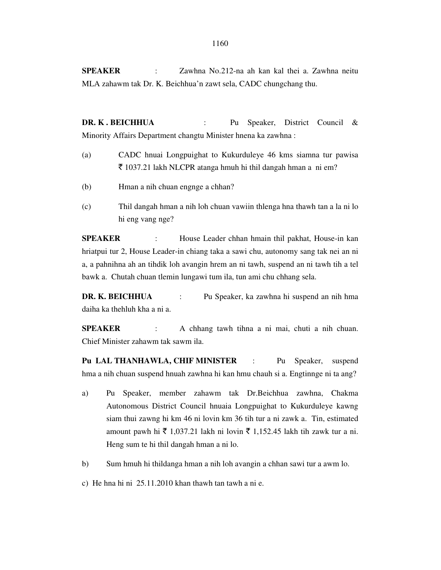**SPEAKER** : Zawhna No.212-na ah kan kal thei a. Zawhna neitu MLA zahawm tak Dr. K. Beichhua'n zawt sela, CADC chungchang thu.

**DR. K . BEICHHUA** : Pu Speaker, District Council & Minority Affairs Department changtu Minister hnena ka zawhna :

- (a) CADC hnuai Longpuighat to Kukurduleye 46 kms siamna tur pawisa  $\bar{\tau}$  1037.21 lakh NLCPR atanga hmuh hi thil dangah hman a ni em?
- (b) Hman a nih chuan engnge a chhan?
- (c) Thil dangah hman a nih loh chuan vawiin thlenga hna thawh tan a la ni lo hi eng vang nge?

**SPEAKER** : House Leader chhan hmain thil pakhat, House-in kan hriatpui tur 2, House Leader-in chiang taka a sawi chu, autonomy sang tak nei an ni a, a pahnihna ah an tihdik loh avangin hrem an ni tawh, suspend an ni tawh tih a tel bawk a. Chutah chuan tlemin lungawi tum ila, tun ami chu chhang sela.

**DR. K. BEICHHUA** : Pu Speaker, ka zawhna hi suspend an nih hma daiha ka thehluh kha a ni a.

**SPEAKER** : A chhang tawh tihna a ni mai, chuti a nih chuan. Chief Minister zahawm tak sawm ila.

**Pu LAL THANHAWLA, CHIF MINISTER** : Pu Speaker, suspend hma a nih chuan suspend hnuah zawhna hi kan hmu chauh si a. Engtinnge ni ta ang?

- a) Pu Speaker, member zahawm tak Dr.Beichhua zawhna, Chakma Autonomous District Council hnuaia Longpuighat to Kukurduleye kawng siam thui zawng hi km 46 ni lovin km 36 tih tur a ni zawk a. Tin, estimated amount pawh hi  $\bar{\tau}$  1,037.21 lakh ni lovin  $\bar{\tau}$  1,152.45 lakh tih zawk tur a ni. Heng sum te hi thil dangah hman a ni lo.
- b) Sum hmuh hi thildanga hman a nih loh avangin a chhan sawi tur a awm lo.
- c) He hna hi ni 25.11.2010 khan thawh tan tawh a ni e.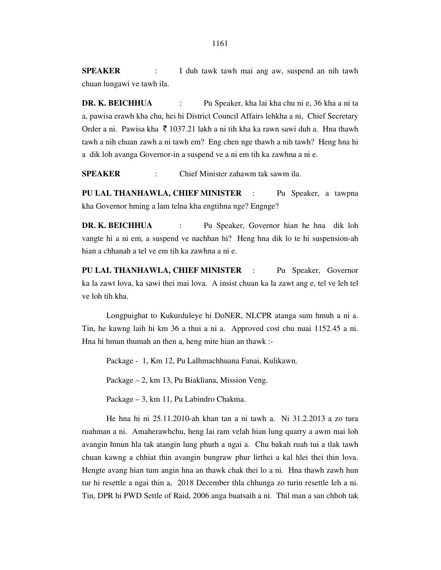**SPEAKER** : I duh tawk tawh mai ang aw, suspend an nih tawh chuan lungawi ve tawh ila.

**DR. K. BEICHHUA** : Pu Speaker, kha lai kha chu ni e, 36 kha a ni ta a, pawisa erawh kha chu, hei hi District Council Affairs lehkha a ni, Chief Secretary Order a ni. Pawisa kha  $\bar{\xi}$  1037.21 lakh a ni tih kha ka rawn sawi duh a. Hna thawh tawh a nih chuan zawh a ni tawh em? Eng chen nge thawh a nih tawh? Heng hna hi a dik loh avanga Governor-in a suspend ve a ni em tih ka zawhna a ni e.

**SPEAKER** : Chief Minister zahawm tak sawm ila.

**PU LAL THANHAWLA, CHIEF MINISTER** : Pu Speaker, a tawpna kha Governor hming a lam telna kha engtihna nge? Engnge?

**DR. K. BEICHHUA** : Pu Speaker, Governor hian he hna dik loh vangte hi a ni em, a suspend ve nachhan hi? Heng hna dik lo te hi suspension-ah hian a chhanah a tel ve em tih ka zawhna a ni e.

**PU LAL THANHAWLA, CHIEF MINISTER** : Pu Speaker, Governor ka la zawt lova, ka sawi thei mai lova. A insist chuan ka la zawt ang e, tel ve leh tel ve loh tih kha.

 Longpuighat to Kukurduleye hi DoNER, NLCPR atanga sum hmuh a ni a. Tin, he kawng laih hi km 36 a thui a ni a. Approved cost chu nuai 1152.45 a ni. Hna hi hmun thumah an then a, heng mite hian an thawk :-

Package - 1, Km 12, Pu Lalhmachhuana Fanai, Kulikawn.

Package – 2, km 13, Pu Biakliana, Mission Veng.

Package – 3, km 11, Pu Labindro Chakma.

 He hna hi ni 25.11.2010-ah khan tan a ni tawh a. Ni 31.2.2013 a zo tura ruahman a ni. Amaherawhchu, heng lai ram velah hian lung quarry a awm mai loh avangin hmun hla tak atangin lung phurh a ngai a. Chu bakah ruah tui a tlak tawh chuan kawng a chhiat thin avangin bungraw phur lirthei a kal hlei thei thin lova. Hengte avang hian tum angin hna an thawk chak thei lo a ni. Hna thawh zawh hun tur hi resettle a ngai thin a, 2018 December thla chhunga zo turin resettle leh a ni. Tin, DPR hi PWD Settle of Raid, 2006 anga buatsaih a ni. Thil man a san chhoh tak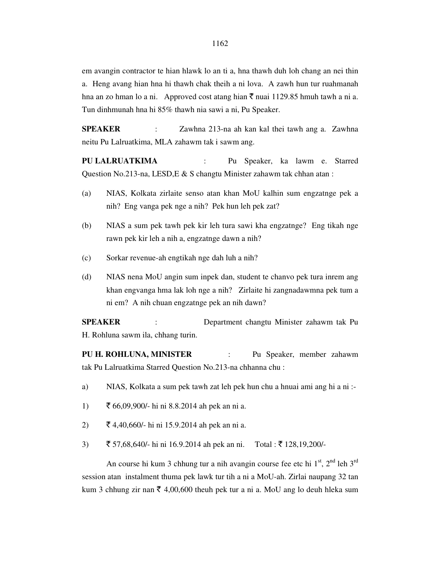em avangin contractor te hian hlawk lo an ti a, hna thawh duh loh chang an nei thin a. Heng avang hian hna hi thawh chak theih a ni lova. A zawh hun tur ruahmanah hna an zo hman lo a ni. Approved cost atang hian  $\bar{\tau}$  nuai 1129.85 hmuh tawh a ni a. Tun dinhmunah hna hi 85% thawh nia sawi a ni, Pu Speaker.

**SPEAKER** : Zawhna 213-na ah kan kal thei tawh ang a. Zawhna neitu Pu Lalruatkima, MLA zahawm tak i sawm ang.

**PU LALRUATKIMA** : Pu Speaker, ka lawm e. Starred Question No.213-na, LESD,E & S changtu Minister zahawm tak chhan atan :

- (a) NIAS, Kolkata zirlaite senso atan khan MoU kalhin sum engzatnge pek a nih? Eng vanga pek nge a nih? Pek hun leh pek zat?
- (b) NIAS a sum pek tawh pek kir leh tura sawi kha engzatnge? Eng tikah nge rawn pek kir leh a nih a, engzatnge dawn a nih?
- (c) Sorkar revenue-ah engtikah nge dah luh a nih?
- (d) NIAS nena MoU angin sum inpek dan, student te chanvo pek tura inrem ang khan engvanga hma lak loh nge a nih? Zirlaite hi zangnadawmna pek tum a ni em? A nih chuan engzatnge pek an nih dawn?

**SPEAKER** : Department changtu Minister zahawm tak Pu H. Rohluna sawm ila, chhang turin.

**PU H. ROHLUNA, MINISTER** : Pu Speaker, member zahawm tak Pu Lalruatkima Starred Question No.213-na chhanna chu :

- a) NIAS, Kolkata a sum pek tawh zat leh pek hun chu a hnuai ami ang hi a ni :-
- 1)  $\bar{5}$  66,09,900/- hi ni 8.8.2014 ah pek an ni a.
- 2)  $\bar{\xi}$  4,40,660/- hi ni 15.9.2014 ah pek an ni a.
- 3)  $\bar{\bar{\xi}}$  57,68,640/- hi ni 16.9.2014 ah pek an ni. Total :  $\bar{\bar{\xi}}$  128,19,200/-

An course hi kum 3 chhung tur a nih avangin course fee etc hi  $1<sup>st</sup>$ ,  $2<sup>nd</sup>$  leh  $3<sup>rd</sup>$ session atan instalment thuma pek lawk tur tih a ni a MoU-ah. Zirlai naupang 32 tan kum 3 chhung zir nan  $\bar{\tau}$  4,00,600 theuh pek tur a ni a. MoU ang lo deuh hleka sum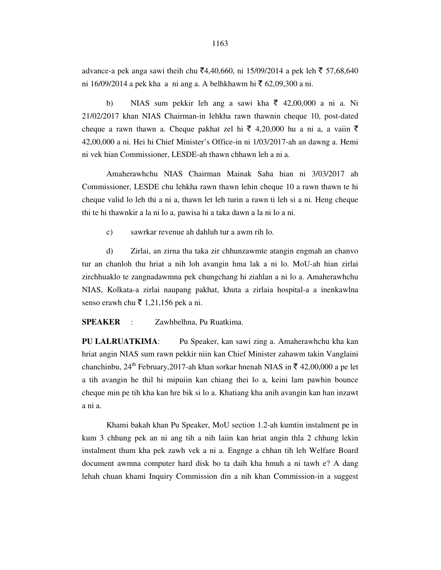advance-a pek anga sawi theih chu ₹4,40,660, ni 15/09/2014 a pek leh ₹ 57,68,640 ni 16/09/2014 a pek kha a ni ang a. A belhkhawm hi ₹ 62,09,300 a ni.

b) NIAS sum pekkir leh ang a sawi kha  $\bar{\tau}$  42,00,000 a ni a. Ni 21/02/2017 khan NIAS Chairman-in lehkha rawn thawnin cheque 10, post-dated cheque a rawn thawn a. Cheque pakhat zel hi  $\bar{\xi}$  4,20,000 hu a ni a, a vaiin  $\bar{\xi}$ 42,00,000 a ni. Hei hi Chief Minister's Office-in ni 1/03/2017-ah an dawng a. Hemi ni vek hian Commissioner, LESDE-ah thawn chhawn leh a ni a.

Amaherawhchu NIAS Chairman Mainak Saha hian ni 3/03/2017 ah Commissioner, LESDE chu lehkha rawn thawn lehin cheque 10 a rawn thawn te hi cheque valid lo leh thi a ni a, thawn let leh turin a rawn ti leh si a ni. Heng cheque thi te hi thawnkir a la ni lo a, pawisa hi a taka dawn a la ni lo a ni.

c) sawrkar revenue ah dahluh tur a awm rih lo.

d) Zirlai, an zirna tha taka zir chhunzawmte atangin engmah an chanvo tur an chanloh thu hriat a nih loh avangin hma lak a ni lo. MoU-ah hian zirlai zirchhuaklo te zangnadawmna pek chungchang hi ziahlan a ni lo a. Amaherawhchu NIAS, Kolkata-a zirlai naupang pakhat, khuta a zirlaia hospital-a a inenkawlna senso erawh chu  $\bar{\tau}$  1,21,156 pek a ni.

**SPEAKER** : Zawhbelhna, Pu Ruatkima.

**PU LALRUATKIMA**: Pu Speaker, kan sawi zing a. Amaherawhchu kha kan hriat angin NIAS sum rawn pekkir niin kan Chief Minister zahawm takin Vanglaini chanchinbu, 24<sup>th</sup> February, 2017-ah khan sorkar hnenah NIAS in  $\bar{\tau}$  42,00,000 a pe let a tih avangin he thil hi mipuiin kan chiang thei lo a, keini lam pawhin bounce cheque min pe tih kha kan hre bik si lo a. Khatiang kha anih avangin kan han inzawt a ni a.

Khami bakah khan Pu Speaker, MoU section 1.2-ah kumtin instalment pe in kum 3 chhung pek an ni ang tih a nih laiin kan hriat angin thla 2 chhung lekin instalment thum kha pek zawh vek a ni a. Engnge a chhan tih leh Welfare Board document awmna computer hard disk bo ta daih kha hmuh a ni tawh e? A dang lehah chuan khami Inquiry Commission din a nih khan Commission-in a suggest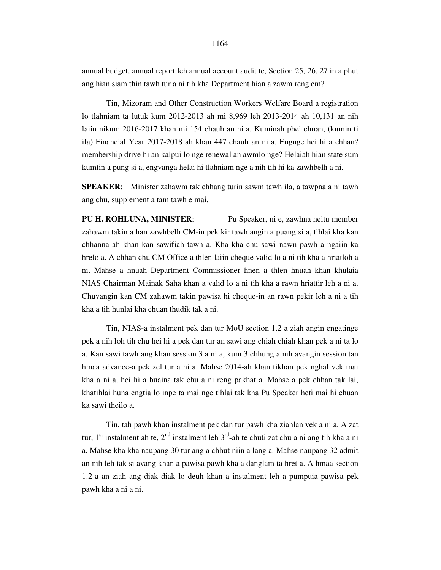annual budget, annual report leh annual account audit te, Section 25, 26, 27 in a phut ang hian siam thin tawh tur a ni tih kha Department hian a zawm reng em?

Tin, Mizoram and Other Construction Workers Welfare Board a registration lo tlahniam ta lutuk kum 2012-2013 ah mi 8,969 leh 2013-2014 ah 10,131 an nih laiin nikum 2016-2017 khan mi 154 chauh an ni a. Kuminah phei chuan, (kumin ti ila) Financial Year 2017-2018 ah khan 447 chauh an ni a. Engnge hei hi a chhan? membership drive hi an kalpui lo nge renewal an awmlo nge? Helaiah hian state sum kumtin a pung si a, engvanga helai hi tlahniam nge a nih tih hi ka zawhbelh a ni.

**SPEAKER**: Minister zahawm tak chhang turin sawm tawh ila, a tawpna a ni tawh ang chu, supplement a tam tawh e mai.

**PU H. ROHLUNA, MINISTER**: Pu Speaker, ni e, zawhna neitu member zahawm takin a han zawhbelh CM-in pek kir tawh angin a puang si a, tihlai kha kan chhanna ah khan kan sawifiah tawh a. Kha kha chu sawi nawn pawh a ngaiin ka hrelo a. A chhan chu CM Office a thlen laiin cheque valid lo a ni tih kha a hriatloh a ni. Mahse a hnuah Department Commissioner hnen a thlen hnuah khan khulaia NIAS Chairman Mainak Saha khan a valid lo a ni tih kha a rawn hriattir leh a ni a. Chuvangin kan CM zahawm takin pawisa hi cheque-in an rawn pekir leh a ni a tih kha a tih hunlai kha chuan thudik tak a ni.

Tin, NIAS-a instalment pek dan tur MoU section 1.2 a ziah angin engatinge pek a nih loh tih chu hei hi a pek dan tur an sawi ang chiah chiah khan pek a ni ta lo a. Kan sawi tawh ang khan session 3 a ni a, kum 3 chhung a nih avangin session tan hmaa advance-a pek zel tur a ni a. Mahse 2014-ah khan tikhan pek nghal vek mai kha a ni a, hei hi a buaina tak chu a ni reng pakhat a. Mahse a pek chhan tak lai, khatihlai huna engtia lo inpe ta mai nge tihlai tak kha Pu Speaker heti mai hi chuan ka sawi theilo a.

Tin, tah pawh khan instalment pek dan tur pawh kha ziahlan vek a ni a. A zat tur,  $1<sup>st</sup>$  instalment ah te,  $2<sup>nd</sup>$  instalment leh  $3<sup>rd</sup>$ -ah te chuti zat chu a ni ang tih kha a ni a. Mahse kha kha naupang 30 tur ang a chhut niin a lang a. Mahse naupang 32 admit an nih leh tak si avang khan a pawisa pawh kha a danglam ta hret a. A hmaa section 1.2-a an ziah ang diak diak lo deuh khan a instalment leh a pumpuia pawisa pek pawh kha a ni a ni.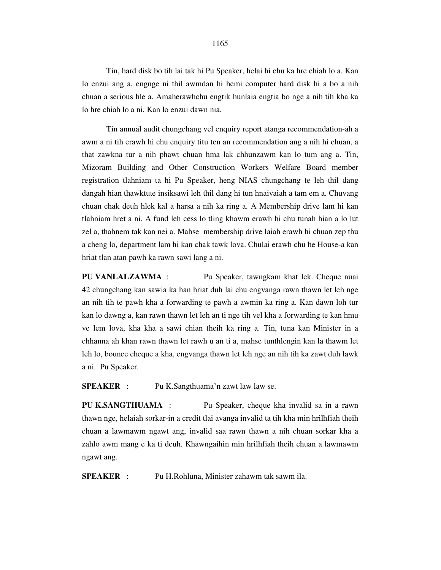Tin, hard disk bo tih lai tak hi Pu Speaker, helai hi chu ka hre chiah lo a. Kan lo enzui ang a, engnge ni thil awmdan hi hemi computer hard disk hi a bo a nih chuan a serious hle a. Amaherawhchu engtik hunlaia engtia bo nge a nih tih kha ka lo hre chiah lo a ni. Kan lo enzui dawn nia.

Tin annual audit chungchang vel enquiry report atanga recommendation-ah a awm a ni tih erawh hi chu enquiry titu ten an recommendation ang a nih hi chuan, a that zawkna tur a nih phawt chuan hma lak chhunzawm kan lo tum ang a. Tin, Mizoram Building and Other Construction Workers Welfare Board member registration tlahniam ta hi Pu Speaker, heng NIAS chungchang te leh thil dang dangah hian thawktute insiksawi leh thil dang hi tun hnaivaiah a tam em a. Chuvang chuan chak deuh hlek kal a harsa a nih ka ring a. A Membership drive lam hi kan tlahniam hret a ni. A fund leh cess lo tling khawm erawh hi chu tunah hian a lo lut zel a, thahnem tak kan nei a. Mahse membership drive laiah erawh hi chuan zep thu a cheng lo, department lam hi kan chak tawk lova. Chulai erawh chu he House-a kan hriat tlan atan pawh ka rawn sawi lang a ni.

**PU VANLALZAWMA** : Pu Speaker, tawngkam khat lek. Cheque nuai 42 chungchang kan sawia ka han hriat duh lai chu engvanga rawn thawn let leh nge an nih tih te pawh kha a forwarding te pawh a awmin ka ring a. Kan dawn loh tur kan lo dawng a, kan rawn thawn let leh an ti nge tih vel kha a forwarding te kan hmu ve lem lova, kha kha a sawi chian theih ka ring a. Tin, tuna kan Minister in a chhanna ah khan rawn thawn let rawh u an ti a, mahse tunthlengin kan la thawm let leh lo, bounce cheque a kha, engvanga thawn let leh nge an nih tih ka zawt duh lawk a ni. Pu Speaker.

**SPEAKER** : Pu K.Sangthuama'n zawt law law se.

**PU K.SANGTHUAMA** : Pu Speaker, cheque kha invalid sa in a rawn thawn nge, helaiah sorkar-in a credit tlai avanga invalid ta tih kha min hrilhfiah theih chuan a lawmawm ngawt ang, invalid saa rawn thawn a nih chuan sorkar kha a zahlo awm mang e ka ti deuh. Khawngaihin min hrilhfiah theih chuan a lawmawm ngawt ang.

**SPEAKER** : Pu H.Rohluna, Minister zahawm tak sawm ila.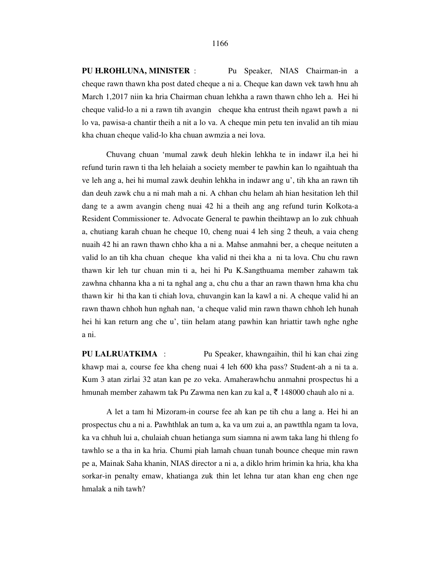**PU H.ROHLUNA, MINISTER** : Pu Speaker, NIAS Chairman-in a cheque rawn thawn kha post dated cheque a ni a. Cheque kan dawn vek tawh hnu ah March 1,2017 niin ka hria Chairman chuan lehkha a rawn thawn chho leh a. Hei hi cheque valid-lo a ni a rawn tih avangin cheque kha entrust theih ngawt pawh a ni lo va, pawisa-a chantir theih a nit a lo va. A cheque min petu ten invalid an tih miau kha chuan cheque valid-lo kha chuan awmzia a nei lova.

 Chuvang chuan 'mumal zawk deuh hlekin lehkha te in indawr il,a hei hi refund turin rawn ti tha leh helaiah a society member te pawhin kan lo ngaihtuah tha ve leh ang a, hei hi mumal zawk deuhin lehkha in indawr ang u', tih kha an rawn tih dan deuh zawk chu a ni mah mah a ni. A chhan chu helam ah hian hesitation leh thil dang te a awm avangin cheng nuai 42 hi a theih ang ang refund turin Kolkota-a Resident Commissioner te. Advocate General te pawhin theihtawp an lo zuk chhuah a, chutiang karah chuan he cheque 10, cheng nuai 4 leh sing 2 theuh, a vaia cheng nuaih 42 hi an rawn thawn chho kha a ni a. Mahse anmahni ber, a cheque neituten a valid lo an tih kha chuan cheque kha valid ni thei kha a ni ta lova. Chu chu rawn thawn kir leh tur chuan min ti a, hei hi Pu K.Sangthuama member zahawm tak zawhna chhanna kha a ni ta nghal ang a, chu chu a thar an rawn thawn hma kha chu thawn kir hi tha kan ti chiah lova, chuvangin kan la kawl a ni. A cheque valid hi an rawn thawn chhoh hun nghah nan, 'a cheque valid min rawn thawn chhoh leh hunah hei hi kan return ang che u', tiin helam atang pawhin kan hriattir tawh nghe nghe a ni.

**PU LALRUATKIMA** : Pu Speaker, khawngaihin, thil hi kan chai zing khawp mai a, course fee kha cheng nuai 4 leh 600 kha pass? Student-ah a ni ta a. Kum 3 atan zirlai 32 atan kan pe zo veka. Amaherawhchu anmahni prospectus hi a hmunah member zahawm tak Pu Zawma nen kan zu kal a,  $\bar{\tau}$  148000 chauh alo ni a.

 A let a tam hi Mizoram-in course fee ah kan pe tih chu a lang a. Hei hi an prospectus chu a ni a. Pawhthlak an tum a, ka va um zui a, an pawtthla ngam ta lova, ka va chhuh lui a, chulaiah chuan hetianga sum siamna ni awm taka lang hi thleng fo tawhlo se a tha in ka hria. Chumi piah lamah chuan tunah bounce cheque min rawn pe a, Mainak Saha khanin, NIAS director a ni a, a diklo hrim hrimin ka hria, kha kha sorkar-in penalty emaw, khatianga zuk thin let lehna tur atan khan eng chen nge hmalak a nih tawh?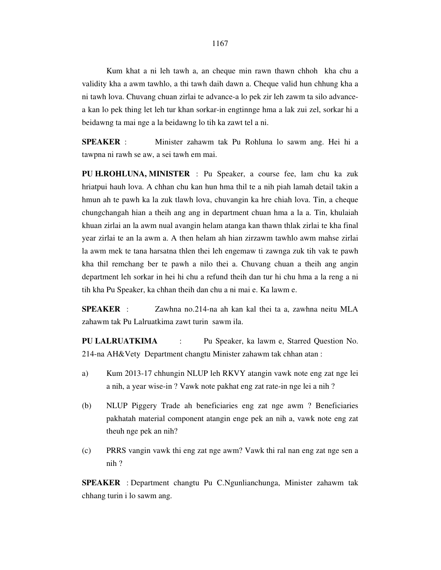Kum khat a ni leh tawh a, an cheque min rawn thawn chhoh kha chu a validity kha a awm tawhlo, a thi tawh daih dawn a. Cheque valid hun chhung kha a ni tawh lova. Chuvang chuan zirlai te advance-a lo pek zir leh zawm ta silo advancea kan lo pek thing let leh tur khan sorkar-in engtinnge hma a lak zui zel, sorkar hi a beidawng ta mai nge a la beidawng lo tih ka zawt tel a ni.

**SPEAKER** : Minister zahawm tak Pu Rohluna lo sawm ang. Hei hi a tawpna ni rawh se aw, a sei tawh em mai.

**PU H.ROHLUNA, MINISTER** : Pu Speaker, a course fee, lam chu ka zuk hriatpui hauh lova. A chhan chu kan hun hma thil te a nih piah lamah detail takin a hmun ah te pawh ka la zuk tlawh lova, chuvangin ka hre chiah lova. Tin, a cheque chungchangah hian a theih ang ang in department chuan hma a la a. Tin, khulaiah khuan zirlai an la awm nual avangin helam atanga kan thawn thlak zirlai te kha final year zirlai te an la awm a. A then helam ah hian zirzawm tawhlo awm mahse zirlai la awm mek te tana harsatna thlen thei leh engemaw ti zawnga zuk tih vak te pawh kha thil remchang ber te pawh a nilo thei a. Chuvang chuan a theih ang angin department leh sorkar in hei hi chu a refund theih dan tur hi chu hma a la reng a ni tih kha Pu Speaker, ka chhan theih dan chu a ni mai e. Ka lawm e.

**SPEAKER** : Zawhna no.214-na ah kan kal thei ta a, zawhna neitu MLA zahawm tak Pu Lalruatkima zawt turin sawm ila.

**PU LALRUATKIMA** : Pu Speaker, ka lawm e, Starred Question No. 214-na AH&Vety Department changtu Minister zahawm tak chhan atan :

- a) Kum 2013-17 chhungin NLUP leh RKVY atangin vawk note eng zat nge lei a nih, a year wise-in ? Vawk note pakhat eng zat rate-in nge lei a nih ?
- (b) NLUP Piggery Trade ah beneficiaries eng zat nge awm ? Beneficiaries pakhatah material component atangin enge pek an nih a, vawk note eng zat theuh nge pek an nih?
- (c) PRRS vangin vawk thi eng zat nge awm? Vawk thi ral nan eng zat nge sen a nih ?

**SPEAKER** : Department changtu Pu C.Ngunlianchunga, Minister zahawm tak chhang turin i lo sawm ang.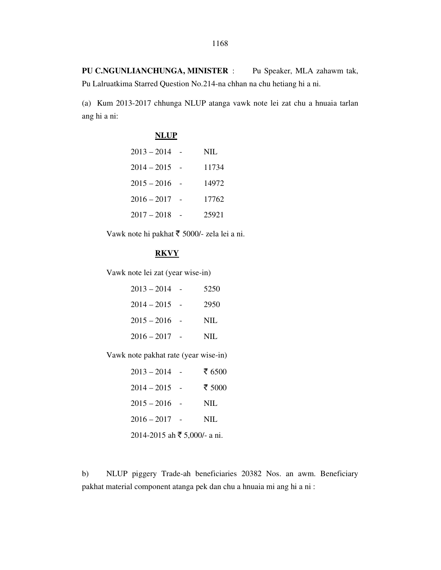PU C.NGUNLIANCHUNGA, MINISTER : Pu Speaker, MLA zahawm tak, Pu Lalruatkima Starred Question No.214-na chhan na chu hetiang hi a ni.

(a) Kum 2013-2017 chhunga NLUP atanga vawk note lei zat chu a hnuaia tarlan ang hi a ni:

| <b>NLUP</b>     |            |
|-----------------|------------|
| $2013 - 2014$   | <b>NIL</b> |
| $2014 - 2015$ - | 11734      |
| $2015 - 2016$ - | 14972      |
| $2016 - 2017$   | 17762      |
| $2017 - 2018$   | 25921      |

Vawk note hi pakhat ₹ 5000/- zela lei a ni.

### **RKVY**

Vawk note lei zat (year wise-in)

| $2013 - 2014$ - | 5250 |
|-----------------|------|
| $2014 - 2015$ - | 2950 |
| $2015 - 2016$ - | NIL  |
| $2016 - 2017$ - | NIL. |

Vawk note pakhat rate (year wise-in)

| $2013 - 2014$ -                  | ₹ 6500 |
|----------------------------------|--------|
| $2014 - 2015$ -                  | ₹ 5000 |
| $2015 - 2016$ -                  | NIL    |
| $2016 - 2017$ -                  | NIL    |
| $2014 - 2015$ ah ₹ 5,000/- a ni. |        |

b) NLUP piggery Trade-ah beneficiaries 20382 Nos. an awm. Beneficiary pakhat material component atanga pek dan chu a hnuaia mi ang hi a ni :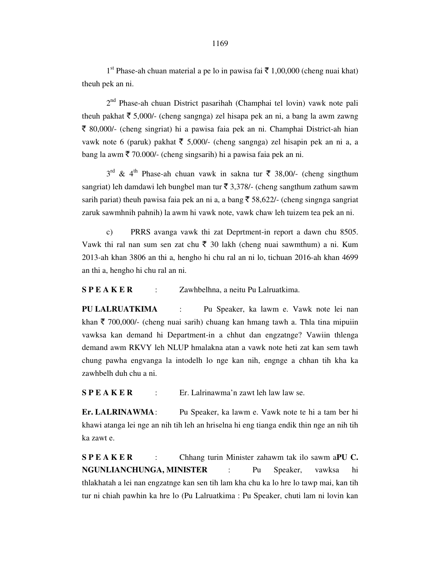$1<sup>st</sup>$  Phase-ah chuan material a pe lo in pawisa fai  $\bar{\tau}$  1,00,000 (cheng nuai khat) theuh pek an ni.

 2nd Phase-ah chuan District pasarihah (Champhai tel lovin) vawk note pali theuh pakhat  $\bar{\tau}$  5,000/- (cheng sangnga) zel hisapa pek an ni, a bang la awm zawng  $\bar{\xi}$  80,000/- (cheng singriat) hi a pawisa faia pek an ni. Champhai District-ah hian vawk note 6 (paruk) pakhat  $\bar{\tau}$  5,000/- (cheng sangnga) zel hisapin pek an ni a, a bang la awm  $\bar{\tau}$  70.000/- (cheng singsarih) hi a pawisa faia pek an ni.

 $3<sup>rd</sup>$  & 4<sup>th</sup> Phase-ah chuan vawk in sakna tur ₹ 38,00/- (cheng singthum sangriat) leh damdawi leh bungbel man tur  $\bar{\tau}$  3,378/- (cheng sangthum zathum sawm sarih pariat) theuh pawisa faia pek an ni a, a bang  $\overline{5}$  58,622/- (cheng singnga sangriat zaruk sawmhnih pahnih) la awm hi vawk note, vawk chaw leh tuizem tea pek an ni.

 c) PRRS avanga vawk thi zat Deprtment-in report a dawn chu 8505. Vawk thi ral nan sum sen zat chu  $\bar{\tau}$  30 lakh (cheng nuai sawmthum) a ni. Kum 2013-ah khan 3806 an thi a, hengho hi chu ral an ni lo, tichuan 2016-ah khan 4699 an thi a, hengho hi chu ral an ni.

**S P E A K E R** : Zawhbelhna, a neitu Pu Lalruatkima.

**PU LALRUATKIMA** : Pu Speaker, ka lawm e. Vawk note lei nan khan  $\bar{\tau}$  700,000/- (cheng nuai sarih) chuang kan hmang tawh a. Thla tina mipuiin vawksa kan demand hi Department-in a chhut dan engzatnge? Vawiin thlenga demand awm RKVY leh NLUP hmalakna atan a vawk note heti zat kan sem tawh chung pawha engvanga la intodelh lo nge kan nih, engnge a chhan tih kha ka zawhbelh duh chu a ni.

**S P E A K E R** : Er. Lalrinawma'n zawt leh law law se.

**Er. LALRINAWMA** : Pu Speaker, ka lawm e. Vawk note te hi a tam ber hi khawi atanga lei nge an nih tih leh an hriselna hi eng tianga endik thin nge an nih tih ka zawt e.

**S P E A K E R** : Chhang turin Minister zahawm tak ilo sawm a**PU C. NGUNLIANCHUNGA, MINISTER** : Pu Speaker, vawksa hi thlakhatah a lei nan engzatnge kan sen tih lam kha chu ka lo hre lo tawp mai, kan tih tur ni chiah pawhin ka hre lo (Pu Lalruatkima : Pu Speaker, chuti lam ni lovin kan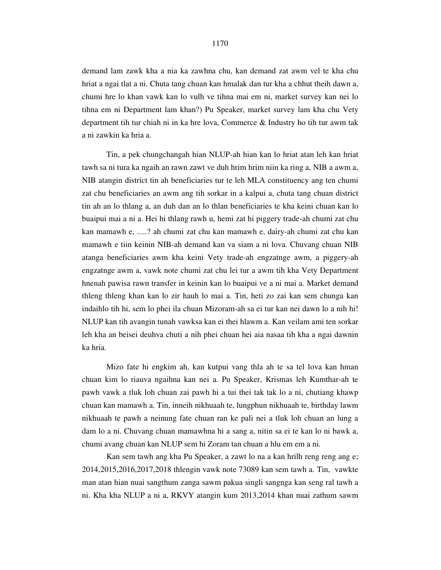demand lam zawk kha a nia ka zawhna chu, kan demand zat awm vel te kha chu hriat a ngai tlat a ni. Chuta tang chuan kan hmalak dan tur kha a chhut theih dawn a, chumi hre lo khan vawk kan lo vulh ve tihna mai em ni, market survey kan nei lo tihna em ni Department lam khan?) Pu Speaker, market survey lam kha chu Vety department tih tur chiah ni in ka hre lova, Commerce & Industry ho tih tur awm tak a ni zawkin ka hria a.

 Tin, a pek chungchangah hian NLUP-ah hian kan lo hriat atan leh kan hriat tawh sa ni tura ka ngaih an rawn zawt ve duh hrim hrim niin ka ring a, NIB a awm a, NIB atangin district tin ah beneficiaries tur te leh MLA constituency ang ten chumi zat chu beneficiaries an awm ang tih sorkar in a kalpui a, chuta tang chuan district tin ah an lo thlang a, an duh dan an lo thlan beneficiaries te kha keini chuan kan lo buaipui mai a ni a. Hei hi thlang rawh u, hemi zat hi piggery trade-ah chumi zat chu kan mamawh e, .....? ah chumi zat chu kan mamawh e, dairy-ah chumi zat chu kan mamawh e tiin keinin NIB-ah demand kan va siam a ni lova. Chuvang chuan NIB atanga beneficiaries awm kha keini Vety trade-ah engzatnge awm, a piggery-ah engzatnge awm a, vawk note chumi zat chu lei tur a awm tih kha Vety Department hnenah pawisa rawn transfer in keinin kan lo buaipui ve a ni mai a. Market demand thleng thleng khan kan lo zir hauh lo mai a. Tin, heti zo zai kan sem chunga kan indaihlo tih hi, sem lo phei ila chuan Mizoram-ah sa ei tur kan nei dawn lo a nih hi! NLUP kan tih avangin tunah vawksa kan ei thei hlawm a. Kan veilam ami ten sorkar leh kha an beisei deuhva chuti a nih phei chuan hei aia nasaa tih kha a ngai dawnin ka hria.

 Mizo fate hi engkim ah, kan kutpui vang thla ah te sa tel lova kan hman chuan kim lo riauva ngaihna kan nei a. Pu Speaker, Krismas leh Kumthar-ah te pawh vawk a tluk loh chuan zai pawh hi a tui thei tak tak lo a ni, chutiang khawp chuan kan mamawh a. Tin, inneih nikhuaah te, lungphun nikhuaah te, birthday lawm nikhuaah te pawh a neinung fate chuan ran ke pali nei a tluk loh chuan an lung a dam lo a ni. Chuvang chuan mamawhna hi a sang a, nitin sa ei te kan lo ni bawk a, chumi avang chuan kan NLUP sem hi Zoram tan chuan a hlu em em a ni.

 Kan sem tawh ang kha Pu Speaker, a zawt lo na a kan hrilh reng reng ang e; 2014,2015,2016,2017,2018 thlengin vawk note 73089 kan sem tawh a. Tin, vawkte man atan hian nuai sangthum zanga sawm pakua singli sangnga kan seng ral tawh a ni. Kha kha NLUP a ni a, RKVY atangin kum 2013,2014 khan nuai zathum sawm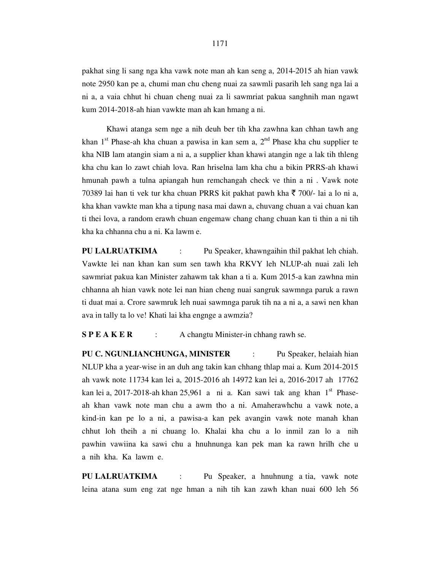pakhat sing li sang nga kha vawk note man ah kan seng a, 2014-2015 ah hian vawk note 2950 kan pe a, chumi man chu cheng nuai za sawmli pasarih leh sang nga lai a ni a, a vaia chhut hi chuan cheng nuai za li sawmriat pakua sanghnih man ngawt kum 2014-2018-ah hian vawkte man ah kan hmang a ni.

 Khawi atanga sem nge a nih deuh ber tih kha zawhna kan chhan tawh ang khan 1<sup>st</sup> Phase-ah kha chuan a pawisa in kan sem a,  $2<sup>nd</sup>$  Phase kha chu supplier te kha NIB lam atangin siam a ni a, a supplier khan khawi atangin nge a lak tih thleng kha chu kan lo zawt chiah lova. Ran hriselna lam kha chu a bikin PRRS-ah khawi hmunah pawh a tulna apiangah hun remchangah check ve thin a ni . Vawk note 70389 lai han ti vek tur kha chuan PRRS kit pakhat pawh kha  $\bar{\tau}$  700/- lai a lo ni a, kha khan vawkte man kha a tipung nasa mai dawn a, chuvang chuan a vai chuan kan ti thei lova, a random erawh chuan engemaw chang chang chuan kan ti thin a ni tih kha ka chhanna chu a ni. Ka lawm e.

**PU LALRUATKIMA** : Pu Speaker, khawngaihin thil pakhat leh chiah. Vawkte lei nan khan kan sum sen tawh kha RKVY leh NLUP-ah nuai zali leh sawmriat pakua kan Minister zahawm tak khan a ti a. Kum 2015-a kan zawhna min chhanna ah hian vawk note lei nan hian cheng nuai sangruk sawmnga paruk a rawn ti duat mai a. Crore sawmruk leh nuai sawmnga paruk tih na a ni a, a sawi nen khan ava in tally ta lo ve! Khati lai kha engnge a awmzia?

**S P E A K E R** : A changtu Minister-in chhang rawh se.

**PU C. NGUNLIANCHUNGA, MINISTER** : Pu Speaker, helaiah hian NLUP kha a year-wise in an duh ang takin kan chhang thlap mai a. Kum 2014-2015 ah vawk note 11734 kan lei a, 2015-2016 ah 14972 kan lei a, 2016-2017 ah 17762 kan lei a, 2017-2018-ah khan 25,961 a ni a. Kan sawi tak ang khan  $1<sup>st</sup>$  Phaseah khan vawk note man chu a awm tho a ni. Amaherawhchu a vawk note, a kind-in kan pe lo a ni, a pawisa-a kan pek avangin vawk note manah khan chhut loh theih a ni chuang lo. Khalai kha chu a lo inmil zan lo a nih pawhin vawiina ka sawi chu a hnuhnunga kan pek man ka rawn hrilh che u a nih kha. Ka lawm e.

**PU LALRUATKIMA** : Pu Speaker, a hnuhnung a tia, vawk note leina atana sum eng zat nge hman a nih tih kan zawh khan nuai 600 leh 56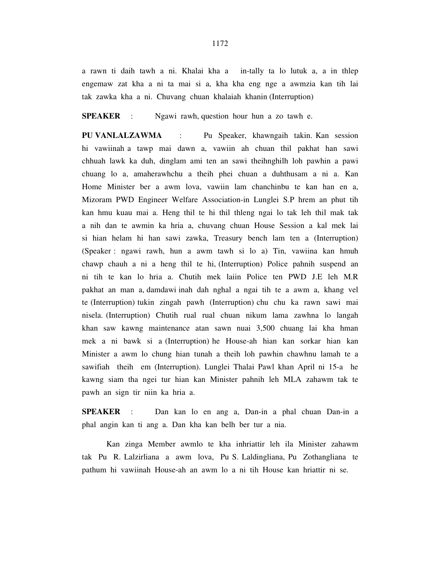a rawn ti daih tawh a ni. Khalai kha a in-tally ta lo lutuk a, a in thlep engemaw zat kha a ni ta mai si a, kha kha eng nge a awmzia kan tih lai tak zawka kha a ni. Chuvang chuan khalaiah khanin (Interruption)

**SPEAKER** : Ngawi rawh, question hour hun a zo tawh e.

**PU VANLALZAWMA** : Pu Speaker, khawngaih takin. Kan session hi vawiinah a tawp mai dawn a, vawiin ah chuan thil pakhat han sawi chhuah lawk ka duh, dinglam ami ten an sawi theihnghilh loh pawhin a pawi chuang lo a, amaherawhchu a theih phei chuan a duhthusam a ni a. Kan Home Minister ber a awm lova, vawiin lam chanchinbu te kan han en a, Mizoram PWD Engineer Welfare Association-in Lunglei S.P hrem an phut tih kan hmu kuau mai a. Heng thil te hi thil thleng ngai lo tak leh thil mak tak a nih dan te awmin ka hria a, chuvang chuan House Session a kal mek lai si hian helam hi han sawi zawka, Treasury bench lam ten a (Interruption) (Speaker : ngawi rawh, hun a awm tawh si lo a) Tin, vawiina kan hmuh chawp chauh a ni a heng thil te hi, (Interruption) Police pahnih suspend an ni tih te kan lo hria a. Chutih mek laiin Police ten PWD J.E leh M.R pakhat an man a, damdawi inah dah nghal a ngai tih te a awm a, khang vel te (Interruption) tukin zingah pawh (Interruption) chu chu ka rawn sawi mai nisela. (Interruption) Chutih rual rual chuan nikum lama zawhna lo langah khan saw kawng maintenance atan sawn nuai 3,500 chuang lai kha hman mek a ni bawk si a (Interruption) he House-ah hian kan sorkar hian kan Minister a awm lo chung hian tunah a theih loh pawhin chawhnu lamah te a sawifiah theih em (Interruption). Lunglei Thalai Pawl khan April ni 15-a he kawng siam tha ngei tur hian kan Minister pahnih leh MLA zahawm tak te pawh an sign tir niin ka hria a.

**SPEAKER** : Dan kan lo en ang a, Dan-in a phal chuan Dan-in a phal angin kan ti ang a. Dan kha kan belh ber tur a nia.

 Kan zinga Member awmlo te kha inhriattir leh ila Minister zahawm tak Pu R. Lalzirliana a awm lova, Pu S. Laldingliana, Pu Zothangliana te pathum hi vawiinah House-ah an awm lo a ni tih House kan hriattir ni se.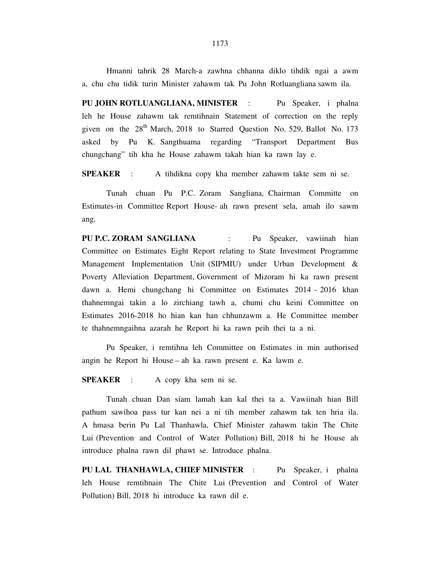Hmanni tahrik 28 March-a zawhna chhanna diklo tihdik ngai a awm a, chu chu tidik turin Minister zahawm tak Pu John Rotluangliana sawm ila.

**PU JOHN ROTLUANGLIANA, MINISTER** : Pu Speaker, i phalna leh he House zahawm tak remtihnain Statement of correction on the reply given on the  $28<sup>th</sup>$  March, 2018 to Starred Question No. 529, Ballot No. 173 asked by Pu K. Sangthuama regarding "Transport Department Bus chungchang" tih kha he House zahawm takah hian ka rawn lay e.

**SPEAKER** : A tihdikna copy kha member zahawm takte sem ni se.

 Tunah chuan Pu P.C. Zoram Sangliana, Chairman Committe on Estimates-in Committee Report House- ah rawn present sela, amah ilo sawm ang.

**PU P.C. ZORAM SANGLIANA** : Pu Speaker, vawiinah hian Committee on Estimates Eight Report relating to State Investment Programme Management Implementation Unit (SIPMIU) under Urban Development & Poverty Alleviation Department, Government of Mizoram hi ka rawn present dawn a. Hemi chungchang hi Committee on Estimates 2014 - 2016 khan thahnemngai takin a lo zirchiang tawh a, chumi chu keini Committee on Estimates 2016-2018 ho hian kan han chhunzawm a. He Committee member te thahnemngaihna azarah he Report hi ka rawn peih thei ta a ni.

 Pu Speaker, i remtihna leh Committee on Estimates in min authorised angin he Report hi House – ah ka rawn present e. Ka lawm e.

**SPEAKER** : A copy kha sem ni se.

 Tunah chuan Dan siam lamah kan kal thei ta a. Vawiinah hian Bill pathum sawihoa pass tur kan nei a ni tih member zahawm tak ten hria ila. A hmasa berin Pu Lal Thanhawla, Chief Minister zahawm takin The Chite Lui (Prevention and Control of Water Pollution) Bill, 2018 hi he House ah introduce phalna rawn dil phawt se. Introduce phalna.

**PU LAL THANHAWLA, CHIEF MINISTER** : Pu Speaker, i phalna leh House remtihnain The Chite Lui (Prevention and Control of Water Pollution) Bill, 2018 hi introduce ka rawn dil e.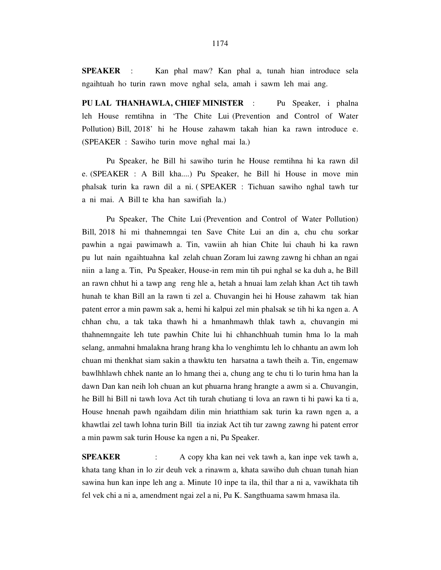**SPEAKER** : Kan phal maw? Kan phal a, tunah hian introduce sela ngaihtuah ho turin rawn move nghal sela, amah i sawm leh mai ang.

**PU LAL THANHAWLA, CHIEF MINISTER** : Pu Speaker, i phalna leh House remtihna in 'The Chite Lui (Prevention and Control of Water Pollution) Bill, 2018' hi he House zahawm takah hian ka rawn introduce e. (SPEAKER : Sawiho turin move nghal mai la.)

 Pu Speaker, he Bill hi sawiho turin he House remtihna hi ka rawn dil e. (SPEAKER : A Bill kha....) Pu Speaker, he Bill hi House in move min phalsak turin ka rawn dil a ni. ( SPEAKER : Tichuan sawiho nghal tawh tur a ni mai. A Bill te kha han sawifiah la.)

 Pu Speaker, The Chite Lui (Prevention and Control of Water Pollution) Bill, 2018 hi mi thahnemngai ten Save Chite Lui an din a, chu chu sorkar pawhin a ngai pawimawh a. Tin, vawiin ah hian Chite lui chauh hi ka rawn pu lut nain ngaihtuahna kal zelah chuan Zoram lui zawng zawng hi chhan an ngai niin a lang a. Tin, Pu Speaker, House-in rem min tih pui nghal se ka duh a, he Bill an rawn chhut hi a tawp ang reng hle a, hetah a hnuai lam zelah khan Act tih tawh hunah te khan Bill an la rawn ti zel a. Chuvangin hei hi House zahawm tak hian patent error a min pawm sak a, hemi hi kalpui zel min phalsak se tih hi ka ngen a. A chhan chu, a tak taka thawh hi a hmanhmawh thlak tawh a, chuvangin mi thahnemngaite leh tute pawhin Chite lui hi chhanchhuah tumin hma lo la mah selang, anmahni hmalakna hrang hrang kha lo venghimtu leh lo chhantu an awm loh chuan mi thenkhat siam sakin a thawktu ten harsatna a tawh theih a. Tin, engemaw bawlhhlawh chhek nante an lo hmang thei a, chung ang te chu ti lo turin hma han la dawn Dan kan neih loh chuan an kut phuarna hrang hrangte a awm si a. Chuvangin, he Bill hi Bill ni tawh lova Act tih turah chutiang ti lova an rawn ti hi pawi ka ti a, House hnenah pawh ngaihdam dilin min hriatthiam sak turin ka rawn ngen a, a khawtlai zel tawh lohna turin Bill tia inziak Act tih tur zawng zawng hi patent error a min pawm sak turin House ka ngen a ni, Pu Speaker.

**SPEAKER** : A copy kha kan nei vek tawh a, kan inpe vek tawh a, khata tang khan in lo zir deuh vek a rinawm a, khata sawiho duh chuan tunah hian sawina hun kan inpe leh ang a. Minute 10 inpe ta ila, thil thar a ni a, vawikhata tih fel vek chi a ni a, amendment ngai zel a ni, Pu K. Sangthuama sawm hmasa ila.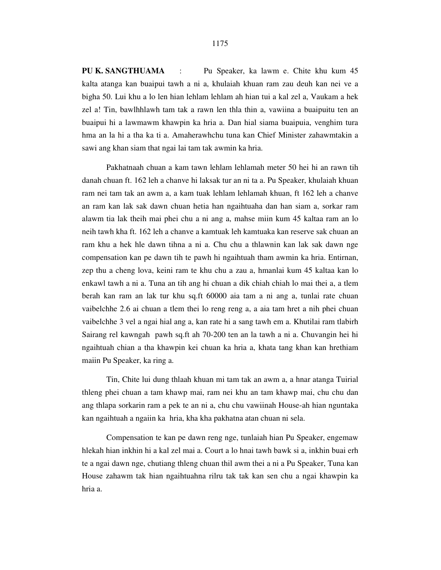**PU K. SANGTHUAMA** : Pu Speaker, ka lawm e. Chite khu kum 45 kalta atanga kan buaipui tawh a ni a, khulaiah khuan ram zau deuh kan nei ve a bigha 50. Lui khu a lo len hian lehlam lehlam ah hian tui a kal zel a, Vaukam a hek zel a! Tin, bawlhhlawh tam tak a rawn len thla thin a, vawiina a buaipuitu ten an buaipui hi a lawmawm khawpin ka hria a. Dan hial siama buaipuia, venghim tura hma an la hi a tha ka ti a. Amaherawhchu tuna kan Chief Minister zahawmtakin a sawi ang khan siam that ngai lai tam tak awmin ka hria.

 Pakhatnaah chuan a kam tawn lehlam lehlamah meter 50 hei hi an rawn tih danah chuan ft. 162 leh a chanve hi laksak tur an ni ta a. Pu Speaker, khulaiah khuan ram nei tam tak an awm a, a kam tuak lehlam lehlamah khuan, ft 162 leh a chanve an ram kan lak sak dawn chuan hetia han ngaihtuaha dan han siam a, sorkar ram alawm tia lak theih mai phei chu a ni ang a, mahse miin kum 45 kaltaa ram an lo neih tawh kha ft. 162 leh a chanve a kamtuak leh kamtuaka kan reserve sak chuan an ram khu a hek hle dawn tihna a ni a. Chu chu a thlawnin kan lak sak dawn nge compensation kan pe dawn tih te pawh hi ngaihtuah tham awmin ka hria. Entirnan, zep thu a cheng lova, keini ram te khu chu a zau a, hmanlai kum 45 kaltaa kan lo enkawl tawh a ni a. Tuna an tih ang hi chuan a dik chiah chiah lo mai thei a, a tlem berah kan ram an lak tur khu sq.ft 60000 aia tam a ni ang a, tunlai rate chuan vaibelchhe 2.6 ai chuan a tlem thei lo reng reng a, a aia tam hret a nih phei chuan vaibelchhe 3 vel a ngai hial ang a, kan rate hi a sang tawh em a. Khutilai ram tlabirh Sairang rel kawngah pawh sq.ft ah 70-200 ten an la tawh a ni a. Chuvangin hei hi ngaihtuah chian a tha khawpin kei chuan ka hria a, khata tang khan kan hrethiam maiin Pu Speaker, ka ring a.

 Tin, Chite lui dung thlaah khuan mi tam tak an awm a, a hnar atanga Tuirial thleng phei chuan a tam khawp mai, ram nei khu an tam khawp mai, chu chu dan ang thlapa sorkarin ram a pek te an ni a, chu chu vawiinah House-ah hian nguntaka kan ngaihtuah a ngaiin ka hria, kha kha pakhatna atan chuan ni sela.

 Compensation te kan pe dawn reng nge, tunlaiah hian Pu Speaker, engemaw hlekah hian inkhin hi a kal zel mai a. Court a lo hnai tawh bawk si a, inkhin buai erh te a ngai dawn nge, chutiang thleng chuan thil awm thei a ni a Pu Speaker, Tuna kan House zahawm tak hian ngaihtuahna rilru tak tak kan sen chu a ngai khawpin ka hria a.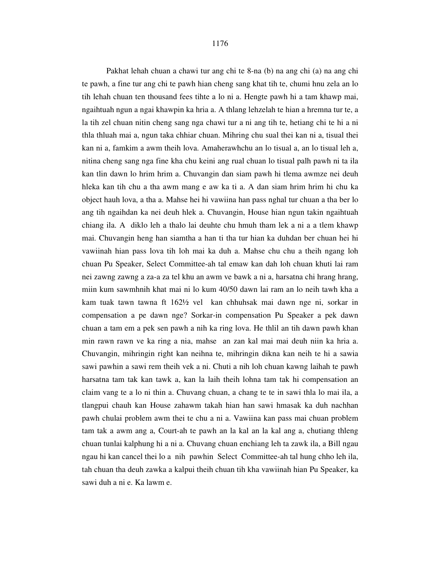Pakhat lehah chuan a chawi tur ang chi te 8-na (b) na ang chi (a) na ang chi te pawh, a fine tur ang chi te pawh hian cheng sang khat tih te, chumi hnu zela an lo tih lehah chuan ten thousand fees tihte a lo ni a. Hengte pawh hi a tam khawp mai, ngaihtuah ngun a ngai khawpin ka hria a. A thlang lehzelah te hian a hremna tur te, a la tih zel chuan nitin cheng sang nga chawi tur a ni ang tih te, hetiang chi te hi a ni thla thluah mai a, ngun taka chhiar chuan. Mihring chu sual thei kan ni a, tisual thei kan ni a, famkim a awm theih lova. Amaherawhchu an lo tisual a, an lo tisual leh a, nitina cheng sang nga fine kha chu keini ang rual chuan lo tisual palh pawh ni ta ila kan tlin dawn lo hrim hrim a. Chuvangin dan siam pawh hi tlema awmze nei deuh hleka kan tih chu a tha awm mang e aw ka ti a. A dan siam hrim hrim hi chu ka object hauh lova, a tha a. Mahse hei hi vawiina han pass nghal tur chuan a tha ber lo ang tih ngaihdan ka nei deuh hlek a. Chuvangin, House hian ngun takin ngaihtuah chiang ila. A diklo leh a thalo lai deuhte chu hmuh tham lek a ni a a tlem khawp mai. Chuvangin heng han siamtha a han ti tha tur hian ka duhdan ber chuan hei hi vawiinah hian pass lova tih loh mai ka duh a. Mahse chu chu a theih ngang loh chuan Pu Speaker, Select Committee-ah tal emaw kan dah loh chuan khuti lai ram nei zawng zawng a za-a za tel khu an awm ve bawk a ni a, harsatna chi hrang hrang, miin kum sawmhnih khat mai ni lo kum 40/50 dawn lai ram an lo neih tawh kha a kam tuak tawn tawna ft 162½ vel kan chhuhsak mai dawn nge ni, sorkar in compensation a pe dawn nge? Sorkar-in compensation Pu Speaker a pek dawn chuan a tam em a pek sen pawh a nih ka ring lova. He thlil an tih dawn pawh khan min rawn rawn ve ka ring a nia, mahse an zan kal mai mai deuh niin ka hria a. Chuvangin, mihringin right kan neihna te, mihringin dikna kan neih te hi a sawia sawi pawhin a sawi rem theih vek a ni. Chuti a nih loh chuan kawng laihah te pawh harsatna tam tak kan tawk a, kan la laih theih lohna tam tak hi compensation an claim vang te a lo ni thin a. Chuvang chuan, a chang te te in sawi thla lo mai ila, a tlangpui chauh kan House zahawm takah hian han sawi hmasak ka duh nachhan pawh chulai problem awm thei te chu a ni a. Vawiina kan pass mai chuan problem tam tak a awm ang a, Court-ah te pawh an la kal an la kal ang a, chutiang thleng chuan tunlai kalphung hi a ni a. Chuvang chuan enchiang leh ta zawk ila, a Bill ngau ngau hi kan cancel thei lo a nih pawhin Select Committee-ah tal hung chho leh ila, tah chuan tha deuh zawka a kalpui theih chuan tih kha vawiinah hian Pu Speaker, ka sawi duh a ni e. Ka lawm e.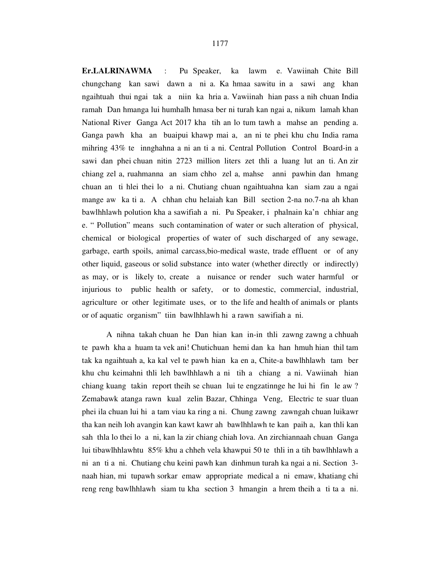**Er.LALRINAWMA** : Pu Speaker, ka lawm e. Vawiinah Chite Bill chungchang kan sawi dawn a ni a. Ka hmaa sawitu in a sawi ang khan ngaihtuah thui ngai tak a niin ka hria a. Vawiinah hian pass a nih chuan India ramah Dan hmanga lui humhalh hmasa ber ni turah kan ngai a, nikum lamah khan National River Ganga Act 2017 kha tih an lo tum tawh a mahse an pending a. Ganga pawh kha an buaipui khawp mai a, an ni te phei khu chu India rama mihring 43% te innghahna a ni an ti a ni. Central Pollution Control Board-in a sawi dan phei chuan nitin 2723 million liters zet thli a luang lut an ti. An zir chiang zel a, ruahmanna an siam chho zel a, mahse anni pawhin dan hmang chuan an ti hlei thei lo a ni. Chutiang chuan ngaihtuahna kan siam zau a ngai mange aw ka ti a. A chhan chu helaiah kan Bill section 2-na no.7-na ah khan bawlhhlawh polution kha a sawifiah a ni. Pu Speaker, i phalnain ka'n chhiar ang e. " Pollution" means such contamination of water or such alteration of physical, chemical or biological properties of water of such discharged of any sewage, garbage, earth spoils, animal carcass,bio-medical waste, trade effluent or of any other liquid, gaseous or solid substance into water (whether directly or indirectly) as may, or is likely to, create a nuisance or render such water harmful or injurious to public health or safety, or to domestic, commercial, industrial, agriculture or other legitimate uses, or to the life and health of animals or plants or of aquatic organism" tiin bawlhhlawh hi a rawn sawifiah a ni.

 A nihna takah chuan he Dan hian kan in-in thli zawng zawng a chhuah te pawh kha a huam ta vek ani! Chutichuan hemi dan ka han hmuh hian thil tam tak ka ngaihtuah a, ka kal vel te pawh hian ka en a, Chite-a bawlhhlawh tam ber khu chu keimahni thli leh bawlhhlawh a ni tih a chiang a ni. Vawiinah hian chiang kuang takin report theih se chuan lui te engzatinnge he lui hi fin le aw ? Zemabawk atanga rawn kual zelin Bazar, Chhinga Veng, Electric te suar tluan phei ila chuan lui hi a tam viau ka ring a ni. Chung zawng zawngah chuan luikawr tha kan neih loh avangin kan kawt kawr ah bawlhhlawh te kan paih a, kan thli kan sah thla lo thei lo a ni, kan la zir chiang chiah lova. An zirchiannaah chuan Ganga lui tibawlhhlawhtu 85% khu a chheh vela khawpui 50 te thli in a tih bawlhhlawh a ni an ti a ni. Chutiang chu keini pawh kan dinhmun turah ka ngai a ni. Section 3 naah hian, mi tupawh sorkar emaw appropriate medical a ni emaw, khatiang chi reng reng bawlhhlawh siam tu kha section 3 hmangin a hrem theih a ti ta a ni.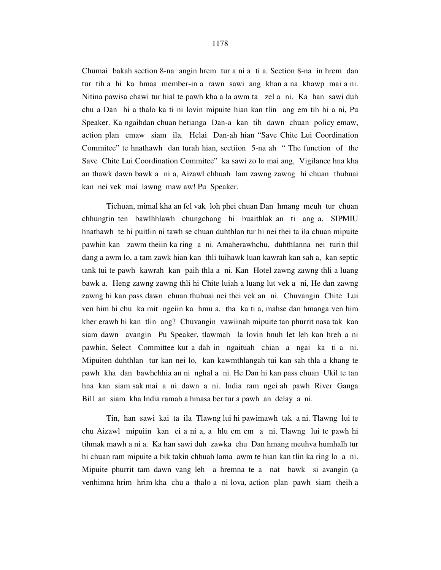Chumai bakah section 8-na angin hrem tur a ni a ti a. Section 8-na in hrem dan tur tih a hi ka hmaa member-in a rawn sawi ang khan a na khawp mai a ni. Nitina pawisa chawi tur hial te pawh kha a la awm ta zel a ni. Ka han sawi duh chu a Dan hi a thalo ka ti ni lovin mipuite hian kan tlin ang em tih hi a ni, Pu Speaker. Ka ngaihdan chuan hetianga Dan-a kan tih dawn chuan policy emaw, action plan emaw siam ila. Helai Dan-ah hian "Save Chite Lui Coordination Commitee" te hnathawh dan turah hian, sectiion 5-na ah " The function of the Save Chite Lui Coordination Commitee" ka sawi zo lo mai ang, Vigilance hna kha an thawk dawn bawk a ni a, Aizawl chhuah lam zawng zawng hi chuan thubuai kan nei vek mai lawng maw aw! Pu Speaker.

 Tichuan, mimal kha an fel vak loh phei chuan Dan hmang meuh tur chuan chhungtin ten bawlhhlawh chungchang hi buaithlak an ti ang a. SIPMIU hnathawh te hi puitlin ni tawh se chuan duhthlan tur hi nei thei ta ila chuan mipuite pawhin kan zawm theiin ka ring a ni. Amaherawhchu, duhthlanna nei turin thil dang a awm lo, a tam zawk hian kan thli tuihawk luan kawrah kan sah a, kan septic tank tui te pawh kawrah kan paih thla a ni. Kan Hotel zawng zawng thli a luang bawk a. Heng zawng zawng thli hi Chite luiah a luang lut vek a ni, He dan zawng zawng hi kan pass dawn chuan thubuai nei thei vek an ni. Chuvangin Chite Lui ven him hi chu ka mit ngeiin ka hmu a, tha ka ti a, mahse dan hmanga ven him kher erawh hi kan tlin ang? Chuvangin vawiinah mipuite tan phurrit nasa tak kan siam dawn avangin Pu Speaker, tlawmah la lovin hnuh let leh kan hreh a ni pawhin, Select Committee kut a dah in ngaituah chian a ngai ka ti a ni. Mipuiten duhthlan tur kan nei lo, kan kawmthlangah tui kan sah thla a khang te pawh kha dan bawhchhia an ni nghal a ni. He Dan hi kan pass chuan Ukil te tan hna kan siam sak mai a ni dawn a ni. India ram ngei ah pawh River Ganga Bill an siam kha India ramah a hmasa ber tur a pawh an delay a ni.

 Tin, han sawi kai ta ila Tlawng lui hi pawimawh tak a ni. Tlawng lui te chu Aizawl mipuiin kan ei a ni a, a hlu em em a ni. Tlawng lui te pawh hi tihmak mawh a ni a. Ka han sawi duh zawka chu Dan hmang meuhva humhalh tur hi chuan ram mipuite a bik takin chhuah lama awm te hian kan tlin ka ring lo a ni. Mipuite phurrit tam dawn vang leh a hremna te a nat bawk si avangin (a venhimna hrim hrim kha chu a thalo a ni lova, action plan pawh siam theih a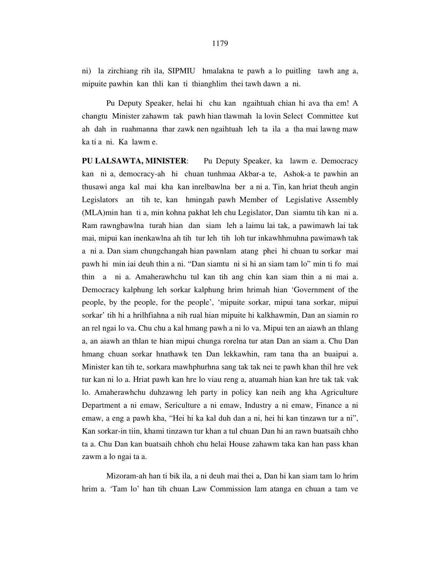ni) la zirchiang rih ila, SIPMIU hmalakna te pawh a lo puitling tawh ang a, mipuite pawhin kan thli kan ti thianghlim thei tawh dawn a ni.

 Pu Deputy Speaker, helai hi chu kan ngaihtuah chian hi ava tha em! A changtu Minister zahawm tak pawh hian tlawmah la lovin Select Committee kut ah dah in ruahmanna thar zawk nen ngaihtuah leh ta ila a tha mai lawng maw ka ti a ni. Ka lawm e.

**PU LALSAWTA, MINISTER**: Pu Deputy Speaker, ka lawm e. Democracy kan ni a, democracy-ah hi chuan tunhmaa Akbar-a te, Ashok-a te pawhin an thusawi anga kal mai kha kan inrelbawlna ber a ni a. Tin, kan hriat theuh angin Legislators an tih te, kan hmingah pawh Member of Legislative Assembly (MLA)min han ti a, min kohna pakhat leh chu Legislator, Dan siamtu tih kan ni a. Ram rawngbawlna turah hian dan siam leh a laimu lai tak, a pawimawh lai tak mai, mipui kan inenkawlna ah tih tur leh tih loh tur inkawhhmuhna pawimawh tak a ni a. Dan siam chungchangah hian pawnlam atang phei hi chuan tu sorkar mai pawh hi min iai deuh thin a ni. "Dan siamtu ni si hi an siam tam lo" min ti fo mai thin a ni a. Amaherawhchu tul kan tih ang chin kan siam thin a ni mai a. Democracy kalphung leh sorkar kalphung hrim hrimah hian 'Government of the people, by the people, for the people', 'mipuite sorkar, mipui tana sorkar, mipui sorkar' tih hi a hrilhfiahna a nih rual hian mipuite hi kalkhawmin, Dan an siamin ro an rel ngai lo va. Chu chu a kal hmang pawh a ni lo va. Mipui ten an aiawh an thlang a, an aiawh an thlan te hian mipui chunga rorelna tur atan Dan an siam a. Chu Dan hmang chuan sorkar hnathawk ten Dan lekkawhin, ram tana tha an buaipui a. Minister kan tih te, sorkara mawhphurhna sang tak tak nei te pawh khan thil hre vek tur kan ni lo a. Hriat pawh kan hre lo viau reng a, atuamah hian kan hre tak tak vak lo. Amaherawhchu duhzawng leh party in policy kan neih ang kha Agriculture Department a ni emaw, Sericulture a ni emaw, Industry a ni emaw, Finance a ni emaw, a eng a pawh kha, "Hei hi ka kal duh dan a ni, hei hi kan tinzawn tur a ni", Kan sorkar-in tiin, khami tinzawn tur khan a tul chuan Dan hi an rawn buatsaih chho ta a. Chu Dan kan buatsaih chhoh chu helai House zahawm taka kan han pass khan zawm a lo ngai ta a.

Mizoram-ah han ti bik ila, a ni deuh mai thei a, Dan hi kan siam tam lo hrim hrim a. 'Tam lo' han tih chuan Law Commission lam atanga en chuan a tam ve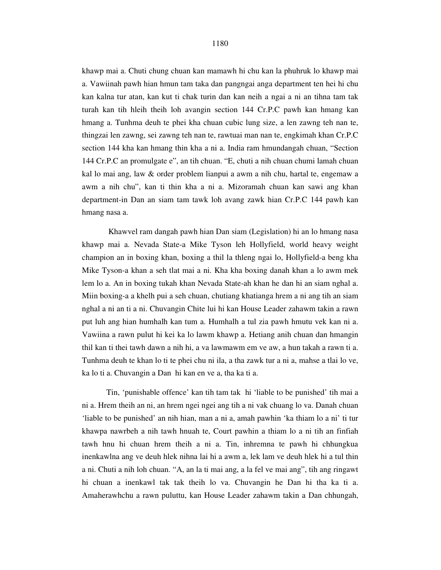khawp mai a. Chuti chung chuan kan mamawh hi chu kan la phuhruk lo khawp mai a. Vawiinah pawh hian hmun tam taka dan pangngai anga department ten hei hi chu kan kalna tur atan, kan kut ti chak turin dan kan neih a ngai a ni an tihna tam tak turah kan tih hleih theih loh avangin section 144 Cr.P.C pawh kan hmang kan hmang a. Tunhma deuh te phei kha chuan cubic lung size, a len zawng teh nan te, thingzai len zawng, sei zawng teh nan te, rawtuai man nan te, engkimah khan Cr.P.C section 144 kha kan hmang thin kha a ni a. India ram hmundangah chuan, "Section 144 Cr.P.C an promulgate e", an tih chuan. "E, chuti a nih chuan chumi lamah chuan kal lo mai ang, law & order problem lianpui a awm a nih chu, hartal te, engemaw a awm a nih chu", kan ti thin kha a ni a. Mizoramah chuan kan sawi ang khan department-in Dan an siam tam tawk loh avang zawk hian Cr.P.C 144 pawh kan hmang nasa a.

 Khawvel ram dangah pawh hian Dan siam (Legislation) hi an lo hmang nasa khawp mai a. Nevada State-a Mike Tyson leh Hollyfield, world heavy weight champion an in boxing khan, boxing a thil la thleng ngai lo, Hollyfield-a beng kha Mike Tyson-a khan a seh tlat mai a ni. Kha kha boxing danah khan a lo awm mek lem lo a. An in boxing tukah khan Nevada State-ah khan he dan hi an siam nghal a. Miin boxing-a a khelh pui a seh chuan, chutiang khatianga hrem a ni ang tih an siam nghal a ni an ti a ni. Chuvangin Chite lui hi kan House Leader zahawm takin a rawn put luh ang hian humhalh kan tum a. Humhalh a tul zia pawh hmutu vek kan ni a. Vawiina a rawn pulut hi kei ka lo lawm khawp a. Hetiang anih chuan dan hmangin thil kan ti thei tawh dawn a nih hi, a va lawmawm em ve aw, a hun takah a rawn ti a. Tunhma deuh te khan lo ti te phei chu ni ila, a tha zawk tur a ni a, mahse a tlai lo ve, ka lo ti a. Chuvangin a Dan hi kan en ve a, tha ka ti a.

Tin, 'punishable offence' kan tih tam tak hi 'liable to be punished' tih mai a ni a. Hrem theih an ni, an hrem ngei ngei ang tih a ni vak chuang lo va. Danah chuan 'liable to be punished' an nih hian, man a ni a, amah pawhin 'ka thiam lo a ni' ti tur khawpa nawrbeh a nih tawh hnuah te, Court pawhin a thiam lo a ni tih an finfiah tawh hnu hi chuan hrem theih a ni a. Tin, inhremna te pawh hi chhungkua inenkawlna ang ve deuh hlek nihna lai hi a awm a, lek lam ve deuh hlek hi a tul thin a ni. Chuti a nih loh chuan. "A, an la ti mai ang, a la fel ve mai ang", tih ang ringawt hi chuan a inenkawl tak tak theih lo va. Chuvangin he Dan hi tha ka ti a. Amaherawhchu a rawn puluttu, kan House Leader zahawm takin a Dan chhungah,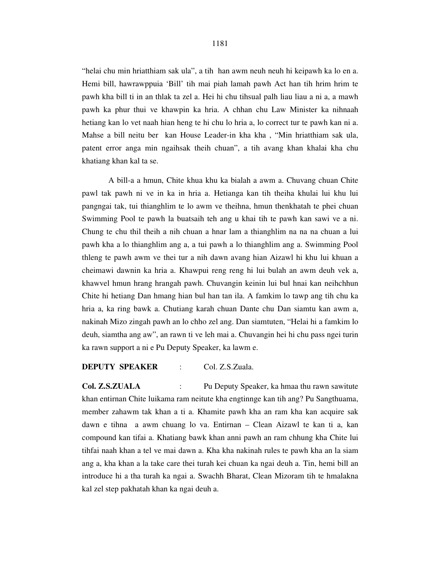"helai chu min hriatthiam sak ula", a tih han awm neuh neuh hi keipawh ka lo en a. Hemi bill, hawrawppuia 'Bill' tih mai piah lamah pawh Act han tih hrim hrim te pawh kha bill ti in an thlak ta zel a. Hei hi chu tihsual palh liau liau a ni a, a mawh pawh ka phur thui ve khawpin ka hria. A chhan chu Law Minister ka nihnaah hetiang kan lo vet naah hian heng te hi chu lo hria a, lo correct tur te pawh kan ni a. Mahse a bill neitu ber kan House Leader-in kha kha , "Min hriatthiam sak ula, patent error anga min ngaihsak theih chuan", a tih avang khan khalai kha chu khatiang khan kal ta se.

 A bill-a a hmun, Chite khua khu ka bialah a awm a. Chuvang chuan Chite pawl tak pawh ni ve in ka in hria a. Hetianga kan tih theiha khulai lui khu lui pangngai tak, tui thianghlim te lo awm ve theihna, hmun thenkhatah te phei chuan Swimming Pool te pawh la buatsaih teh ang u khai tih te pawh kan sawi ve a ni. Chung te chu thil theih a nih chuan a hnar lam a thianghlim na na na chuan a lui pawh kha a lo thianghlim ang a, a tui pawh a lo thianghlim ang a. Swimming Pool thleng te pawh awm ve thei tur a nih dawn avang hian Aizawl hi khu lui khuan a cheimawi dawnin ka hria a. Khawpui reng reng hi lui bulah an awm deuh vek a, khawvel hmun hrang hrangah pawh. Chuvangin keinin lui bul hnai kan neihchhun Chite hi hetiang Dan hmang hian bul han tan ila. A famkim lo tawp ang tih chu ka hria a, ka ring bawk a. Chutiang karah chuan Dante chu Dan siamtu kan awm a, nakinah Mizo zingah pawh an lo chho zel ang. Dan siamtuten, "Helai hi a famkim lo deuh, siamtha ang aw", an rawn ti ve leh mai a. Chuvangin hei hi chu pass ngei turin ka rawn support a ni e Pu Deputy Speaker, ka lawm e.

#### **DEPUTY SPEAKER** : Col. Z.S.Zuala.

**Col. Z.S.ZUALA** : Pu Deputy Speaker, ka hmaa thu rawn sawitute khan entirnan Chite luikama ram neitute kha engtinnge kan tih ang? Pu Sangthuama, member zahawm tak khan a ti a. Khamite pawh kha an ram kha kan acquire sak dawn e tihna a awm chuang lo va. Entirnan – Clean Aizawl te kan ti a, kan compound kan tifai a. Khatiang bawk khan anni pawh an ram chhung kha Chite lui tihfai naah khan a tel ve mai dawn a. Kha kha nakinah rules te pawh kha an la siam ang a, kha khan a la take care thei turah kei chuan ka ngai deuh a. Tin, hemi bill an introduce hi a tha turah ka ngai a. Swachh Bharat, Clean Mizoram tih te hmalakna kal zel step pakhatah khan ka ngai deuh a.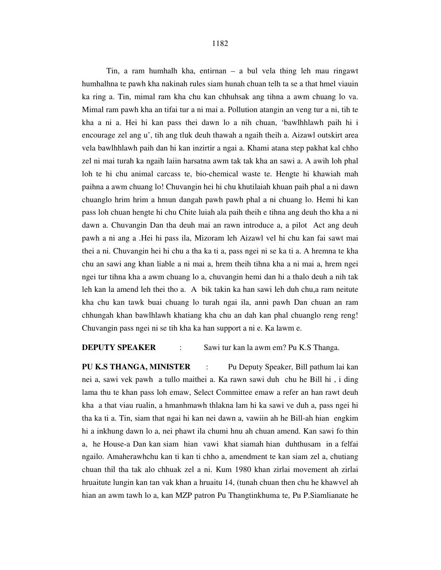#### 1182

Tin, a ram humhalh kha, entirnan – a bul vela thing leh mau ringawt humhalhna te pawh kha nakinah rules siam hunah chuan telh ta se a that hmel viauin ka ring a. Tin, mimal ram kha chu kan chhuhsak ang tihna a awm chuang lo va. Mimal ram pawh kha an tifai tur a ni mai a. Pollution atangin an veng tur a ni, tih te kha a ni a. Hei hi kan pass thei dawn lo a nih chuan, 'bawlhhlawh paih hi i encourage zel ang u', tih ang tluk deuh thawah a ngaih theih a. Aizawl outskirt area vela bawlhhlawh paih dan hi kan inzirtir a ngai a. Khami atana step pakhat kal chho zel ni mai turah ka ngaih laiin harsatna awm tak tak kha an sawi a. A awih loh phal loh te hi chu animal carcass te, bio-chemical waste te. Hengte hi khawiah mah paihna a awm chuang lo! Chuvangin hei hi chu khutilaiah khuan paih phal a ni dawn chuanglo hrim hrim a hmun dangah pawh pawh phal a ni chuang lo. Hemi hi kan pass loh chuan hengte hi chu Chite luiah ala paih theih e tihna ang deuh tho kha a ni dawn a. Chuvangin Dan tha deuh mai an rawn introduce a, a pilot Act ang deuh pawh a ni ang a .Hei hi pass ila, Mizoram leh Aizawl vel hi chu kan fai sawt mai thei a ni. Chuvangin hei hi chu a tha ka ti a, pass ngei ni se ka ti a. A hremna te kha chu an sawi ang khan liable a ni mai a, hrem theih tihna kha a ni mai a, hrem ngei ngei tur tihna kha a awm chuang lo a, chuvangin hemi dan hi a thalo deuh a nih tak leh kan la amend leh thei tho a. A bik takin ka han sawi leh duh chu,a ram neitute kha chu kan tawk buai chuang lo turah ngai ila, anni pawh Dan chuan an ram chhungah khan bawlhlawh khatiang kha chu an dah kan phal chuanglo reng reng! Chuvangin pass ngei ni se tih kha ka han support a ni e. Ka lawm e.

#### **DEPUTY SPEAKER** : Sawi tur kan la awm em? Pu K.S Thanga.

**PU K.S THANGA, MINISTER** : Pu Deputy Speaker, Bill pathum lai kan nei a, sawi vek pawh a tullo maithei a. Ka rawn sawi duh chu he Bill hi , i ding lama thu te khan pass loh emaw, Select Committee emaw a refer an han rawt deuh kha a that viau rualin, a hmanhmawh thlakna lam hi ka sawi ve duh a, pass ngei hi tha ka ti a. Tin, siam that ngai hi kan nei dawn a, vawiin ah he Bill-ah hian engkim hi a inkhung dawn lo a, nei phawt ila chumi hnu ah chuan amend. Kan sawi fo thin a, he House-a Dan kan siam hian vawi khat siamah hian duhthusam in a felfai ngailo. Amaherawhchu kan ti kan ti chho a, amendment te kan siam zel a, chutiang chuan thil tha tak alo chhuak zel a ni. Kum 1980 khan zirlai movement ah zirlai hruaitute lungin kan tan vak khan a hruaitu 14, (tunah chuan then chu he khawvel ah hian an awm tawh lo a, kan MZP patron Pu Thangtinkhuma te, Pu P.Siamlianate he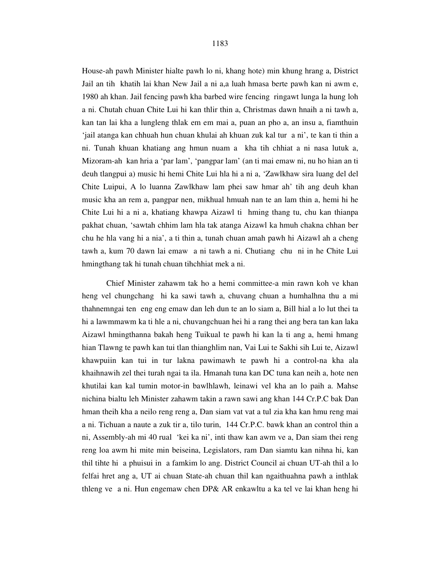House-ah pawh Minister hialte pawh lo ni, khang hote) min khung hrang a, District Jail an tih khatih lai khan New Jail a ni a,a luah hmasa berte pawh kan ni awm e, 1980 ah khan. Jail fencing pawh kha barbed wire fencing ringawt lunga la hung loh a ni. Chutah chuan Chite Lui hi kan thlir thin a, Christmas dawn hnaih a ni tawh a, kan tan lai kha a lungleng thlak em em mai a, puan an pho a, an insu a, fiamthuin 'jail atanga kan chhuah hun chuan khulai ah khuan zuk kal tur a ni', te kan ti thin a ni. Tunah khuan khatiang ang hmun nuam a kha tih chhiat a ni nasa lutuk a, Mizoram-ah kan hria a 'par lam', 'pangpar lam' (an ti mai emaw ni, nu ho hian an ti deuh tlangpui a) music hi hemi Chite Lui hla hi a ni a, 'Zawlkhaw sira luang del del Chite Luipui, A lo luanna Zawlkhaw lam phei saw hmar ah' tih ang deuh khan music kha an rem a, pangpar nen, mikhual hmuah nan te an lam thin a, hemi hi he Chite Lui hi a ni a, khatiang khawpa Aizawl ti hming thang tu, chu kan thianpa pakhat chuan, 'sawtah chhim lam hla tak atanga Aizawl ka hmuh chakna chhan ber chu he hla vang hi a nia', a ti thin a, tunah chuan amah pawh hi Aizawl ah a cheng tawh a, kum 70 dawn lai emaw a ni tawh a ni. Chutiang chu ni in he Chite Lui hmingthang tak hi tunah chuan tihchhiat mek a ni.

 Chief Minister zahawm tak ho a hemi committee-a min rawn koh ve khan heng vel chungchang hi ka sawi tawh a, chuvang chuan a humhalhna thu a mi thahnemngai ten eng eng emaw dan leh dun te an lo siam a, Bill hial a lo lut thei ta hi a lawmmawm ka ti hle a ni, chuvangchuan hei hi a rang thei ang bera tan kan laka Aizawl hmingthanna bakah heng Tuikual te pawh hi kan la ti ang a, hemi hmang hian Tlawng te pawh kan tui tlan thianghlim nan, Vai Lui te Sakhi sih Lui te, Aizawl khawpuiin kan tui in tur lakna pawimawh te pawh hi a control-na kha ala khaihnawih zel thei turah ngai ta ila. Hmanah tuna kan DC tuna kan neih a, hote nen khutilai kan kal tumin motor-in bawlhlawh, leinawi vel kha an lo paih a. Mahse nichina bialtu leh Minister zahawm takin a rawn sawi ang khan 144 Cr.P.C bak Dan hman theih kha a neilo reng reng a, Dan siam vat vat a tul zia kha kan hmu reng mai a ni. Tichuan a naute a zuk tir a, tilo turin, 144 Cr.P.C. bawk khan an control thin a ni, Assembly-ah mi 40 rual 'kei ka ni', inti thaw kan awm ve a, Dan siam thei reng reng loa awm hi mite min beiseina, Legislators, ram Dan siamtu kan nihna hi, kan thil tihte hi a phuisui in a famkim lo ang. District Council ai chuan UT-ah thil a lo felfai hret ang a, UT ai chuan State-ah chuan thil kan ngaithuahna pawh a inthlak thleng ve a ni. Hun engemaw chen DP& AR enkawltu a ka tel ve lai khan heng hi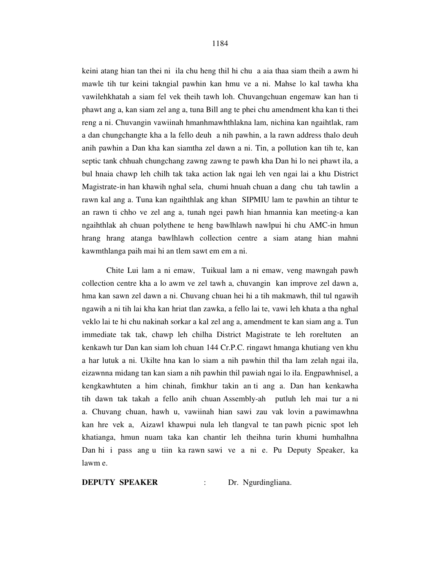keini atang hian tan thei ni ila chu heng thil hi chu a aia thaa siam theih a awm hi mawle tih tur keini takngial pawhin kan hmu ve a ni. Mahse lo kal tawha kha vawilehkhatah a siam fel vek theih tawh loh. Chuvangchuan engemaw kan han ti phawt ang a, kan siam zel ang a, tuna Bill ang te phei chu amendment kha kan ti thei reng a ni. Chuvangin vawiinah hmanhmawhthlakna lam, nichina kan ngaihtlak, ram a dan chungchangte kha a la fello deuh a nih pawhin, a la rawn address thalo deuh anih pawhin a Dan kha kan siamtha zel dawn a ni. Tin, a pollution kan tih te, kan septic tank chhuah chungchang zawng zawng te pawh kha Dan hi lo nei phawt ila, a bul hnaia chawp leh chilh tak taka action lak ngai leh ven ngai lai a khu District Magistrate-in han khawih nghal sela, chumi hnuah chuan a dang chu tah tawlin a rawn kal ang a. Tuna kan ngaihthlak ang khan SIPMIU lam te pawhin an tihtur te an rawn ti chho ve zel ang a, tunah ngei pawh hian hmannia kan meeting-a kan ngaihthlak ah chuan polythene te heng bawlhlawh nawlpui hi chu AMC-in hmun hrang hrang atanga bawlhlawh collection centre a siam atang hian mahni kawmthlanga paih mai hi an tlem sawt em em a ni.

 Chite Lui lam a ni emaw, Tuikual lam a ni emaw, veng mawngah pawh collection centre kha a lo awm ve zel tawh a, chuvangin kan improve zel dawn a, hma kan sawn zel dawn a ni. Chuvang chuan hei hi a tih makmawh, thil tul ngawih ngawih a ni tih lai kha kan hriat tlan zawka, a fello lai te, vawi leh khata a tha nghal veklo lai te hi chu nakinah sorkar a kal zel ang a, amendment te kan siam ang a. Tun immediate tak tak, chawp leh chilha District Magistrate te leh roreltuten an kenkawh tur Dan kan siam loh chuan 144 Cr.P.C. ringawt hmanga khutiang ven khu a har lutuk a ni. Ukilte hna kan lo siam a nih pawhin thil tha lam zelah ngai ila, eizawnna midang tan kan siam a nih pawhin thil pawiah ngai lo ila. Engpawhnisel, a kengkawhtuten a him chinah, fimkhur takin an ti ang a. Dan han kenkawha tih dawn tak takah a fello anih chuan Assembly-ah putluh leh mai tur a ni a. Chuvang chuan, hawh u, vawiinah hian sawi zau vak lovin a pawimawhna kan hre vek a, Aizawl khawpui nula leh tlangval te tan pawh picnic spot leh khatianga, hmun nuam taka kan chantir leh theihna turin khumi humhalhna Dan hi i pass ang u tiin ka rawn sawi ve a ni e. Pu Deputy Speaker, ka lawm e.

**DEPUTY SPEAKER** : Dr. Ngurdingliana.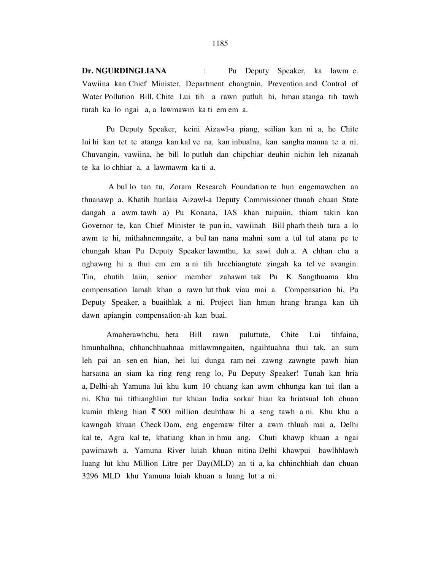**Dr. NGURDINGLIANA** : Pu Deputy Speaker, ka lawm e. Vawiina kan Chief Minister, Department changtuin, Prevention and Control of Water Pollution Bill, Chite Lui tih a rawn putluh hi, hman atanga tih tawh turah ka lo ngai a, a lawmawm ka ti em em a.

 Pu Deputy Speaker, keini Aizawl-a piang, seilian kan ni a, he Chite lui hi kan tet te atanga kan kal ve na, kan inbualna, kan sangha manna te a ni. Chuvangin, vawiina, he bill lo putluh dan chipchiar deuhin nichin leh nizanah te ka lo chhiar a, a lawmawm ka ti a.

 A bul lo tan tu, Zoram Research Foundation te hun engemawchen an thuanawp a. Khatih hunlaia Aizawl-a Deputy Commissioner (tunah chuan State dangah a awm tawh a) Pu Konana, IAS khan tuipuiin, thiam takin kan Governor te, kan Chief Minister te pun in, vawiinah Bill pharh theih tura a lo awm te hi, mithahnemngaite, a bul tan nana mahni sum a tul tul atana pe te chungah khan Pu Deputy Speaker lawmthu, ka sawi duh a. A chhan chu a nghawng hi a thui em em a ni tih hrechiangtute zingah ka tel ve avangin. Tin, chutih laiin, senior member zahawm tak Pu K. Sangthuama kha compensation lamah khan a rawn lut thuk viau mai a. Compensation hi, Pu Deputy Speaker, a buaithlak a ni. Project lian hmun hrang hranga kan tih dawn apiangin compensation-ah kan buai.

 Amaherawhchu, heta Bill rawn puluttute, Chite Lui tihfaina, hmunhalhna, chhanchhuahnaa mitlawmngaiten, ngaihtuahna thui tak, an sum leh pai an sen en hian, hei lui dunga ram nei zawng zawngte pawh hian harsatna an siam ka ring reng reng lo, Pu Deputy Speaker! Tunah kan hria a, Delhi-ah Yamuna lui khu kum 10 chuang kan awm chhunga kan tui tlan a ni. Khu tui tithianghlim tur khuan India sorkar hian ka hriatsual loh chuan kumin thleng hian  $\bar{\xi}$  500 million deuhthaw hi a seng tawh a ni. Khu khu a kawngah khuan Check Dam, eng engemaw filter a awm thluah mai a, Delhi kal te, Agra kal te, khatiang khan in hmu ang. Chuti khawp khuan a ngai pawimawh a. Yamuna River luiah khuan nitina Delhi khawpui bawlhhlawh luang lut khu Million Litre per Day(MLD) an ti a, ka chhinchhiah dan chuan 3296 MLD khu Yamuna luiah khuan a luang lut a ni.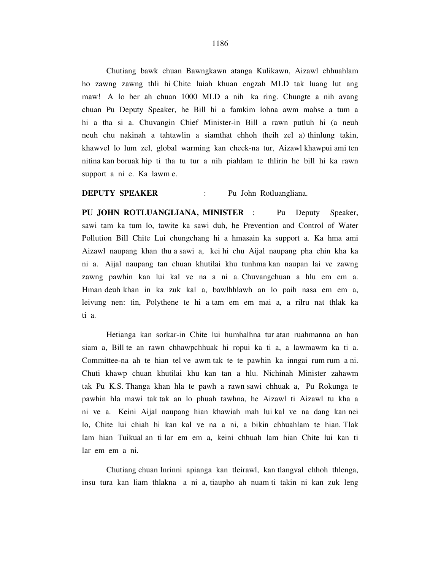Chutiang bawk chuan Bawngkawn atanga Kulikawn, Aizawl chhuahlam ho zawng zawng thli hi Chite luiah khuan engzah MLD tak luang lut ang maw! A lo ber ah chuan 1000 MLD a nih ka ring. Chungte a nih avang chuan Pu Deputy Speaker, he Bill hi a famkim lohna awm mahse a tum a hi a tha si a. Chuvangin Chief Minister-in Bill a rawn putluh hi (a neuh neuh chu nakinah a tahtawlin a siamthat chhoh theih zel a) thinlung takin, khawvel lo lum zel, global warming kan check-na tur, Aizawl khawpui ami ten nitina kan boruak hip ti tha tu tur a nih piahlam te thlirin he bill hi ka rawn support a ni e. Ka lawm e.

#### **DEPUTY SPEAKER** : Pu John Rotluangliana.

**PU JOHN ROTLUANGLIANA, MINISTER** : Pu Deputy Speaker, sawi tam ka tum lo, tawite ka sawi duh, he Prevention and Control of Water Pollution Bill Chite Lui chungchang hi a hmasain ka support a. Ka hma ami Aizawl naupang khan thu a sawi a, kei hi chu Aijal naupang pha chin kha ka ni a. Aijal naupang tan chuan khutilai khu tunhma kan naupan lai ve zawng zawng pawhin kan lui kal ve na a ni a. Chuvangchuan a hlu em em a. Hman deuh khan in ka zuk kal a, bawlhhlawh an lo paih nasa em em a, leivung nen: tin, Polythene te hi a tam em em mai a, a rilru nat thlak ka ti a.

 Hetianga kan sorkar-in Chite lui humhalhna tur atan ruahmanna an han siam a, Bill te an rawn chhawpchhuak hi ropui ka ti a, a lawmawm ka ti a. Committee-na ah te hian tel ve awm tak te te pawhin ka inngai rum rum a ni. Chuti khawp chuan khutilai khu kan tan a hlu. Nichinah Minister zahawm tak Pu K.S. Thanga khan hla te pawh a rawn sawi chhuak a, Pu Rokunga te pawhin hla mawi tak tak an lo phuah tawhna, he Aizawl ti Aizawl tu kha a ni ve a. Keini Aijal naupang hian khawiah mah lui kal ve na dang kan nei lo, Chite lui chiah hi kan kal ve na a ni, a bikin chhuahlam te hian. Tlak lam hian Tuikual an ti lar em em a, keini chhuah lam hian Chite lui kan ti lar em em a ni.

 Chutiang chuan Inrinni apianga kan tleirawl, kan tlangval chhoh thlenga, insu tura kan liam thlakna a ni a, tiaupho ah nuam ti takin ni kan zuk leng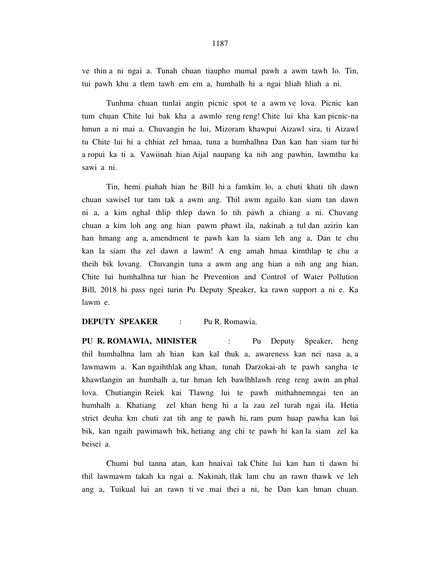ve thin a ni ngai a. Tunah chuan tiaupho mumal pawh a awm tawh lo. Tin, tui pawh khu a tlem tawh em em a, humhalh hi a ngai hliah hliah a ni.

 Tunhma chuan tunlai angin picnic spot te a awm ve lova. Picnic kan tum chuan Chite lui bak kha a awmlo reng reng! Chite lui kha kan picnic-na hmun a ni mai a. Chuvangin he lui, Mizoram khawpui Aizawl sira, ti Aizawl tu Chite lui hi a chhiat zel hmaa, tuna a humhalhna Dan kan han siam tur hi a ropui ka ti a. Vawiinah hian Aijal naupang ka nih ang pawhin, lawmthu ka sawi a ni.

 Tin, hemi piahah hian he Bill hi a famkim lo, a chuti khati tih dawn chuan sawisel tur tam tak a awm ang. Thil awm ngailo kan siam tan dawn ni a, a kim nghal thlip thlep dawn lo tih pawh a chiang a ni. Chuvang chuan a kim loh ang ang hian pawm phawt ila, nakinah a tul dan azirin kan han hmang ang a, amendment te pawh kan la siam leh ang a, Dan te chu kan la siam tha zel dawn a lawm! A eng amah hmaa kimthlap te chu a theih bik lovang. Chuvangin tuna a awm ang ang hian a nih ang ang hian, Chite lui humhalhna tur hian he Prevention and Control of Water Pollution Bill, 2018 hi pass ngei turin Pu Deputy Speaker, ka rawn support a ni e. Ka lawm e.

#### **DEPUTY SPEAKER** : Pu R. Romawia.

**PU R. ROMAWIA, MINISTER** : Pu Deputy Speaker, heng thil humhalhna lam ah hian kan kal thuk a, awareness kan nei nasa a, a lawmawm a. Kan ngaihthlak ang khan, tunah Darzokai-ah te pawh sangha te khawtlangin an humhalh a, tur hman leh bawlhhlawh reng reng awm an phal lova. Chutiangin Reiek kai Tlawng lui te pawh mithahnemngai ten an humhalh a. Khatiang zel khan heng hi a la zau zel turah ngai ila. Hetia strict deuha km chuti zat tih ang te pawh hi, ram pum huap pawha kan lui bik, kan ngaih pawimawh bik, hetiang ang chi te pawh hi kan la siam zel ka beisei a.

 Chumi bul tanna atan, kan hnaivai tak Chite lui kan han ti dawn hi thil lawmawm takah ka ngai a. Nakinah, tlak lam chu an rawn thawk ve leh ang a, Tuikual lui an rawn ti ve mai thei a ni, he Dan kan hman chuan.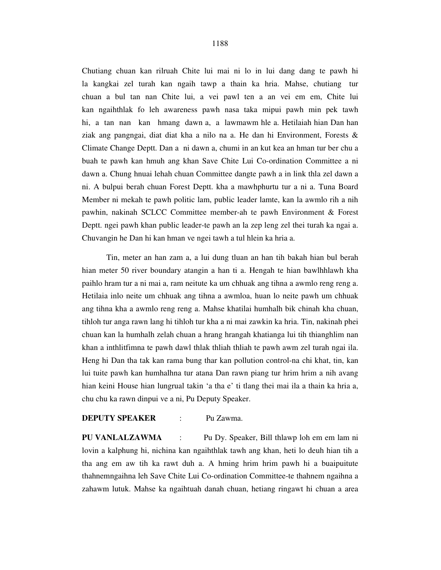Chutiang chuan kan rilruah Chite lui mai ni lo in lui dang dang te pawh hi la kangkai zel turah kan ngaih tawp a thain ka hria. Mahse, chutiang tur chuan a bul tan nan Chite lui, a vei pawl ten a an vei em em, Chite lui kan ngaihthlak fo leh awareness pawh nasa taka mipui pawh min pek tawh hi, a tan nan kan hmang dawn a, a lawmawm hle a. Hetilaiah hian Dan han ziak ang pangngai, diat diat kha a nilo na a. He dan hi Environment, Forests & Climate Change Deptt. Dan a ni dawn a, chumi in an kut kea an hman tur ber chu a buah te pawh kan hmuh ang khan Save Chite Lui Co-ordination Committee a ni dawn a. Chung hnuai lehah chuan Committee dangte pawh a in link thla zel dawn a ni. A bulpui berah chuan Forest Deptt. kha a mawhphurtu tur a ni a. Tuna Board Member ni mekah te pawh politic lam, public leader lamte, kan la awmlo rih a nih pawhin, nakinah SCLCC Committee member-ah te pawh Environment & Forest Deptt. ngei pawh khan public leader-te pawh an la zep leng zel thei turah ka ngai a. Chuvangin he Dan hi kan hman ve ngei tawh a tul hlein ka hria a.

 Tin, meter an han zam a, a lui dung tluan an han tih bakah hian bul berah hian meter 50 river boundary atangin a han ti a. Hengah te hian bawlhhlawh kha paihlo hram tur a ni mai a, ram neitute ka um chhuak ang tihna a awmlo reng reng a. Hetilaia inlo neite um chhuak ang tihna a awmloa, huan lo neite pawh um chhuak ang tihna kha a awmlo reng reng a. Mahse khatilai humhalh bik chinah kha chuan, tihloh tur anga rawn lang hi tihloh tur kha a ni mai zawkin ka hria. Tin, nakinah phei chuan kan la humhalh zelah chuan a hrang hrangah khatianga lui tih thianghlim nan khan a inthlitfimna te pawh dawl thlak thliah thliah te pawh awm zel turah ngai ila. Heng hi Dan tha tak kan rama bung thar kan pollution control-na chi khat, tin, kan lui tuite pawh kan humhalhna tur atana Dan rawn piang tur hrim hrim a nih avang hian keini House hian lungrual takin 'a tha e' ti tlang thei mai ila a thain ka hria a, chu chu ka rawn dinpui ve a ni, Pu Deputy Speaker.

#### **DEPUTY SPEAKER** : Pu Zawma.

**PU VANLALZAWMA** : Pu Dy. Speaker, Bill thlawp loh em em lam ni lovin a kalphung hi, nichina kan ngaihthlak tawh ang khan, heti lo deuh hian tih a tha ang em aw tih ka rawt duh a. A hming hrim hrim pawh hi a buaipuitute thahnemngaihna leh Save Chite Lui Co-ordination Committee-te thahnem ngaihna a zahawm lutuk. Mahse ka ngaihtuah danah chuan, hetiang ringawt hi chuan a area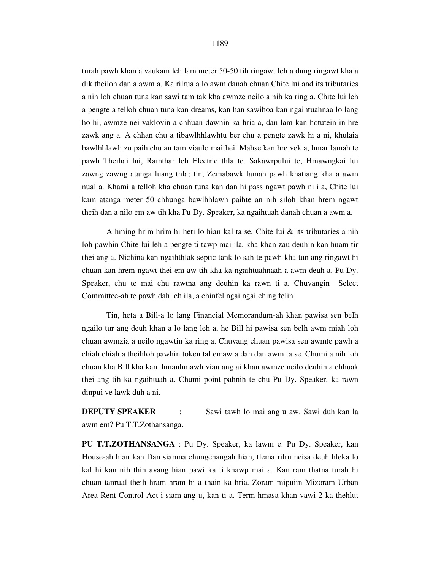turah pawh khan a vaukam leh lam meter 50-50 tih ringawt leh a dung ringawt kha a

dik theiloh dan a awm a. Ka rilrua a lo awm danah chuan Chite lui and its tributaries a nih loh chuan tuna kan sawi tam tak kha awmze neilo a nih ka ring a. Chite lui leh a pengte a telloh chuan tuna kan dreams, kan han sawihoa kan ngaihtuahnaa lo lang ho hi, awmze nei vaklovin a chhuan dawnin ka hria a, dan lam kan hotutein in hre zawk ang a. A chhan chu a tibawlhhlawhtu ber chu a pengte zawk hi a ni, khulaia bawlhhlawh zu paih chu an tam viaulo maithei. Mahse kan hre vek a, hmar lamah te pawh Theihai lui, Ramthar leh Electric thla te. Sakawrpului te, Hmawngkai lui zawng zawng atanga luang thla; tin, Zemabawk lamah pawh khatiang kha a awm nual a. Khami a telloh kha chuan tuna kan dan hi pass ngawt pawh ni ila, Chite lui kam atanga meter 50 chhunga bawlhhlawh paihte an nih siloh khan hrem ngawt theih dan a nilo em aw tih kha Pu Dy. Speaker, ka ngaihtuah danah chuan a awm a.

 A hming hrim hrim hi heti lo hian kal ta se, Chite lui & its tributaries a nih loh pawhin Chite lui leh a pengte ti tawp mai ila, kha khan zau deuhin kan huam tir thei ang a. Nichina kan ngaihthlak septic tank lo sah te pawh kha tun ang ringawt hi chuan kan hrem ngawt thei em aw tih kha ka ngaihtuahnaah a awm deuh a. Pu Dy. Speaker, chu te mai chu rawtna ang deuhin ka rawn ti a. Chuvangin Select Committee-ah te pawh dah leh ila, a chinfel ngai ngai ching felin.

 Tin, heta a Bill-a lo lang Financial Memorandum-ah khan pawisa sen belh ngailo tur ang deuh khan a lo lang leh a, he Bill hi pawisa sen belh awm miah loh chuan awmzia a neilo ngawtin ka ring a. Chuvang chuan pawisa sen awmte pawh a chiah chiah a theihloh pawhin token tal emaw a dah dan awm ta se. Chumi a nih loh chuan kha Bill kha kan hmanhmawh viau ang ai khan awmze neilo deuhin a chhuak thei ang tih ka ngaihtuah a. Chumi point pahnih te chu Pu Dy. Speaker, ka rawn dinpui ve lawk duh a ni.

**DEPUTY SPEAKER** : Sawi tawh lo mai ang u aw. Sawi duh kan la awm em? Pu T.T.Zothansanga.

**PU T.T.ZOTHANSANGA** : Pu Dy. Speaker, ka lawm e. Pu Dy. Speaker, kan House-ah hian kan Dan siamna chungchangah hian, tlema rilru neisa deuh hleka lo kal hi kan nih thin avang hian pawi ka ti khawp mai a. Kan ram thatna turah hi chuan tanrual theih hram hram hi a thain ka hria. Zoram mipuiin Mizoram Urban Area Rent Control Act i siam ang u, kan ti a. Term hmasa khan vawi 2 ka thehlut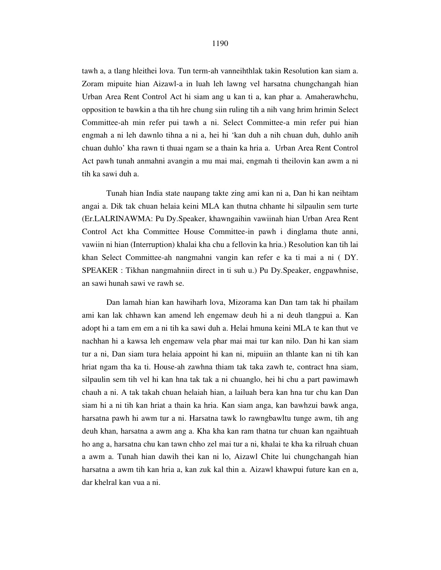tawh a, a tlang hleithei lova. Tun term-ah vanneihthlak takin Resolution kan siam a. Zoram mipuite hian Aizawl-a in luah leh lawng vel harsatna chungchangah hian Urban Area Rent Control Act hi siam ang u kan ti a, kan phar a. Amaherawhchu, opposition te bawkin a tha tih hre chung siin ruling tih a nih vang hrim hrimin Select Committee-ah min refer pui tawh a ni. Select Committee-a min refer pui hian engmah a ni leh dawnlo tihna a ni a, hei hi 'kan duh a nih chuan duh, duhlo anih chuan duhlo' kha rawn ti thuai ngam se a thain ka hria a. Urban Area Rent Control Act pawh tunah anmahni avangin a mu mai mai, engmah ti theilovin kan awm a ni tih ka sawi duh a.

 Tunah hian India state naupang takte zing ami kan ni a, Dan hi kan neihtam angai a. Dik tak chuan helaia keini MLA kan thutna chhante hi silpaulin sem turte (Er.LALRINAWMA: Pu Dy.Speaker, khawngaihin vawiinah hian Urban Area Rent Control Act kha Committee House Committee-in pawh i dinglama thute anni, vawiin ni hian (Interruption) khalai kha chu a fellovin ka hria.) Resolution kan tih lai khan Select Committee-ah nangmahni vangin kan refer e ka ti mai a ni ( DY. SPEAKER : Tikhan nangmahniin direct in ti suh u.) Pu Dy.Speaker, engpawhnise, an sawi hunah sawi ve rawh se.

 Dan lamah hian kan hawiharh lova, Mizorama kan Dan tam tak hi phailam ami kan lak chhawn kan amend leh engemaw deuh hi a ni deuh tlangpui a. Kan adopt hi a tam em em a ni tih ka sawi duh a. Helai hmuna keini MLA te kan thut ve nachhan hi a kawsa leh engemaw vela phar mai mai tur kan nilo. Dan hi kan siam tur a ni, Dan siam tura helaia appoint hi kan ni, mipuiin an thlante kan ni tih kan hriat ngam tha ka ti. House-ah zawhna thiam tak taka zawh te, contract hna siam, silpaulin sem tih vel hi kan hna tak tak a ni chuanglo, hei hi chu a part pawimawh chauh a ni. A tak takah chuan helaiah hian, a lailuah bera kan hna tur chu kan Dan siam hi a ni tih kan hriat a thain ka hria. Kan siam anga, kan bawhzui bawk anga, harsatna pawh hi awm tur a ni. Harsatna tawk lo rawngbawltu tunge awm, tih ang deuh khan, harsatna a awm ang a. Kha kha kan ram thatna tur chuan kan ngaihtuah ho ang a, harsatna chu kan tawn chho zel mai tur a ni, khalai te kha ka rilruah chuan a awm a. Tunah hian dawih thei kan ni lo, Aizawl Chite lui chungchangah hian harsatna a awm tih kan hria a, kan zuk kal thin a. Aizawl khawpui future kan en a, dar khelral kan vua a ni.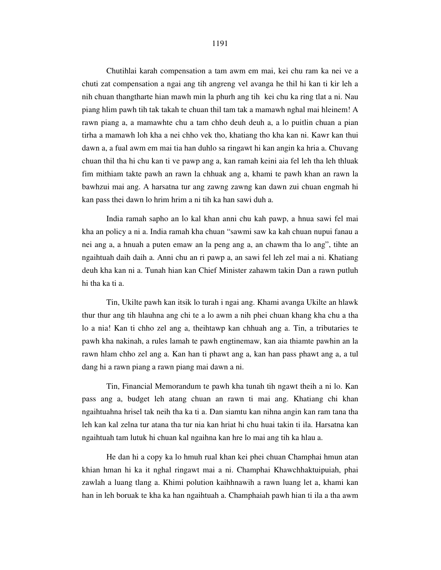Chutihlai karah compensation a tam awm em mai, kei chu ram ka nei ve a chuti zat compensation a ngai ang tih angreng vel avanga he thil hi kan ti kir leh a nih chuan thangtharte hian mawh min la phurh ang tih kei chu ka ring tlat a ni. Nau piang hlim pawh tih tak takah te chuan thil tam tak a mamawh nghal mai hleinem! A rawn piang a, a mamawhte chu a tam chho deuh deuh a, a lo puitlin chuan a pian tirha a mamawh loh kha a nei chho vek tho, khatiang tho kha kan ni. Kawr kan thui dawn a, a fual awm em mai tia han duhlo sa ringawt hi kan angin ka hria a. Chuvang chuan thil tha hi chu kan ti ve pawp ang a, kan ramah keini aia fel leh tha leh thluak fim mithiam takte pawh an rawn la chhuak ang a, khami te pawh khan an rawn la bawhzui mai ang. A harsatna tur ang zawng zawng kan dawn zui chuan engmah hi kan pass thei dawn lo hrim hrim a ni tih ka han sawi duh a.

 India ramah sapho an lo kal khan anni chu kah pawp, a hnua sawi fel mai kha an policy a ni a. India ramah kha chuan "sawmi saw ka kah chuan nupui fanau a nei ang a, a hnuah a puten emaw an la peng ang a, an chawm tha lo ang", tihte an ngaihtuah daih daih a. Anni chu an ri pawp a, an sawi fel leh zel mai a ni. Khatiang deuh kha kan ni a. Tunah hian kan Chief Minister zahawm takin Dan a rawn putluh hi tha ka ti a.

 Tin, Ukilte pawh kan itsik lo turah i ngai ang. Khami avanga Ukilte an hlawk thur thur ang tih hlauhna ang chi te a lo awm a nih phei chuan khang kha chu a tha lo a nia! Kan ti chho zel ang a, theihtawp kan chhuah ang a. Tin, a tributaries te pawh kha nakinah, a rules lamah te pawh engtinemaw, kan aia thiamte pawhin an la rawn hlam chho zel ang a. Kan han ti phawt ang a, kan han pass phawt ang a, a tul dang hi a rawn piang a rawn piang mai dawn a ni.

 Tin, Financial Memorandum te pawh kha tunah tih ngawt theih a ni lo. Kan pass ang a, budget leh atang chuan an rawn ti mai ang. Khatiang chi khan ngaihtuahna hrisel tak neih tha ka ti a. Dan siamtu kan nihna angin kan ram tana tha leh kan kal zelna tur atana tha tur nia kan hriat hi chu huai takin ti ila. Harsatna kan ngaihtuah tam lutuk hi chuan kal ngaihna kan hre lo mai ang tih ka hlau a.

 He dan hi a copy ka lo hmuh rual khan kei phei chuan Champhai hmun atan khian hman hi ka it nghal ringawt mai a ni. Champhai Khawchhaktuipuiah, phai zawlah a luang tlang a. Khimi polution kaihhnawih a rawn luang let a, khami kan han in leh boruak te kha ka han ngaihtuah a. Champhaiah pawh hian ti ila a tha awm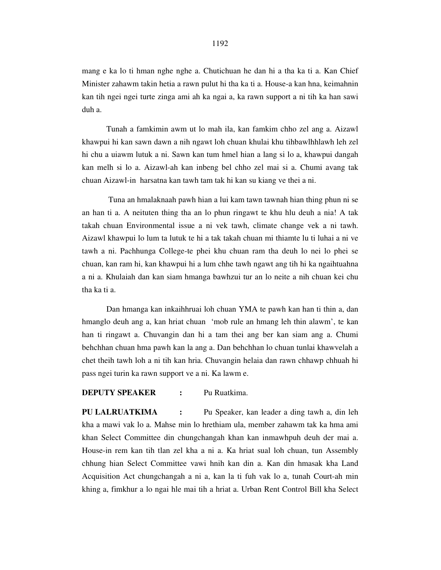mang e ka lo ti hman nghe nghe a. Chutichuan he dan hi a tha ka ti a. Kan Chief Minister zahawm takin hetia a rawn pulut hi tha ka ti a. House-a kan hna, keimahnin kan tih ngei ngei turte zinga ami ah ka ngai a, ka rawn support a ni tih ka han sawi duh a.

 Tunah a famkimin awm ut lo mah ila, kan famkim chho zel ang a. Aizawl khawpui hi kan sawn dawn a nih ngawt loh chuan khulai khu tihbawlhhlawh leh zel hi chu a uiawm lutuk a ni. Sawn kan tum hmel hian a lang si lo a, khawpui dangah kan melh si lo a. Aizawl-ah kan inbeng bel chho zel mai si a. Chumi avang tak chuan Aizawl-in harsatna kan tawh tam tak hi kan su kiang ve thei a ni.

 Tuna an hmalaknaah pawh hian a lui kam tawn tawnah hian thing phun ni se an han ti a. A neituten thing tha an lo phun ringawt te khu hlu deuh a nia! A tak takah chuan Environmental issue a ni vek tawh, climate change vek a ni tawh. Aizawl khawpui lo lum ta lutuk te hi a tak takah chuan mi thiamte lu ti luhai a ni ve tawh a ni. Pachhunga College-te phei khu chuan ram tha deuh lo nei lo phei se chuan, kan ram hi, kan khawpui hi a lum chhe tawh ngawt ang tih hi ka ngaihtuahna a ni a. Khulaiah dan kan siam hmanga bawhzui tur an lo neite a nih chuan kei chu tha ka ti a.

 Dan hmanga kan inkaihhruai loh chuan YMA te pawh kan han ti thin a, dan hmanglo deuh ang a, kan hriat chuan 'mob rule an hmang leh thin alawm', te kan han ti ringawt a. Chuvangin dan hi a tam thei ang ber kan siam ang a. Chumi behchhan chuan hma pawh kan la ang a. Dan behchhan lo chuan tunlai khawvelah a chet theih tawh loh a ni tih kan hria. Chuvangin helaia dan rawn chhawp chhuah hi pass ngei turin ka rawn support ve a ni. Ka lawm e.

### **DEPUTY SPEAKER :** Pu Ruatkima.

**PU LALRUATKIMA :** Pu Speaker, kan leader a ding tawh a, din leh kha a mawi vak lo a. Mahse min lo hrethiam ula, member zahawm tak ka hma ami khan Select Committee din chungchangah khan kan inmawhpuh deuh der mai a. House-in rem kan tih tlan zel kha a ni a. Ka hriat sual loh chuan, tun Assembly chhung hian Select Committee vawi hnih kan din a. Kan din hmasak kha Land Acquisition Act chungchangah a ni a, kan la ti fuh vak lo a, tunah Court-ah min khing a, fimkhur a lo ngai hle mai tih a hriat a. Urban Rent Control Bill kha Select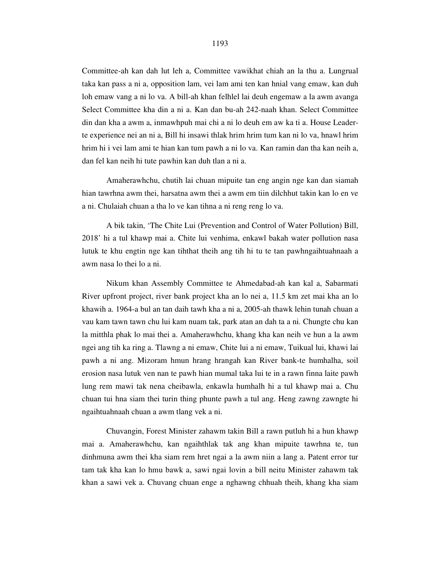Committee-ah kan dah lut leh a, Committee vawikhat chiah an la thu a. Lungrual taka kan pass a ni a, opposition lam, vei lam ami ten kan hnial vang emaw, kan duh loh emaw vang a ni lo va. A bill-ah khan felhlel lai deuh engemaw a la awm avanga Select Committee kha din a ni a. Kan dan bu-ah 242-naah khan. Select Committee din dan kha a awm a, inmawhpuh mai chi a ni lo deuh em aw ka ti a. House Leaderte experience nei an ni a, Bill hi insawi thlak hrim hrim tum kan ni lo va, hnawl hrim hrim hi i vei lam ami te hian kan tum pawh a ni lo va. Kan ramin dan tha kan neih a, dan fel kan neih hi tute pawhin kan duh tlan a ni a.

 Amaherawhchu, chutih lai chuan mipuite tan eng angin nge kan dan siamah hian tawrhna awm thei, harsatna awm thei a awm em tiin dilchhut takin kan lo en ve a ni. Chulaiah chuan a tha lo ve kan tihna a ni reng reng lo va.

 A bik takin, 'The Chite Lui (Prevention and Control of Water Pollution) Bill, 2018' hi a tul khawp mai a. Chite lui venhima, enkawl bakah water pollution nasa lutuk te khu engtin nge kan tihthat theih ang tih hi tu te tan pawhngaihtuahnaah a awm nasa lo thei lo a ni.

 Nikum khan Assembly Committee te Ahmedabad-ah kan kal a, Sabarmati River upfront project, river bank project kha an lo nei a, 11.5 km zet mai kha an lo khawih a. 1964-a bul an tan daih tawh kha a ni a, 2005-ah thawk lehin tunah chuan a vau kam tawn tawn chu lui kam nuam tak, park atan an dah ta a ni. Chungte chu kan la mitthla phak lo mai thei a. Amaherawhchu, khang kha kan neih ve hun a la awm ngei ang tih ka ring a. Tlawng a ni emaw, Chite lui a ni emaw, Tuikual lui, khawi lai pawh a ni ang. Mizoram hmun hrang hrangah kan River bank-te humhalha, soil erosion nasa lutuk ven nan te pawh hian mumal taka lui te in a rawn finna laite pawh lung rem mawi tak nena cheibawla, enkawla humhalh hi a tul khawp mai a. Chu chuan tui hna siam thei turin thing phunte pawh a tul ang. Heng zawng zawngte hi ngaihtuahnaah chuan a awm tlang vek a ni.

 Chuvangin, Forest Minister zahawm takin Bill a rawn putluh hi a hun khawp mai a. Amaherawhchu, kan ngaihthlak tak ang khan mipuite tawrhna te, tun dinhmuna awm thei kha siam rem hret ngai a la awm niin a lang a. Patent error tur tam tak kha kan lo hmu bawk a, sawi ngai lovin a bill neitu Minister zahawm tak khan a sawi vek a. Chuvang chuan enge a nghawng chhuah theih, khang kha siam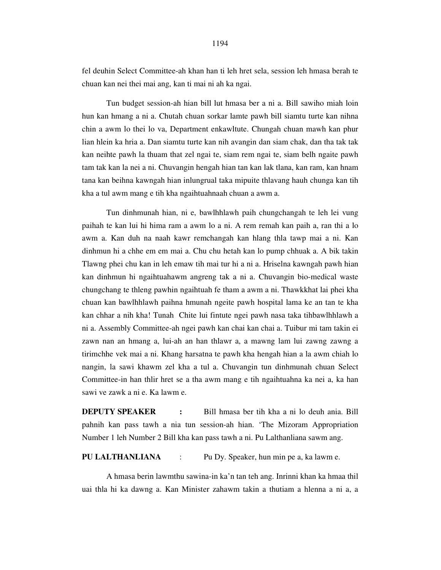Tun budget session-ah hian bill lut hmasa ber a ni a. Bill sawiho miah loin hun kan hmang a ni a. Chutah chuan sorkar lamte pawh bill siamtu turte kan nihna chin a awm lo thei lo va, Department enkawltute. Chungah chuan mawh kan phur lian hlein ka hria a. Dan siamtu turte kan nih avangin dan siam chak, dan tha tak tak kan neihte pawh la thuam that zel ngai te, siam rem ngai te, siam belh ngaite pawh tam tak kan la nei a ni. Chuvangin hengah hian tan kan lak tlana, kan ram, kan hnam tana kan beihna kawngah hian inlungrual taka mipuite thlavang hauh chunga kan tih kha a tul awm mang e tih kha ngaihtuahnaah chuan a awm a.

 Tun dinhmunah hian, ni e, bawlhhlawh paih chungchangah te leh lei vung paihah te kan lui hi hima ram a awm lo a ni. A rem remah kan paih a, ran thi a lo awm a. Kan duh na naah kawr remchangah kan hlang thla tawp mai a ni. Kan dinhmun hi a chhe em em mai a. Chu chu hetah kan lo pump chhuak a. A bik takin Tlawng phei chu kan in leh emaw tih mai tur hi a ni a. Hriselna kawngah pawh hian kan dinhmun hi ngaihtuahawm angreng tak a ni a. Chuvangin bio-medical waste chungchang te thleng pawhin ngaihtuah fe tham a awm a ni. Thawkkhat lai phei kha chuan kan bawlhhlawh paihna hmunah ngeite pawh hospital lama ke an tan te kha kan chhar a nih kha! Tunah Chite lui fintute ngei pawh nasa taka tihbawlhhlawh a ni a. Assembly Committee-ah ngei pawh kan chai kan chai a. Tuibur mi tam takin ei zawn nan an hmang a, lui-ah an han thlawr a, a mawng lam lui zawng zawng a tirimchhe vek mai a ni. Khang harsatna te pawh kha hengah hian a la awm chiah lo nangin, la sawi khawm zel kha a tul a. Chuvangin tun dinhmunah chuan Select Committee-in han thlir hret se a tha awm mang e tih ngaihtuahna ka nei a, ka han sawi ve zawk a ni e. Ka lawm e.

**DEPUTY SPEAKER** : Bill hmasa ber tih kha a ni lo deuh ania. Bill pahnih kan pass tawh a nia tun session-ah hian. 'The Mizoram Appropriation Number 1 leh Number 2 Bill kha kan pass tawh a ni. Pu Lalthanliana sawm ang.

### **PU LALTHANLIANA** : Pu Dy. Speaker, hun min pe a, ka lawm e.

 A hmasa berin lawmthu sawina-in ka'n tan teh ang. Inrinni khan ka hmaa thil uai thla hi ka dawng a. Kan Minister zahawm takin a thutiam a hlenna a ni a, a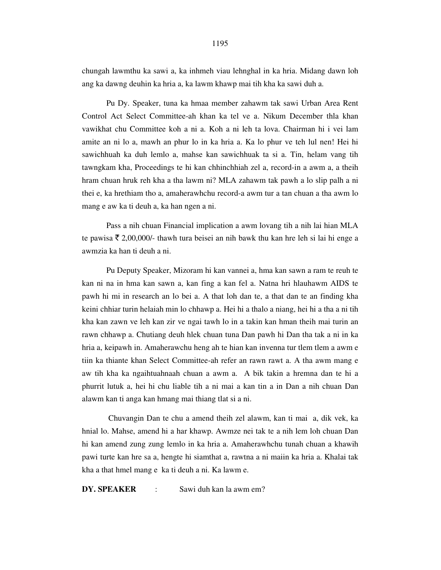chungah lawmthu ka sawi a, ka inhmeh viau lehnghal in ka hria. Midang dawn loh ang ka dawng deuhin ka hria a, ka lawm khawp mai tih kha ka sawi duh a.

 Pu Dy. Speaker, tuna ka hmaa member zahawm tak sawi Urban Area Rent Control Act Select Committee-ah khan ka tel ve a. Nikum December thla khan vawikhat chu Committee koh a ni a. Koh a ni leh ta lova. Chairman hi i vei lam amite an ni lo a, mawh an phur lo in ka hria a. Ka lo phur ve teh lul nen! Hei hi sawichhuah ka duh lemlo a, mahse kan sawichhuak ta si a. Tin, helam vang tih tawngkam kha, Proceedings te hi kan chhinchhiah zel a, record-in a awm a, a theih hram chuan hruk reh kha a tha lawm ni? MLA zahawm tak pawh a lo slip palh a ni thei e, ka hrethiam tho a, amaherawhchu record-a awm tur a tan chuan a tha awm lo mang e aw ka ti deuh a, ka han ngen a ni.

 Pass a nih chuan Financial implication a awm lovang tih a nih lai hian MLA te pawisa  $\bar{\tau}$  2,00,000/- thawh tura beisei an nih bawk thu kan hre leh si lai hi enge a awmzia ka han ti deuh a ni.

 Pu Deputy Speaker, Mizoram hi kan vannei a, hma kan sawn a ram te reuh te kan ni na in hma kan sawn a, kan fing a kan fel a. Natna hri hlauhawm AIDS te pawh hi mi in research an lo bei a. A that loh dan te, a that dan te an finding kha keini chhiar turin helaiah min lo chhawp a. Hei hi a thalo a niang, hei hi a tha a ni tih kha kan zawn ve leh kan zir ve ngai tawh lo in a takin kan hman theih mai turin an rawn chhawp a. Chutiang deuh hlek chuan tuna Dan pawh hi Dan tha tak a ni in ka hria a, keipawh in. Amaherawchu heng ah te hian kan invenna tur tlem tlem a awm e tiin ka thiante khan Select Committee-ah refer an rawn rawt a. A tha awm mang e aw tih kha ka ngaihtuahnaah chuan a awm a. A bik takin a hremna dan te hi a phurrit lutuk a, hei hi chu liable tih a ni mai a kan tin a in Dan a nih chuan Dan alawm kan ti anga kan hmang mai thiang tlat si a ni.

 Chuvangin Dan te chu a amend theih zel alawm, kan ti mai a, dik vek, ka hnial lo. Mahse, amend hi a har khawp. Awmze nei tak te a nih lem loh chuan Dan hi kan amend zung zung lemlo in ka hria a. Amaherawhchu tunah chuan a khawih pawi turte kan hre sa a, hengte hi siamthat a, rawtna a ni maiin ka hria a. Khalai tak kha a that hmel mang e ka ti deuh a ni. Ka lawm e.

**DY. SPEAKER** : Sawi duh kan la awm em?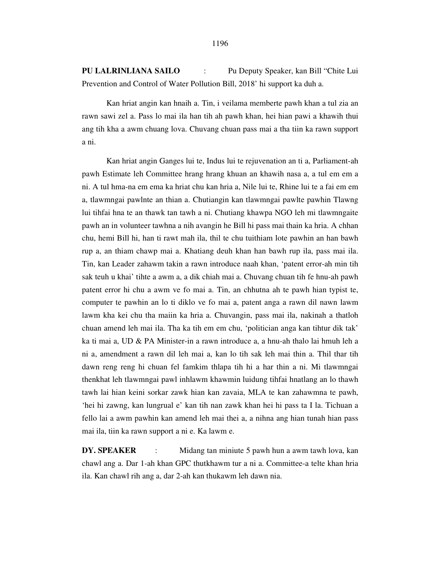**PU LALRINLIANA SAILO** : Pu Deputy Speaker, kan Bill "Chite Lui Prevention and Control of Water Pollution Bill, 2018' hi support ka duh a.

 Kan hriat angin kan hnaih a. Tin, i veilama memberte pawh khan a tul zia an rawn sawi zel a. Pass lo mai ila han tih ah pawh khan, hei hian pawi a khawih thui ang tih kha a awm chuang lova. Chuvang chuan pass mai a tha tiin ka rawn support a ni.

 Kan hriat angin Ganges lui te, Indus lui te rejuvenation an ti a, Parliament-ah pawh Estimate leh Committee hrang hrang khuan an khawih nasa a, a tul em em a ni. A tul hma-na em ema ka hriat chu kan hria a, Nile lui te, Rhine lui te a fai em em a, tlawmngai pawlnte an thian a. Chutiangin kan tlawmngai pawlte pawhin Tlawng lui tihfai hna te an thawk tan tawh a ni. Chutiang khawpa NGO leh mi tlawmngaite pawh an in volunteer tawhna a nih avangin he Bill hi pass mai thain ka hria. A chhan chu, hemi Bill hi, han ti rawt mah ila, thil te chu tuithiam lote pawhin an han bawh rup a, an thiam chawp mai a. Khatiang deuh khan han bawh rup ila, pass mai ila. Tin, kan Leader zahawm takin a rawn introduce naah khan, 'patent error-ah min tih sak teuh u khai' tihte a awm a, a dik chiah mai a. Chuvang chuan tih fe hnu-ah pawh patent error hi chu a awm ve fo mai a. Tin, an chhutna ah te pawh hian typist te, computer te pawhin an lo ti diklo ve fo mai a, patent anga a rawn dil nawn lawm lawm kha kei chu tha maiin ka hria a. Chuvangin, pass mai ila, nakinah a thatloh chuan amend leh mai ila. Tha ka tih em em chu, 'politician anga kan tihtur dik tak' ka ti mai a, UD & PA Minister-in a rawn introduce a, a hnu-ah thalo lai hmuh leh a ni a, amendment a rawn dil leh mai a, kan lo tih sak leh mai thin a. Thil thar tih dawn reng reng hi chuan fel famkim thlapa tih hi a har thin a ni. Mi tlawmngai thenkhat leh tlawmngai pawl inhlawm khawmin luidung tihfai hnatlang an lo thawh tawh lai hian keini sorkar zawk hian kan zavaia, MLA te kan zahawmna te pawh, 'hei hi zawng, kan lungrual e' kan tih nan zawk khan hei hi pass ta I la. Tichuan a fello lai a awm pawhin kan amend leh mai thei a, a nihna ang hian tunah hian pass mai ila, tiin ka rawn support a ni e. Ka lawm e.

**DY. SPEAKER** : Midang tan miniute 5 pawh hun a awm tawh lova, kan chawl ang a. Dar 1-ah khan GPC thutkhawm tur a ni a. Committee-a telte khan hria ila. Kan chawl rih ang a, dar 2-ah kan thukawm leh dawn nia.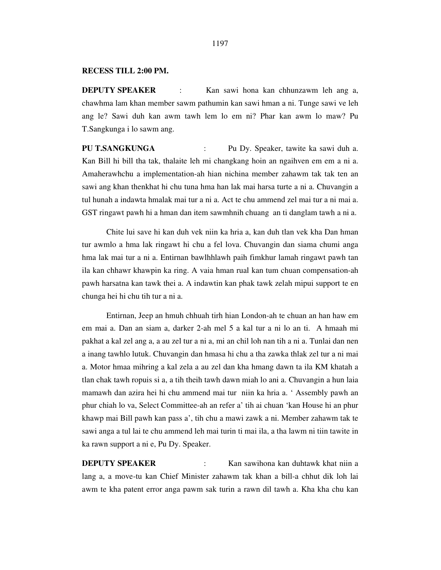#### **RECESS TILL 2:00 PM.**

**DEPUTY SPEAKER** : Kan sawi hona kan chhunzawm leh ang a, chawhma lam khan member sawm pathumin kan sawi hman a ni. Tunge sawi ve leh ang le? Sawi duh kan awm tawh lem lo em ni? Phar kan awm lo maw? Pu T.Sangkunga i lo sawm ang.

**PU T.SANGKUNGA** : Pu Dy. Speaker, tawite ka sawi duh a. Kan Bill hi bill tha tak, thalaite leh mi changkang hoin an ngaihven em em a ni a. Amaherawhchu a implementation-ah hian nichina member zahawm tak tak ten an sawi ang khan thenkhat hi chu tuna hma han lak mai harsa turte a ni a. Chuvangin a tul hunah a indawta hmalak mai tur a ni a. Act te chu ammend zel mai tur a ni mai a. GST ringawt pawh hi a hman dan item sawmhnih chuang an ti danglam tawh a ni a.

 Chite lui save hi kan duh vek niin ka hria a, kan duh tlan vek kha Dan hman tur awmlo a hma lak ringawt hi chu a fel lova. Chuvangin dan siama chumi anga hma lak mai tur a ni a. Entirnan bawlhhlawh paih fimkhur lamah ringawt pawh tan ila kan chhawr khawpin ka ring. A vaia hman rual kan tum chuan compensation-ah pawh harsatna kan tawk thei a. A indawtin kan phak tawk zelah mipui support te en chunga hei hi chu tih tur a ni a.

 Entirnan, Jeep an hmuh chhuah tirh hian London-ah te chuan an han haw em em mai a. Dan an siam a, darker 2-ah mel 5 a kal tur a ni lo an ti. A hmaah mi pakhat a kal zel ang a, a au zel tur a ni a, mi an chil loh nan tih a ni a. Tunlai dan nen a inang tawhlo lutuk. Chuvangin dan hmasa hi chu a tha zawka thlak zel tur a ni mai a. Motor hmaa mihring a kal zela a au zel dan kha hmang dawn ta ila KM khatah a tlan chak tawh ropuis si a, a tih theih tawh dawn miah lo ani a. Chuvangin a hun laia mamawh dan azira hei hi chu ammend mai tur niin ka hria a. ' Assembly pawh an phur chiah lo va, Select Committee-ah an refer a' tih ai chuan 'kan House hi an phur khawp mai Bill pawh kan pass a', tih chu a mawi zawk a ni. Member zahawm tak te sawi anga a tul lai te chu ammend leh mai turin ti mai ila, a tha lawm ni tiin tawite in ka rawn support a ni e, Pu Dy. Speaker.

**DEPUTY SPEAKER** : Kan sawihona kan duhtawk khat niin a lang a, a move-tu kan Chief Minister zahawm tak khan a bill-a chhut dik loh lai awm te kha patent error anga pawm sak turin a rawn dil tawh a. Kha kha chu kan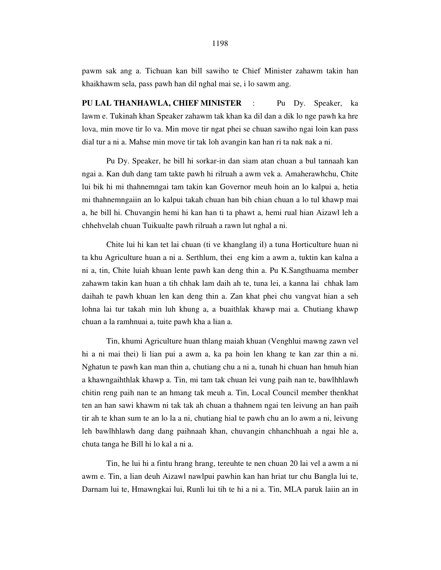pawm sak ang a. Tichuan kan bill sawiho te Chief Minister zahawm takin han khaikhawm sela, pass pawh han dil nghal mai se, i lo sawm ang.

**PU LAL THANHAWLA, CHIEF MINISTER** : Pu Dy. Speaker, ka lawm e. Tukinah khan Speaker zahawm tak khan ka dil dan a dik lo nge pawh ka hre lova, min move tir lo va. Min move tir ngat phei se chuan sawiho ngai loin kan pass dial tur a ni a. Mahse min move tir tak loh avangin kan han ri ta nak nak a ni.

 Pu Dy. Speaker, he bill hi sorkar-in dan siam atan chuan a bul tannaah kan ngai a. Kan duh dang tam takte pawh hi rilruah a awm vek a. Amaherawhchu, Chite lui bik hi mi thahnemngai tam takin kan Governor meuh hoin an lo kalpui a, hetia mi thahnemngaiin an lo kalpui takah chuan han bih chian chuan a lo tul khawp mai a, he bill hi. Chuvangin hemi hi kan han ti ta phawt a, hemi rual hian Aizawl leh a chhehvelah chuan Tuikualte pawh rilruah a rawn lut nghal a ni.

 Chite lui hi kan tet lai chuan (ti ve khanglang il) a tuna Horticulture huan ni ta khu Agriculture huan a ni a. Serthlum, thei eng kim a awm a, tuktin kan kalna a ni a, tin, Chite luiah khuan lente pawh kan deng thin a. Pu K.Sangthuama member zahawm takin kan huan a tih chhak lam daih ah te, tuna lei, a kanna lai chhak lam daihah te pawh khuan len kan deng thin a. Zan khat phei chu vangvat hian a seh lohna lai tur takah min luh khung a, a buaithlak khawp mai a. Chutiang khawp chuan a la ramhnuai a, tuite pawh kha a lian a.

 Tin, khumi Agriculture huan thlang maiah khuan (Venghlui mawng zawn vel hi a ni mai thei) li lian pui a awm a, ka pa hoin len khang te kan zar thin a ni. Nghatun te pawh kan man thin a, chutiang chu a ni a, tunah hi chuan han hmuh hian a khawngaihthlak khawp a. Tin, mi tam tak chuan lei vung paih nan te, bawlhhlawh chitin reng paih nan te an hmang tak meuh a. Tin, Local Council member thenkhat ten an han sawi khawm ni tak tak ah chuan a thahnem ngai ten leivung an han paih tir ah te khan sum te an lo la a ni, chutiang hial te pawh chu an lo awm a ni, leivung leh bawlhhlawh dang dang paihnaah khan, chuvangin chhanchhuah a ngai hle a, chuta tanga he Bill hi lo kal a ni a.

 Tin, he lui hi a fintu hrang hrang, tereuhte te nen chuan 20 lai vel a awm a ni awm e. Tin, a lian deuh Aizawl nawlpui pawhin kan han hriat tur chu Bangla lui te, Darnam lui te, Hmawngkai lui, Runli lui tih te hi a ni a. Tin, MLA paruk laiin an in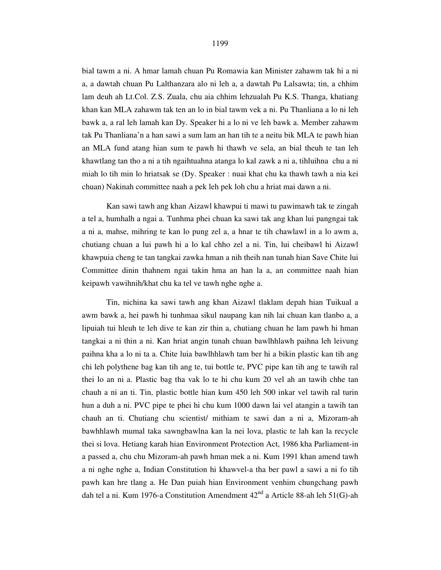bial tawm a ni. A hmar lamah chuan Pu Romawia kan Minister zahawm tak hi a ni a, a dawtah chuan Pu Lalthanzara alo ni leh a, a dawtah Pu Lalsawta; tin, a chhim lam deuh ah Lt.Col. Z.S. Zuala, chu aia chhim lehzualah Pu K.S. Thanga, khatiang khan kan MLA zahawm tak ten an lo in bial tawm vek a ni. Pu Thanliana a lo ni leh bawk a, a ral leh lamah kan Dy. Speaker hi a lo ni ve leh bawk a. Member zahawm tak Pu Thanliana'n a han sawi a sum lam an han tih te a neitu bik MLA te pawh hian an MLA fund atang hian sum te pawh hi thawh ve sela, an bial theuh te tan leh khawtlang tan tho a ni a tih ngaihtuahna atanga lo kal zawk a ni a, tihluihna chu a ni miah lo tih min lo hriatsak se (Dy. Speaker : nuai khat chu ka thawh tawh a nia kei chuan) Nakinah committee naah a pek leh pek loh chu a hriat mai dawn a ni.

 Kan sawi tawh ang khan Aizawl khawpui ti mawi tu pawimawh tak te zingah a tel a, humhalh a ngai a. Tunhma phei chuan ka sawi tak ang khan lui pangngai tak a ni a, mahse, mihring te kan lo pung zel a, a hnar te tih chawlawl in a lo awm a, chutiang chuan a lui pawh hi a lo kal chho zel a ni. Tin, lui cheibawl hi Aizawl khawpuia cheng te tan tangkai zawka hman a nih theih nan tunah hian Save Chite lui Committee dinin thahnem ngai takin hma an han la a, an committee naah hian keipawh vawihnih/khat chu ka tel ve tawh nghe nghe a.

 Tin, nichina ka sawi tawh ang khan Aizawl tlaklam depah hian Tuikual a awm bawk a, hei pawh hi tunhmaa sikul naupang kan nih lai chuan kan tlanbo a, a lipuiah tui hleuh te leh dive te kan zir thin a, chutiang chuan he lam pawh hi hman tangkai a ni thin a ni. Kan hriat angin tunah chuan bawlhhlawh paihna leh leivung paihna kha a lo ni ta a. Chite luia bawlhhlawh tam ber hi a bikin plastic kan tih ang chi leh polythene bag kan tih ang te, tui bottle te, PVC pipe kan tih ang te tawih ral thei lo an ni a. Plastic bag tha vak lo te hi chu kum 20 vel ah an tawih chhe tan chauh a ni an ti. Tin, plastic bottle hian kum 450 leh 500 inkar vel tawih ral turin hun a duh a ni. PVC pipe te phei hi chu kum 1000 dawn lai vel atangin a tawih tan chauh an ti. Chutiang chu scientist/ mithiam te sawi dan a ni a, Mizoram-ah bawhhlawh mumal taka sawngbawlna kan la nei lova, plastic te lah kan la recycle thei si lova. Hetiang karah hian Environment Protection Act, 1986 kha Parliament-in a passed a, chu chu Mizoram-ah pawh hman mek a ni. Kum 1991 khan amend tawh a ni nghe nghe a, Indian Constitution hi khawvel-a tha ber pawl a sawi a ni fo tih pawh kan hre tlang a. He Dan puiah hian Environment venhim chungchang pawh dah tel a ni. Kum 1976-a Constitution Amendment  $42<sup>nd</sup>$  a Article 88-ah leh 51(G)-ah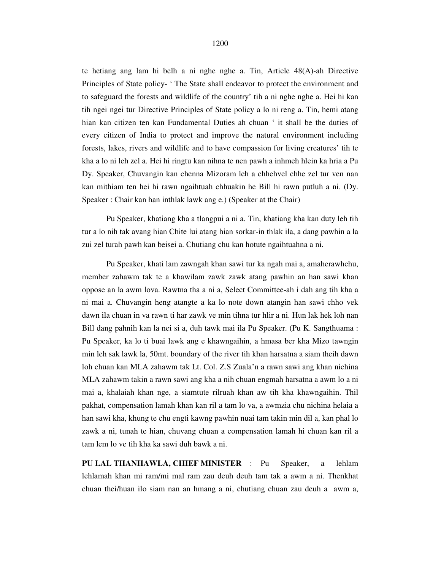te hetiang ang lam hi belh a ni nghe nghe a. Tin, Article 48(A)-ah Directive Principles of State policy- ' The State shall endeavor to protect the environment and to safeguard the forests and wildlife of the country' tih a ni nghe nghe a. Hei hi kan tih ngei ngei tur Directive Principles of State policy a lo ni reng a. Tin, hemi atang hian kan citizen ten kan Fundamental Duties ah chuan ' it shall be the duties of every citizen of India to protect and improve the natural environment including forests, lakes, rivers and wildlife and to have compassion for living creatures' tih te kha a lo ni leh zel a. Hei hi ringtu kan nihna te nen pawh a inhmeh hlein ka hria a Pu Dy. Speaker, Chuvangin kan chenna Mizoram leh a chhehvel chhe zel tur ven nan kan mithiam ten hei hi rawn ngaihtuah chhuakin he Bill hi rawn putluh a ni. (Dy. Speaker : Chair kan han inthlak lawk ang e.) (Speaker at the Chair)

 Pu Speaker, khatiang kha a tlangpui a ni a. Tin, khatiang kha kan duty leh tih tur a lo nih tak avang hian Chite lui atang hian sorkar-in thlak ila, a dang pawhin a la zui zel turah pawh kan beisei a. Chutiang chu kan hotute ngaihtuahna a ni.

 Pu Speaker, khati lam zawngah khan sawi tur ka ngah mai a, amaherawhchu, member zahawm tak te a khawilam zawk zawk atang pawhin an han sawi khan oppose an la awm lova. Rawtna tha a ni a, Select Committee-ah i dah ang tih kha a ni mai a. Chuvangin heng atangte a ka lo note down atangin han sawi chho vek dawn ila chuan in va rawn ti har zawk ve min tihna tur hlir a ni. Hun lak hek loh nan Bill dang pahnih kan la nei si a, duh tawk mai ila Pu Speaker. (Pu K. Sangthuama : Pu Speaker, ka lo ti buai lawk ang e khawngaihin, a hmasa ber kha Mizo tawngin min leh sak lawk la, 50mt. boundary of the river tih khan harsatna a siam theih dawn loh chuan kan MLA zahawm tak Lt. Col. Z.S Zuala'n a rawn sawi ang khan nichina MLA zahawm takin a rawn sawi ang kha a nih chuan engmah harsatna a awm lo a ni mai a, khalaiah khan nge, a siamtute rilruah khan aw tih kha khawngaihin. Thil pakhat, compensation lamah khan kan ril a tam lo va, a awmzia chu nichina helaia a han sawi kha, khung te chu engti kawng pawhin nuai tam takin min dil a, kan phal lo zawk a ni, tunah te hian, chuvang chuan a compensation lamah hi chuan kan ril a tam lem lo ve tih kha ka sawi duh bawk a ni.

**PU LAL THANHAWLA, CHIEF MINISTER** : Pu Speaker, a lehlam lehlamah khan mi ram/mi mal ram zau deuh deuh tam tak a awm a ni. Thenkhat chuan thei/huan ilo siam nan an hmang a ni, chutiang chuan zau deuh a awm a,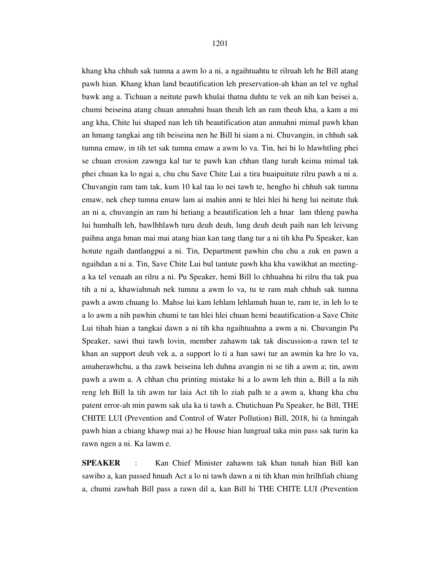khang kha chhuh sak tumna a awm lo a ni, a ngaihtuahtu te rilruah leh he Bill atang pawh hian. Khang khan land beautification leh preservation-ah khan an tel ve nghal bawk ang a. Tichuan a neitute pawh khulai thatna duhtu te vek an nih kan beisei a, chumi beiseina atang chuan anmahni huan theuh leh an ram theuh kha, a kam a mi ang kha, Chite lui shaped nan leh tih beautification atan anmahni mimal pawh khan an hmang tangkai ang tih beiseina nen he Bill hi siam a ni. Chuvangin, in chhuh sak tumna emaw, in tih tet sak tumna emaw a awm lo va. Tin, hei hi lo hlawhtling phei se chuan erosion zawnga kal tur te pawh kan chhan tlang turah keima mimal tak phei chuan ka lo ngai a, chu chu Save Chite Lui a tira buaipuitute rilru pawh a ni a. Chuvangin ram tam tak, kum 10 kal taa lo nei tawh te, hengho hi chhuh sak tumna emaw, nek chep tumna emaw lam ai mahin anni te hlei hlei hi heng lui neitute tluk an ni a, chuvangin an ram hi hetiang a beautification leh a hnar lam thleng pawha lui humhalh leh, bawlhhlawh turu deuh deuh, lung deuh deuh paih nan leh leivung paihna anga hman mai mai atang hian kan tang tlang tur a ni tih kha Pu Speaker, kan hotute ngaih dantlangpui a ni. Tin, Department pawhin chu chu a zuk en pawn a ngaihdan a ni a. Tin, Save Chite Lui bul tantute pawh kha kha vawikhat an meetinga ka tel venaah an rilru a ni. Pu Speaker, hemi Bill lo chhuahna hi rilru tha tak pua tih a ni a, khawiahmah nek tumna a awm lo va, tu te ram mah chhuh sak tumna pawh a awm chuang lo. Mahse lui kam lehlam lehlamah huan te, ram te, in leh lo te a lo awm a nih pawhin chumi te tan hlei hlei chuan hemi beautification-a Save Chite Lui tihah hian a tangkai dawn a ni tih kha ngaihtuahna a awm a ni. Chuvangin Pu Speaker, sawi thui tawh lovin, member zahawm tak tak discussion-a rawn tel te khan an support deuh vek a, a support lo ti a han sawi tur an awmin ka hre lo va, amaherawhchu, a tha zawk beiseina leh duhna avangin ni se tih a awm a; tin, awm pawh a awm a. A chhan chu printing mistake hi a lo awm leh thin a, Bill a la nih reng leh Bill la tih awm tur laia Act tih lo ziah palh te a awm a, khang kha chu patent error-ah min pawm sak ula ka ti tawh a. Chutichuan Pu Speaker, he Bill, THE CHITE LUI (Prevention and Control of Water Pollution) Bill, 2018, hi (a hmingah pawh hian a chiang khawp mai a) he House hian lungrual taka min pass sak turin ka rawn ngen a ni. Ka lawm e.

**SPEAKER** : Kan Chief Minister zahawm tak khan tunah hian Bill kan sawiho a, kan passed hnuah Act a lo ni tawh dawn a ni tih khan min hrilhfiah chiang a, chumi zawhah Bill pass a rawn dil a, kan Bill hi THE CHITE LUI (Prevention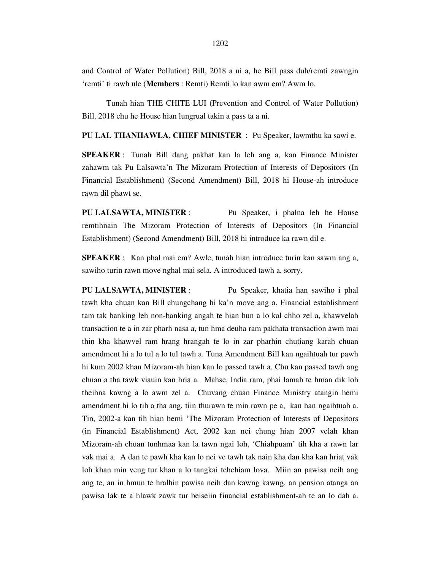and Control of Water Pollution) Bill, 2018 a ni a, he Bill pass duh/remti zawngin 'remti' ti rawh ule (**Members** : Remti) Remti lo kan awm em? Awm lo.

 Tunah hian THE CHITE LUI (Prevention and Control of Water Pollution) Bill, 2018 chu he House hian lungrual takin a pass ta a ni.

**PU LAL THANHAWLA, CHIEF MINISTER** : Pu Speaker, lawmthu ka sawi e.

**SPEAKER** : Tunah Bill dang pakhat kan la leh ang a, kan Finance Minister zahawm tak Pu Lalsawta'n The Mizoram Protection of Interests of Depositors (In Financial Establishment) (Second Amendment) Bill, 2018 hi House-ah introduce rawn dil phawt se.

**PU LALSAWTA, MINISTER** : Pu Speaker, i phalna leh he House remtihnain The Mizoram Protection of Interests of Depositors (In Financial Establishment) (Second Amendment) Bill, 2018 hi introduce ka rawn dil e.

**SPEAKER** : Kan phal mai em? Awle, tunah hian introduce turin kan sawm ang a, sawiho turin rawn move nghal mai sela. A introduced tawh a, sorry.

**PU LALSAWTA, MINISTER** : Pu Speaker, khatia han sawiho i phal tawh kha chuan kan Bill chungchang hi ka'n move ang a. Financial establishment tam tak banking leh non-banking angah te hian hun a lo kal chho zel a, khawvelah transaction te a in zar pharh nasa a, tun hma deuha ram pakhata transaction awm mai thin kha khawvel ram hrang hrangah te lo in zar pharhin chutiang karah chuan amendment hi a lo tul a lo tul tawh a. Tuna Amendment Bill kan ngaihtuah tur pawh hi kum 2002 khan Mizoram-ah hian kan lo passed tawh a. Chu kan passed tawh ang chuan a tha tawk viauin kan hria a. Mahse, India ram, phai lamah te hman dik loh theihna kawng a lo awm zel a. Chuvang chuan Finance Ministry atangin hemi amendment hi lo tih a tha ang, tiin thurawn te min rawn pe a, kan han ngaihtuah a. Tin, 2002-a kan tih hian hemi 'The Mizoram Protection of Interests of Depositors (in Financial Establishment) Act, 2002 kan nei chung hian 2007 velah khan Mizoram-ah chuan tunhmaa kan la tawn ngai loh, 'Chiahpuam' tih kha a rawn lar vak mai a. A dan te pawh kha kan lo nei ve tawh tak nain kha dan kha kan hriat vak loh khan min veng tur khan a lo tangkai tehchiam lova. Miin an pawisa neih ang ang te, an in hmun te hralhin pawisa neih dan kawng kawng, an pension atanga an pawisa lak te a hlawk zawk tur beiseiin financial establishment-ah te an lo dah a.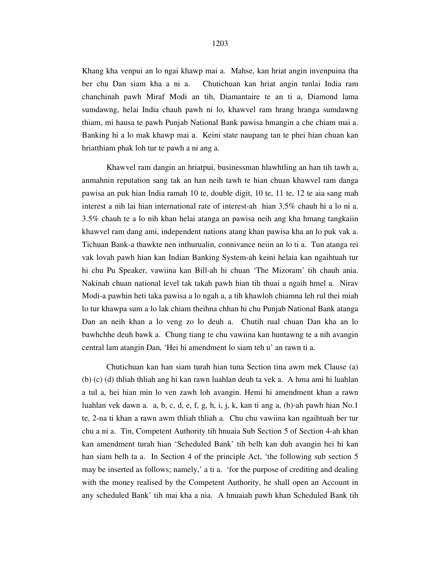Khang kha venpui an lo ngai khawp mai a. Mahse, kan hriat angin invenpuina tha ber chu Dan siam kha a ni a. Chutichuan kan hriat angin tunlai India ram chanchinah pawh Miraf Modi an tih, Diamantaire te an ti a, Diamond lama sumdawng, helai India chauh pawh ni lo, khawvel ram hrang hranga sumdawng thiam, mi hausa te pawh Punjab National Bank pawisa hmangin a che chiam mai a. Banking hi a lo mak khawp mai a. Keini state naupang tan te phei hian chuan kan hriatthiam phak loh tur te pawh a ni ang a.

 Khawvel ram dangin an hriatpui, businessman hlawhtling an han tih tawh a, anmahnin reputation sang tak an han neih tawh te hian chuan khawvel ram danga pawisa an puk hian India ramah 10 te, double digit, 10 te, 11 te, 12 te aia sang mah interest a nih lai hian international rate of interest-ah hian 3.5% chauh hi a lo ni a. 3.5% chauh te a lo nih khan helai atanga an pawisa neih ang kha hmang tangkaiin khawvel ram dang ami, independent nations atang khan pawisa kha an lo puk vak a. Tichuan Bank-a thawkte nen inthurualin, connivance neiin an lo ti a. Tun atanga rei vak lovah pawh hian kan Indian Banking System-ah keini helaia kan ngaihtuah tur hi chu Pu Speaker, vawiina kan Bill-ah hi chuan 'The Mizoram' tih chauh ania. Nakinah chuan national level tak takah pawh hian tih thuai a ngaih hmel a. Nirav Modi-a pawhin heti taka pawisa a lo ngah a, a tih khawloh chiamna leh rul thei miah lo tur khawpa sum a lo lak chiam theihna chhan hi chu Punjab National Bank atanga Dan an neih khan a lo veng zo lo deuh a. Chutih rual chuan Dan kha an lo bawhchhe deuh bawk a. Chung tiang te chu vawiina kan huntawng te a nih avangin central lam atangin Dan, 'Hei hi amendment lo siam teh u' an rawn ti a.

 Chutichuan kan han siam turah hian tuna Section tina awm mek Clause (a) (b) (c) (d) thliah thliah ang hi kan rawn luahlan deuh ta vek a. A hma ami hi luahlan a tul a, hei hian min lo ven zawh loh avangin. Hemi hi amendment khan a rawn luahlan vek dawn a. a, b, c, d, e, f, g, h, i, j, k, kan ti ang a, (b)-ah pawh hian No.1 te, 2-na ti khan a rawn awm thliah thliah a. Chu chu vawiina kan ngaihtuah ber tur chu a ni a. Tin, Competent Authority tih hnuaia Sub Section 5 of Section 4-ah khan kan amendment turah hian 'Scheduled Bank' tih belh kan duh avangin hei hi kan han siam belh ta a. In Section 4 of the principle Act, 'the following sub section 5 may be inserted as follows; namely,' a ti a. 'for the purpose of crediting and dealing with the money realised by the Competent Authority, he shall open an Account in any scheduled Bank' tih mai kha a nia. A hnuaiah pawh khan Scheduled Bank tih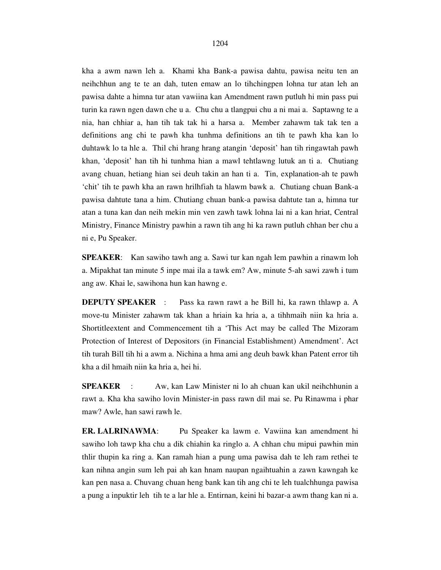kha a awm nawn leh a. Khami kha Bank-a pawisa dahtu, pawisa neitu ten an neihchhun ang te te an dah, tuten emaw an lo tihchingpen lohna tur atan leh an pawisa dahte a himna tur atan vawiina kan Amendment rawn putluh hi min pass pui turin ka rawn ngen dawn che u a. Chu chu a tlangpui chu a ni mai a. Saptawng te a nia, han chhiar a, han tih tak tak hi a harsa a. Member zahawm tak tak ten a definitions ang chi te pawh kha tunhma definitions an tih te pawh kha kan lo duhtawk lo ta hle a. Thil chi hrang hrang atangin 'deposit' han tih ringawtah pawh khan, 'deposit' han tih hi tunhma hian a mawl tehtlawng lutuk an ti a. Chutiang avang chuan, hetiang hian sei deuh takin an han ti a. Tin, explanation-ah te pawh 'chit' tih te pawh kha an rawn hrilhfiah ta hlawm bawk a. Chutiang chuan Bank-a pawisa dahtute tana a him. Chutiang chuan bank-a pawisa dahtute tan a, himna tur atan a tuna kan dan neih mekin min ven zawh tawk lohna lai ni a kan hriat, Central Ministry, Finance Ministry pawhin a rawn tih ang hi ka rawn putluh chhan ber chu a ni e, Pu Speaker.

**SPEAKER**: Kan sawiho tawh ang a. Sawi tur kan ngah lem pawhin a rinawm loh a. Mipakhat tan minute 5 inpe mai ila a tawk em? Aw, minute 5-ah sawi zawh i tum ang aw. Khai le, sawihona hun kan hawng e.

**DEPUTY SPEAKER** : Pass ka rawn rawt a he Bill hi, ka rawn thlawp a. A move-tu Minister zahawm tak khan a hriain ka hria a, a tihhmaih niin ka hria a. Shortitleextent and Commencement tih a 'This Act may be called The Mizoram Protection of Interest of Depositors (in Financial Establishment) Amendment'. Act tih turah Bill tih hi a awm a. Nichina a hma ami ang deuh bawk khan Patent error tih kha a dil hmaih niin ka hria a, hei hi.

**SPEAKER** : Aw, kan Law Minister ni lo ah chuan kan ukil neihchhunin a rawt a. Kha kha sawiho lovin Minister-in pass rawn dil mai se. Pu Rinawma i phar maw? Awle, han sawi rawh le.

**ER. LALRINAWMA**: Pu Speaker ka lawm e. Vawiina kan amendment hi sawiho loh tawp kha chu a dik chiahin ka ringlo a. A chhan chu mipui pawhin min thlir thupin ka ring a. Kan ramah hian a pung uma pawisa dah te leh ram rethei te kan nihna angin sum leh pai ah kan hnam naupan ngaihtuahin a zawn kawngah ke kan pen nasa a. Chuvang chuan heng bank kan tih ang chi te leh tualchhunga pawisa a pung a inpuktir leh tih te a lar hle a. Entirnan, keini hi bazar-a awm thang kan ni a.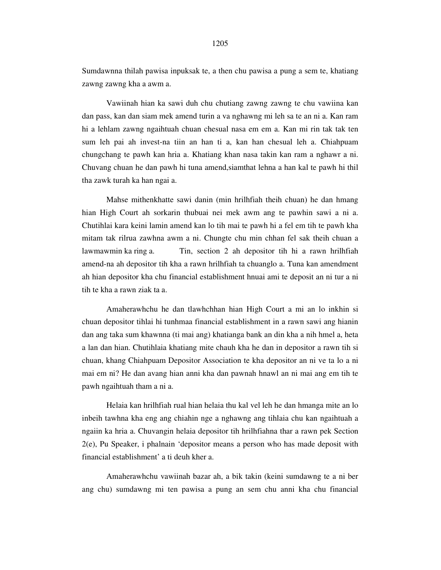Sumdawnna thilah pawisa inpuksak te, a then chu pawisa a pung a sem te, khatiang zawng zawng kha a awm a.

Vawiinah hian ka sawi duh chu chutiang zawng zawng te chu vawiina kan dan pass, kan dan siam mek amend turin a va nghawng mi leh sa te an ni a. Kan ram hi a lehlam zawng ngaihtuah chuan chesual nasa em em a. Kan mi rin tak tak ten sum leh pai ah invest-na tiin an han ti a, kan han chesual leh a. Chiahpuam chungchang te pawh kan hria a. Khatiang khan nasa takin kan ram a nghawr a ni. Chuvang chuan he dan pawh hi tuna amend,siamthat lehna a han kal te pawh hi thil tha zawk turah ka han ngai a.

Mahse mithenkhatte sawi danin (min hrilhfiah theih chuan) he dan hmang hian High Court ah sorkarin thubuai nei mek awm ang te pawhin sawi a ni a. Chutihlai kara keini lamin amend kan lo tih mai te pawh hi a fel em tih te pawh kha mitam tak rilrua zawhna awm a ni. Chungte chu min chhan fel sak theih chuan a lawmawmin ka ring a. Tin, section 2 ah depositor tih hi a rawn hrilhfiah amend-na ah depositor tih kha a rawn hrilhfiah ta chuanglo a. Tuna kan amendment ah hian depositor kha chu financial establishment hnuai ami te deposit an ni tur a ni tih te kha a rawn ziak ta a.

Amaherawhchu he dan tlawhchhan hian High Court a mi an lo inkhin si chuan depositor tihlai hi tunhmaa financial establishment in a rawn sawi ang hianin dan ang taka sum khawnna (ti mai ang) khatianga bank an din kha a nih hmel a, heta a lan dan hian. Chutihlaia khatiang mite chauh kha he dan in depositor a rawn tih si chuan, khang Chiahpuam Depositor Association te kha depositor an ni ve ta lo a ni mai em ni? He dan avang hian anni kha dan pawnah hnawl an ni mai ang em tih te pawh ngaihtuah tham a ni a.

Helaia kan hrilhfiah rual hian helaia thu kal vel leh he dan hmanga mite an lo inbeih tawhna kha eng ang chiahin nge a nghawng ang tihlaia chu kan ngaihtuah a ngaiin ka hria a. Chuvangin helaia depositor tih hrilhfiahna thar a rawn pek Section 2(e), Pu Speaker, i phalnain 'depositor means a person who has made deposit with financial establishment' a ti deuh kher a.

Amaherawhchu vawiinah bazar ah, a bik takin (keini sumdawng te a ni ber ang chu) sumdawng mi ten pawisa a pung an sem chu anni kha chu financial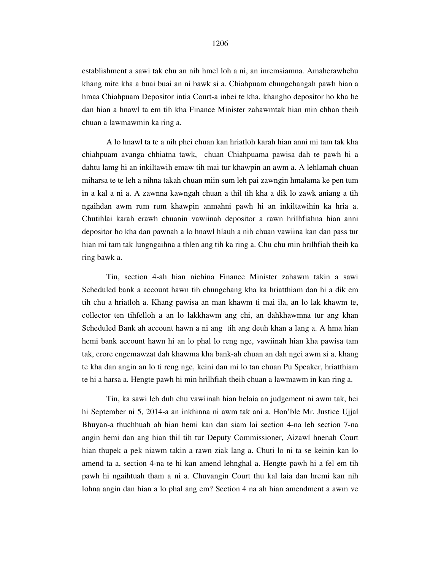establishment a sawi tak chu an nih hmel loh a ni, an inremsiamna. Amaherawhchu khang mite kha a buai buai an ni bawk si a. Chiahpuam chungchangah pawh hian a hmaa Chiahpuam Depositor intia Court-a inbei te kha, khangho depositor ho kha he dan hian a hnawl ta em tih kha Finance Minister zahawmtak hian min chhan theih chuan a lawmawmin ka ring a.

A lo hnawl ta te a nih phei chuan kan hriatloh karah hian anni mi tam tak kha chiahpuam avanga chhiatna tawk, chuan Chiahpuama pawisa dah te pawh hi a dahtu lamg hi an inkiltawih emaw tih mai tur khawpin an awm a. A lehlamah chuan miharsa te te leh a nihna takah chuan miin sum leh pai zawngin hmalama ke pen tum in a kal a ni a. A zawnna kawngah chuan a thil tih kha a dik lo zawk aniang a tih ngaihdan awm rum rum khawpin anmahni pawh hi an inkiltawihin ka hria a. Chutihlai karah erawh chuanin vawiinah depositor a rawn hrilhfiahna hian anni depositor ho kha dan pawnah a lo hnawl hlauh a nih chuan vawiina kan dan pass tur hian mi tam tak lungngaihna a thlen ang tih ka ring a. Chu chu min hrilhfiah theih ka ring bawk a.

Tin, section 4-ah hian nichina Finance Minister zahawm takin a sawi Scheduled bank a account hawn tih chungchang kha ka hriatthiam dan hi a dik em tih chu a hriatloh a. Khang pawisa an man khawm ti mai ila, an lo lak khawm te, collector ten tihfelloh a an lo lakkhawm ang chi, an dahkhawmna tur ang khan Scheduled Bank ah account hawn a ni ang tih ang deuh khan a lang a. A hma hian hemi bank account hawn hi an lo phal lo reng nge, vawiinah hian kha pawisa tam tak, crore engemawzat dah khawma kha bank-ah chuan an dah ngei awm si a, khang te kha dan angin an lo ti reng nge, keini dan mi lo tan chuan Pu Speaker, hriatthiam te hi a harsa a. Hengte pawh hi min hrilhfiah theih chuan a lawmawm in kan ring a.

 Tin, ka sawi leh duh chu vawiinah hian helaia an judgement ni awm tak, hei hi September ni 5, 2014-a an inkhinna ni awm tak ani a, Hon'ble Mr. Justice Ujjal Bhuyan-a thuchhuah ah hian hemi kan dan siam lai section 4-na leh section 7-na angin hemi dan ang hian thil tih tur Deputy Commissioner, Aizawl hnenah Court hian thupek a pek niawm takin a rawn ziak lang a. Chuti lo ni ta se keinin kan lo amend ta a, section 4-na te hi kan amend lehnghal a. Hengte pawh hi a fel em tih pawh hi ngaihtuah tham a ni a. Chuvangin Court thu kal laia dan hremi kan nih lohna angin dan hian a lo phal ang em? Section 4 na ah hian amendment a awm ve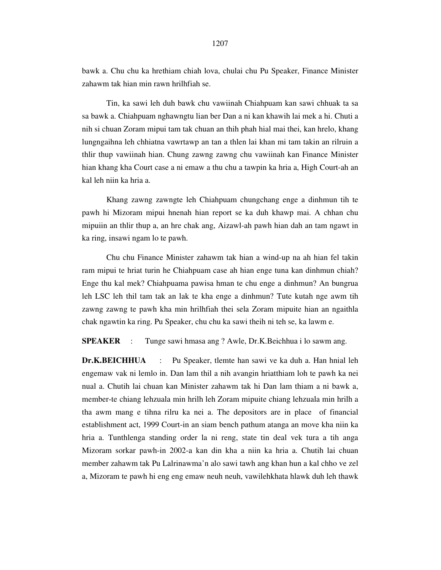bawk a. Chu chu ka hrethiam chiah lova, chulai chu Pu Speaker, Finance Minister zahawm tak hian min rawn hrilhfiah se.

 Tin, ka sawi leh duh bawk chu vawiinah Chiahpuam kan sawi chhuak ta sa sa bawk a. Chiahpuam nghawngtu lian ber Dan a ni kan khawih lai mek a hi. Chuti a nih si chuan Zoram mipui tam tak chuan an thih phah hial mai thei, kan hrelo, khang lungngaihna leh chhiatna vawrtawp an tan a thlen lai khan mi tam takin an rilruin a thlir thup vawiinah hian. Chung zawng zawng chu vawiinah kan Finance Minister hian khang kha Court case a ni emaw a thu chu a tawpin ka hria a, High Court-ah an kal leh niin ka hria a.

 Khang zawng zawngte leh Chiahpuam chungchang enge a dinhmun tih te pawh hi Mizoram mipui hnenah hian report se ka duh khawp mai. A chhan chu mipuiin an thlir thup a, an hre chak ang, Aizawl-ah pawh hian dah an tam ngawt in ka ring, insawi ngam lo te pawh.

 Chu chu Finance Minister zahawm tak hian a wind-up na ah hian fel takin ram mipui te hriat turin he Chiahpuam case ah hian enge tuna kan dinhmun chiah? Enge thu kal mek? Chiahpuama pawisa hman te chu enge a dinhmun? An bungrua leh LSC leh thil tam tak an lak te kha enge a dinhmun? Tute kutah nge awm tih zawng zawng te pawh kha min hrilhfiah thei sela Zoram mipuite hian an ngaithla chak ngawtin ka ring. Pu Speaker, chu chu ka sawi theih ni teh se, ka lawm e.

**SPEAKER** : Tunge sawi hmasa ang ? Awle, Dr.K.Beichhua i lo sawm ang.

**Dr.K.BEICHHUA** : Pu Speaker, tlemte han sawi ve ka duh a. Han hnial leh engemaw vak ni lemlo in. Dan lam thil a nih avangin hriatthiam loh te pawh ka nei nual a. Chutih lai chuan kan Minister zahawm tak hi Dan lam thiam a ni bawk a, member-te chiang lehzuala min hrilh leh Zoram mipuite chiang lehzuala min hrilh a tha awm mang e tihna rilru ka nei a. The depositors are in place of financial establishment act, 1999 Court-in an siam bench pathum atanga an move kha niin ka hria a. Tunthlenga standing order la ni reng, state tin deal vek tura a tih anga Mizoram sorkar pawh-in 2002-a kan din kha a niin ka hria a. Chutih lai chuan member zahawm tak Pu Lalrinawma'n alo sawi tawh ang khan hun a kal chho ve zel a, Mizoram te pawh hi eng eng emaw neuh neuh, vawilehkhata hlawk duh leh thawk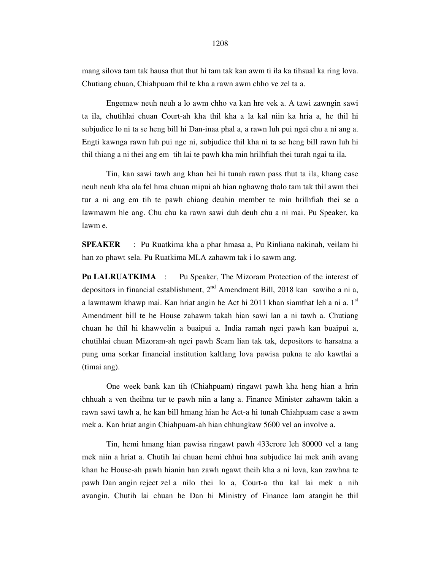mang silova tam tak hausa thut thut hi tam tak kan awm ti ila ka tihsual ka ring lova. Chutiang chuan, Chiahpuam thil te kha a rawn awm chho ve zel ta a.

 Engemaw neuh neuh a lo awm chho va kan hre vek a. A tawi zawngin sawi ta ila, chutihlai chuan Court-ah kha thil kha a la kal niin ka hria a, he thil hi subjudice lo ni ta se heng bill hi Dan-inaa phal a, a rawn luh pui ngei chu a ni ang a. Engti kawnga rawn luh pui nge ni, subjudice thil kha ni ta se heng bill rawn luh hi thil thiang a ni thei ang em tih lai te pawh kha min hrilhfiah thei turah ngai ta ila.

 Tin, kan sawi tawh ang khan hei hi tunah rawn pass thut ta ila, khang case neuh neuh kha ala fel hma chuan mipui ah hian nghawng thalo tam tak thil awm thei tur a ni ang em tih te pawh chiang deuhin member te min hrilhfiah thei se a lawmawm hle ang. Chu chu ka rawn sawi duh deuh chu a ni mai. Pu Speaker, ka lawm e.

**SPEAKER** : Pu Ruatkima kha a phar hmasa a, Pu Rinliana nakinah, veilam hi han zo phawt sela. Pu Ruatkima MLA zahawm tak i lo sawm ang.

Pu LALRUATKIMA : Pu Speaker, The Mizoram Protection of the interest of depositors in financial establishment,  $2<sup>nd</sup>$  Amendment Bill, 2018 kan sawiho a ni a, a lawmawm khawp mai. Kan hriat angin he Act hi 2011 khan siamthat leh a ni a.  $1<sup>st</sup>$ Amendment bill te he House zahawm takah hian sawi lan a ni tawh a. Chutiang chuan he thil hi khawvelin a buaipui a. India ramah ngei pawh kan buaipui a, chutihlai chuan Mizoram-ah ngei pawh Scam lian tak tak, depositors te harsatna a pung uma sorkar financial institution kaltlang lova pawisa pukna te alo kawtlai a (timai ang).

 One week bank kan tih (Chiahpuam) ringawt pawh kha heng hian a hrin chhuah a ven theihna tur te pawh niin a lang a. Finance Minister zahawm takin a rawn sawi tawh a, he kan bill hmang hian he Act-a hi tunah Chiahpuam case a awm mek a. Kan hriat angin Chiahpuam-ah hian chhungkaw 5600 vel an involve a.

 Tin, hemi hmang hian pawisa ringawt pawh 433crore leh 80000 vel a tang mek niin a hriat a. Chutih lai chuan hemi chhui hna subjudice lai mek anih avang khan he House-ah pawh hianin han zawh ngawt theih kha a ni lova, kan zawhna te pawh Dan angin reject zel a nilo thei lo a, Court-a thu kal lai mek a nih avangin. Chutih lai chuan he Dan hi Ministry of Finance lam atangin he thil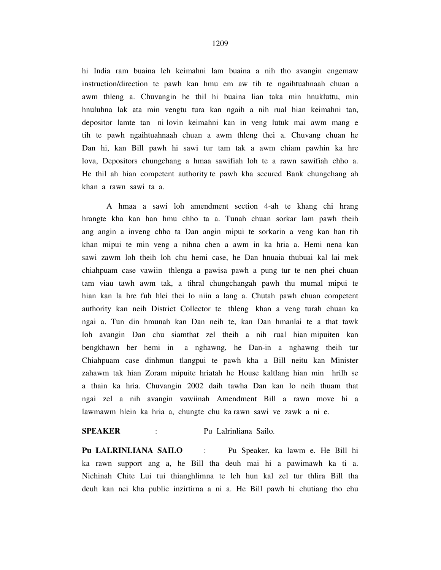hi India ram buaina leh keimahni lam buaina a nih tho avangin engemaw instruction/direction te pawh kan hmu em aw tih te ngaihtuahnaah chuan a awm thleng a. Chuvangin he thil hi buaina lian taka min hnukluttu, min hnuluhna lak ata min vengtu tura kan ngaih a nih rual hian keimahni tan, depositor lamte tan ni lovin keimahni kan in veng lutuk mai awm mang e tih te pawh ngaihtuahnaah chuan a awm thleng thei a. Chuvang chuan he Dan hi, kan Bill pawh hi sawi tur tam tak a awm chiam pawhin ka hre lova, Depositors chungchang a hmaa sawifiah loh te a rawn sawifiah chho a. He thil ah hian competent authority te pawh kha secured Bank chungchang ah khan a rawn sawi ta a.

 A hmaa a sawi loh amendment section 4-ah te khang chi hrang hrangte kha kan han hmu chho ta a. Tunah chuan sorkar lam pawh theih ang angin a inveng chho ta Dan angin mipui te sorkarin a veng kan han tih khan mipui te min veng a nihna chen a awm in ka hria a. Hemi nena kan sawi zawm loh theih loh chu hemi case, he Dan hnuaia thubuai kal lai mek chiahpuam case vawiin thlenga a pawisa pawh a pung tur te nen phei chuan tam viau tawh awm tak, a tihral chungchangah pawh thu mumal mipui te hian kan la hre fuh hlei thei lo niin a lang a. Chutah pawh chuan competent authority kan neih District Collector te thleng khan a veng turah chuan ka ngai a. Tun din hmunah kan Dan neih te, kan Dan hmanlai te a that tawk loh avangin Dan chu siamthat zel theih a nih rual hian mipuiten kan bengkhawn ber hemi in a nghawng, he Dan-in a nghawng theih tur Chiahpuam case dinhmun tlangpui te pawh kha a Bill neitu kan Minister zahawm tak hian Zoram mipuite hriatah he House kaltlang hian min hrilh se a thain ka hria. Chuvangin 2002 daih tawha Dan kan lo neih thuam that ngai zel a nih avangin vawiinah Amendment Bill a rawn move hi a lawmawm hlein ka hria a, chungte chu ka rawn sawi ve zawk a ni e.

### **SPEAKER** : Pu Lalrinliana Sailo.

**Pu LALRINLIANA SAILO** : Pu Speaker, ka lawm e. He Bill hi ka rawn support ang a, he Bill tha deuh mai hi a pawimawh ka ti a. Nichinah Chite Lui tui thianghlimna te leh hun kal zel tur thlira Bill tha deuh kan nei kha public inzirtirna a ni a. He Bill pawh hi chutiang tho chu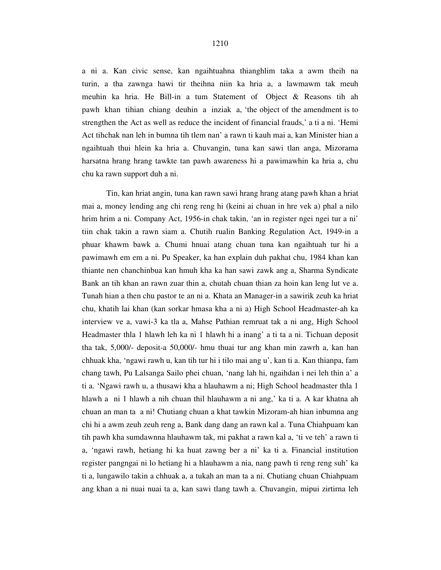a ni a. Kan civic sense, kan ngaihtuahna thianghlim taka a awm theih na turin, a tha zawnga hawi tir theihna niin ka hria a, a lawmawm tak meuh meuhin ka hria. He Bill-in a tum Statement of Object & Reasons tih ah pawh khan tihian chiang deuhin a inziak a, 'the object of the amendment is to strengthen the Act as well as reduce the incident of financial frauds,' a ti a ni. 'Hemi Act tihchak nan leh in bumna tih tlem nan' a rawn ti kauh mai a, kan Minister hian a ngaihtuah thui hlein ka hria a. Chuvangin, tuna kan sawi tlan anga, Mizorama harsatna hrang hrang tawkte tan pawh awareness hi a pawimawhin ka hria a, chu chu ka rawn support duh a ni.

 Tin, kan hriat angin, tuna kan rawn sawi hrang hrang atang pawh khan a hriat mai a, money lending ang chi reng reng hi (keini ai chuan in hre vek a) phal a nilo hrim hrim a ni. Company Act, 1956-in chak takin, 'an in register ngei ngei tur a ni' tiin chak takin a rawn siam a. Chutih rualin Banking Regulation Act, 1949-in a phuar khawm bawk a. Chumi hnuai atang chuan tuna kan ngaihtuah tur hi a pawimawh em em a ni. Pu Speaker, ka han explain duh pakhat chu, 1984 khan kan thiante nen chanchinbua kan hmuh kha ka han sawi zawk ang a, Sharma Syndicate Bank an tih khan an rawn zuar thin a, chutah chuan thian za hoin kan leng lut ve a. Tunah hian a then chu pastor te an ni a. Khata an Manager-in a sawirik zeuh ka hriat chu, khatih lai khan (kan sorkar hmasa kha a ni a) High School Headmaster-ah ka interview ve a, vawi-3 ka tla a, Mahse Pathian remruat tak a ni ang, High School Headmaster thla 1 hlawh leh ka ni 1 hlawh hi a inang' a ti ta a ni. Tichuan deposit tha tak, 5,000/- deposit-a 50,000/- hmu thuai tur ang khan min zawrh a, kan han chhuak kha, 'ngawi rawh u, kan tih tur hi i tilo mai ang u', kan ti a. Kan thianpa, fam chang tawh, Pu Lalsanga Sailo phei chuan, 'nang lah hi, ngaihdan i nei leh thin a' a ti a. 'Ngawi rawh u, a thusawi kha a hlauhawm a ni; High School headmaster thla 1 hlawh a ni 1 hlawh a nih chuan thil hlauhawm a ni ang,' ka ti a. A kar khatna ah chuan an man ta a ni! Chutiang chuan a khat tawkin Mizoram-ah hian inbumna ang chi hi a awm zeuh zeuh reng a, Bank dang dang an rawn kal a. Tuna Chiahpuam kan tih pawh kha sumdawnna hlauhawm tak, mi pakhat a rawn kal a, 'ti ve teh' a rawn ti a, 'ngawi rawh, hetiang hi ka huat zawng ber a ni' ka ti a. Financial institution register pangngai ni lo hetiang hi a hlauhawm a nia, nang pawh ti reng reng suh' ka ti a, lungawilo takin a chhuak a, a tukah an man ta a ni. Chutiang chuan Chiahpuam ang khan a ni nuai nuai ta a, kan sawi tlang tawh a. Chuvangin, mipui zirtirna leh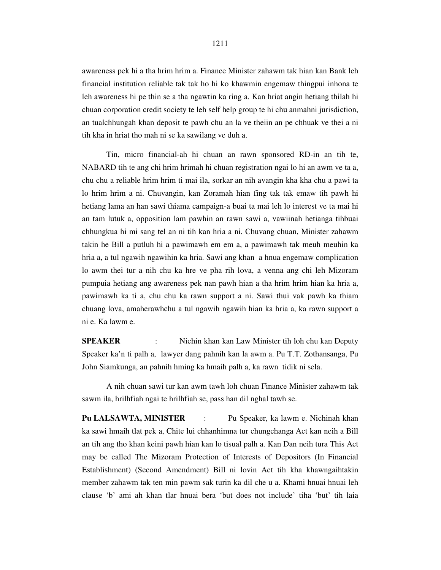awareness pek hi a tha hrim hrim a. Finance Minister zahawm tak hian kan Bank leh financial institution reliable tak tak ho hi ko khawmin engemaw thingpui inhona te leh awareness hi pe thin se a tha ngawtin ka ring a. Kan hriat angin hetiang thilah hi chuan corporation credit society te leh self help group te hi chu anmahni jurisdiction, an tualchhungah khan deposit te pawh chu an la ve theiin an pe chhuak ve thei a ni tih kha in hriat tho mah ni se ka sawilang ve duh a.

 Tin, micro financial-ah hi chuan an rawn sponsored RD-in an tih te, NABARD tih te ang chi hrim hrimah hi chuan registration ngai lo hi an awm ve ta a, chu chu a reliable hrim hrim ti mai ila, sorkar an nih avangin kha kha chu a pawi ta lo hrim hrim a ni. Chuvangin, kan Zoramah hian fing tak tak emaw tih pawh hi hetiang lama an han sawi thiama campaign-a buai ta mai leh lo interest ve ta mai hi an tam lutuk a, opposition lam pawhin an rawn sawi a, vawiinah hetianga tihbuai chhungkua hi mi sang tel an ni tih kan hria a ni. Chuvang chuan, Minister zahawm takin he Bill a putluh hi a pawimawh em em a, a pawimawh tak meuh meuhin ka hria a, a tul ngawih ngawihin ka hria. Sawi ang khan a hnua engemaw complication lo awm thei tur a nih chu ka hre ve pha rih lova, a venna ang chi leh Mizoram pumpuia hetiang ang awareness pek nan pawh hian a tha hrim hrim hian ka hria a, pawimawh ka ti a, chu chu ka rawn support a ni. Sawi thui vak pawh ka thiam chuang lova, amaherawhchu a tul ngawih ngawih hian ka hria a, ka rawn support a ni e. Ka lawm e.

**SPEAKER** : Nichin khan kan Law Minister tih loh chu kan Deputy Speaker ka'n ti palh a, lawyer dang pahnih kan la awm a. Pu T.T. Zothansanga, Pu John Siamkunga, an pahnih hming ka hmaih palh a, ka rawn tidik ni sela.

 A nih chuan sawi tur kan awm tawh loh chuan Finance Minister zahawm tak sawm ila, hrilhfiah ngai te hrilhfiah se, pass han dil nghal tawh se.

**Pu LALSAWTA, MINISTER** : Pu Speaker, ka lawm e. Nichinah khan ka sawi hmaih tlat pek a, Chite lui chhanhimna tur chungchanga Act kan neih a Bill an tih ang tho khan keini pawh hian kan lo tisual palh a. Kan Dan neih tura This Act may be called The Mizoram Protection of Interests of Depositors (In Financial Establishment) (Second Amendment) Bill ni lovin Act tih kha khawngaihtakin member zahawm tak ten min pawm sak turin ka dil che u a. Khami hnuai hnuai leh clause 'b' ami ah khan tlar hnuai bera 'but does not include' tiha 'but' tih laia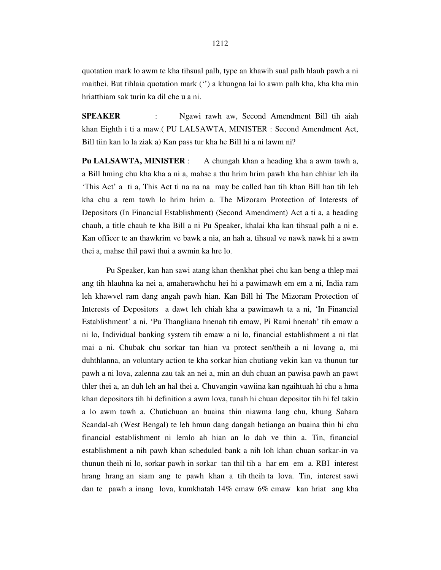quotation mark lo awm te kha tihsual palh, type an khawih sual palh hlauh pawh a ni maithei. But tihlaia quotation mark ('') a khungna lai lo awm palh kha, kha kha min hriatthiam sak turin ka dil che u a ni.

**SPEAKER** : Ngawi rawh aw, Second Amendment Bill tih aiah khan Eighth i ti a maw.( PU LALSAWTA, MINISTER : Second Amendment Act, Bill tiin kan lo la ziak a) Kan pass tur kha he Bill hi a ni lawm ni?

**Pu LALSAWTA, MINISTER** : A chungah khan a heading kha a awm tawh a, a Bill hming chu kha kha a ni a, mahse a thu hrim hrim pawh kha han chhiar leh ila 'This Act' a ti a, This Act ti na na na may be called han tih khan Bill han tih leh kha chu a rem tawh lo hrim hrim a. The Mizoram Protection of Interests of Depositors (In Financial Establishment) (Second Amendment) Act a ti a, a heading chauh, a title chauh te kha Bill a ni Pu Speaker, khalai kha kan tihsual palh a ni e. Kan officer te an thawkrim ve bawk a nia, an hah a, tihsual ve nawk nawk hi a awm thei a, mahse thil pawi thui a awmin ka hre lo.

 Pu Speaker, kan han sawi atang khan thenkhat phei chu kan beng a thlep mai ang tih hlauhna ka nei a, amaherawhchu hei hi a pawimawh em em a ni, India ram leh khawvel ram dang angah pawh hian. Kan Bill hi The Mizoram Protection of Interests of Depositors a dawt leh chiah kha a pawimawh ta a ni, 'In Financial Establishment' a ni. 'Pu Thangliana hnenah tih emaw, Pi Rami hnenah' tih emaw a ni lo, Individual banking system tih emaw a ni lo, financial establishment a ni tlat mai a ni. Chubak chu sorkar tan hian va protect sen/theih a ni lovang a, mi duhthlanna, an voluntary action te kha sorkar hian chutiang vekin kan va thunun tur pawh a ni lova, zalenna zau tak an nei a, min an duh chuan an pawisa pawh an pawt thler thei a, an duh leh an hal thei a. Chuvangin vawiina kan ngaihtuah hi chu a hma khan depositors tih hi definition a awm lova, tunah hi chuan depositor tih hi fel takin a lo awm tawh a. Chutichuan an buaina thin niawma lang chu, khung Sahara Scandal-ah (West Bengal) te leh hmun dang dangah hetianga an buaina thin hi chu financial establishment ni lemlo ah hian an lo dah ve thin a. Tin, financial establishment a nih pawh khan scheduled bank a nih loh khan chuan sorkar-in va thunun theih ni lo, sorkar pawh in sorkar tan thil tih a har em em a. RBI interest hrang hrang an siam ang te pawh khan a tih theih ta lova. Tin, interest sawi dan te pawh a inang lova, kumkhatah 14% emaw 6% emaw kan hriat ang kha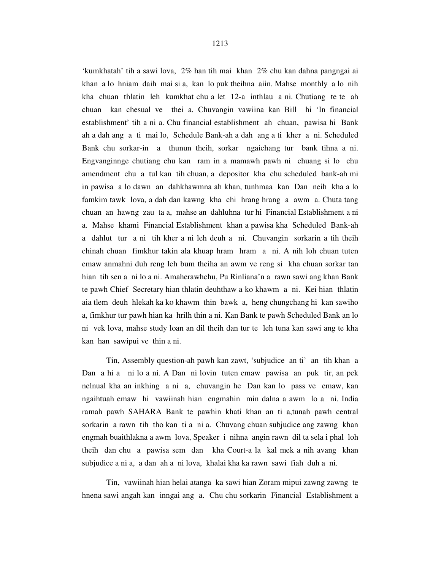'kumkhatah' tih a sawi lova, 2% han tih mai khan 2% chu kan dahna pangngai ai khan a lo hniam daih mai si a, kan lo puk theihna aiin. Mahse monthly a lo nih kha chuan thlatin leh kumkhat chu a let 12-a inthlau a ni. Chutiang te te ah chuan kan chesual ve thei a. Chuvangin vawiina kan Bill hi 'In financial establishment' tih a ni a. Chu financial establishment ah chuan, pawisa hi Bank ah a dah ang a ti mai lo, Schedule Bank-ah a dah ang a ti kher a ni. Scheduled Bank chu sorkar-in a thunun theih, sorkar ngaichang tur bank tihna a ni. Engvanginnge chutiang chu kan ram in a mamawh pawh ni chuang si lo chu amendment chu a tul kan tih chuan, a depositor kha chu scheduled bank-ah mi in pawisa a lo dawn an dahkhawmna ah khan, tunhmaa kan Dan neih kha a lo famkim tawk lova, a dah dan kawng kha chi hrang hrang a awm a. Chuta tang chuan an hawng zau ta a, mahse an dahluhna tur hi Financial Establishment a ni a. Mahse khami Financial Establishment khan a pawisa kha Scheduled Bank-ah a dahlut tur a ni tih kher a ni leh deuh a ni. Chuvangin sorkarin a tih theih chinah chuan fimkhur takin ala khuap hram hram a ni. A nih loh chuan tuten emaw anmahni duh reng leh bum theiha an awm ve reng si kha chuan sorkar tan hian tih sen a ni lo a ni. Amaherawhchu, Pu Rinliana'n a rawn sawi ang khan Bank te pawh Chief Secretary hian thlatin deuhthaw a ko khawm a ni. Kei hian thlatin aia tlem deuh hlekah ka ko khawm thin bawk a, heng chungchang hi kan sawiho a, fimkhur tur pawh hian ka hrilh thin a ni. Kan Bank te pawh Scheduled Bank an lo ni vek lova, mahse study loan an dil theih dan tur te leh tuna kan sawi ang te kha kan han sawipui ve thin a ni.

 Tin, Assembly question-ah pawh kan zawt, 'subjudice an ti' an tih khan a Dan a hi a ni lo a ni. A Dan ni lovin tuten emaw pawisa an puk tir, an pek nelnual kha an inkhing a ni a, chuvangin he Dan kan lo pass ve emaw, kan ngaihtuah emaw hi vawiinah hian engmahin min dalna a awm lo a ni. India ramah pawh SAHARA Bank te pawhin khati khan an ti a,tunah pawh central sorkarin a rawn tih tho kan ti a ni a. Chuvang chuan subjudice ang zawng khan engmah buaithlakna a awm lova, Speaker i nihna angin rawn dil ta sela i phal loh theih dan chu a pawisa sem dan kha Court-a la kal mek a nih avang khan subjudice a ni a, a dan ah a ni lova, khalai kha ka rawn sawi fiah duh a ni.

 Tin, vawiinah hian helai atanga ka sawi hian Zoram mipui zawng zawng te hnena sawi angah kan inngai ang a. Chu chu sorkarin Financial Establishment a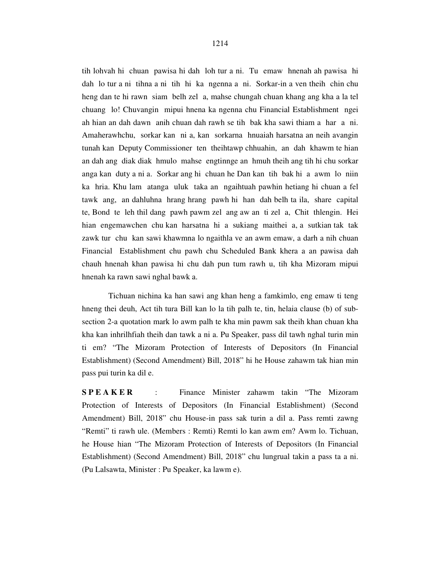tih lohvah hi chuan pawisa hi dah loh tur a ni. Tu emaw hnenah ah pawisa hi dah lo tur a ni tihna a ni tih hi ka ngenna a ni. Sorkar-in a ven theih chin chu heng dan te hi rawn siam belh zel a, mahse chungah chuan khang ang kha a la tel chuang lo! Chuvangin mipui hnena ka ngenna chu Financial Establishment ngei ah hian an dah dawn anih chuan dah rawh se tih bak kha sawi thiam a har a ni. Amaherawhchu, sorkar kan ni a, kan sorkarna hnuaiah harsatna an neih avangin tunah kan Deputy Commissioner ten theihtawp chhuahin, an dah khawm te hian an dah ang diak diak hmulo mahse engtinnge an hmuh theih ang tih hi chu sorkar anga kan duty a ni a. Sorkar ang hi chuan he Dan kan tih bak hi a awm lo niin ka hria. Khu lam atanga uluk taka an ngaihtuah pawhin hetiang hi chuan a fel tawk ang, an dahluhna hrang hrang pawh hi han dah belh ta ila, share capital te, Bond te leh thil dang pawh pawm zel ang aw an ti zel a, Chit thlengin. Hei hian engemawchen chu kan harsatna hi a sukiang maithei a, a sutkian tak tak zawk tur chu kan sawi khawmna lo ngaithla ve an awm emaw, a darh a nih chuan Financial Establishment chu pawh chu Scheduled Bank khera a an pawisa dah chauh hnenah khan pawisa hi chu dah pun tum rawh u, tih kha Mizoram mipui hnenah ka rawn sawi nghal bawk a.

 Tichuan nichina ka han sawi ang khan heng a famkimlo, eng emaw ti teng hneng thei deuh, Act tih tura Bill kan lo la tih palh te, tin, helaia clause (b) of subsection 2-a quotation mark lo awm palh te kha min pawm sak theih khan chuan kha kha kan inhrilhfiah theih dan tawk a ni a. Pu Speaker, pass dil tawh nghal turin min ti em? "The Mizoram Protection of Interests of Depositors (In Financial Establishment) (Second Amendment) Bill, 2018" hi he House zahawm tak hian min pass pui turin ka dil e.

**SPEAKER** : Finance Minister zahawm takin "The Mizoram" Protection of Interests of Depositors (In Financial Establishment) (Second Amendment) Bill, 2018" chu House-in pass sak turin a dil a. Pass remti zawng "Remti" ti rawh ule. (Members : Remti) Remti lo kan awm em? Awm lo. Tichuan, he House hian "The Mizoram Protection of Interests of Depositors (In Financial Establishment) (Second Amendment) Bill, 2018" chu lungrual takin a pass ta a ni. (Pu Lalsawta, Minister : Pu Speaker, ka lawm e).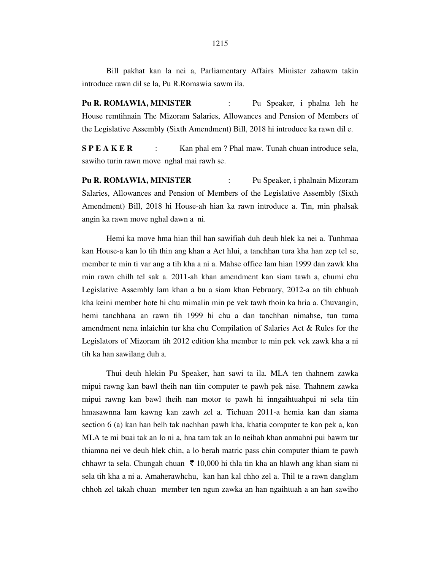Bill pakhat kan la nei a, Parliamentary Affairs Minister zahawm takin introduce rawn dil se la, Pu R.Romawia sawm ila.

**Pu R. ROMAWIA, MINISTER** : Pu Speaker, i phalna leh he House remtihnain The Mizoram Salaries, Allowances and Pension of Members of the Legislative Assembly (Sixth Amendment) Bill, 2018 hi introduce ka rawn dil e.

**S P E A K E R** : Kan phal em ? Phal maw. Tunah chuan introduce sela, sawiho turin rawn move nghal mai rawh se.

**Pu R. ROMAWIA, MINISTER** : Pu Speaker, i phalnain Mizoram Salaries, Allowances and Pension of Members of the Legislative Assembly (Sixth Amendment) Bill, 2018 hi House-ah hian ka rawn introduce a. Tin, min phalsak angin ka rawn move nghal dawn a ni.

 Hemi ka move hma hian thil han sawifiah duh deuh hlek ka nei a. Tunhmaa kan House-a kan lo tih thin ang khan a Act hlui, a tanchhan tura kha han zep tel se, member te min ti var ang a tih kha a ni a. Mahse office lam hian 1999 dan zawk kha min rawn chilh tel sak a. 2011-ah khan amendment kan siam tawh a, chumi chu Legislative Assembly lam khan a bu a siam khan February, 2012-a an tih chhuah kha keini member hote hi chu mimalin min pe vek tawh thoin ka hria a. Chuvangin, hemi tanchhana an rawn tih 1999 hi chu a dan tanchhan nimahse, tun tuma amendment nena inlaichin tur kha chu Compilation of Salaries Act & Rules for the Legislators of Mizoram tih 2012 edition kha member te min pek vek zawk kha a ni tih ka han sawilang duh a.

 Thui deuh hlekin Pu Speaker, han sawi ta ila. MLA ten thahnem zawka mipui rawng kan bawl theih nan tiin computer te pawh pek nise. Thahnem zawka mipui rawng kan bawl theih nan motor te pawh hi inngaihtuahpui ni sela tiin hmasawnna lam kawng kan zawh zel a. Tichuan 2011-a hemia kan dan siama section 6 (a) kan han belh tak nachhan pawh kha, khatia computer te kan pek a, kan MLA te mi buai tak an lo ni a, hna tam tak an lo neihah khan anmahni pui bawm tur thiamna nei ve deuh hlek chin, a lo berah matric pass chin computer thiam te pawh chhawr ta sela. Chungah chuan  $\bar{\tau}$  10,000 hi thla tin kha an hlawh ang khan siam ni sela tih kha a ni a. Amaherawhchu, kan han kal chho zel a. Thil te a rawn danglam chhoh zel takah chuan member ten ngun zawka an han ngaihtuah a an han sawiho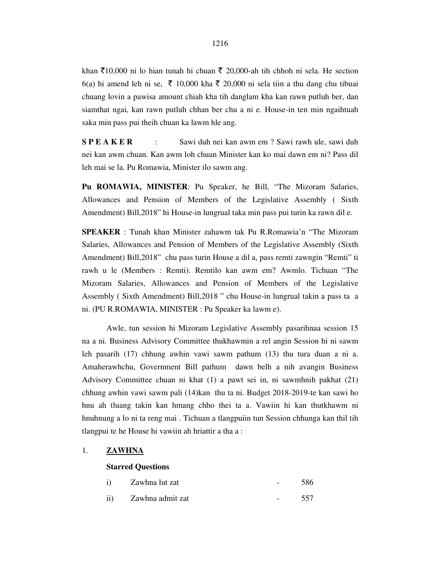khan  $\bar{\mathfrak{X}}$ 10,000 ni lo hian tunah hi chuan  $\bar{\mathfrak{X}}$  20,000-ah tih chhoh ni sela. He section 6(a) hi amend leh ni se,  $\bar{\tau}$  10,000 kha  $\bar{\tau}$  20,000 ni sela tiin a thu dang chu tibuai chuang lovin a pawisa amount chiah kha tih danglam kha kan rawn putluh ber, dan siamthat ngai, kan rawn putluh chhan ber chu a ni e. House-in ten min ngaihtuah saka min pass pui theih chuan ka lawm hle ang.

**S P E A K E R** : Sawi duh nei kan awm em ? Sawi rawh ule, sawi duh nei kan awm chuan. Kan awm loh chuan Minister kan ko mai dawn em ni? Pass dil leh mai se la. Pu Romawia, Minister ilo sawm ang.

**Pu ROMAWIA, MINISTER**: Pu Speaker, he Bill, "The Mizoram Salaries, Allowances and Pension of Members of the Legislative Assembly ( Sixth Amendment) Bill,2018" hi House-in lungrual taka min pass pui turin ka rawn dil e.

**SPEAKER** : Tunah khan Minister zahawm tak Pu R.Romawia'n "The Mizoram Salaries, Allowances and Pension of Members of the Legislative Assembly (Sixth Amendment) Bill,2018" chu pass turin House a dil a, pass remti zawngin "Remti" ti rawh u le (Members : Remti). Remtilo kan awm em? Awmlo. Tichuan "The Mizoram Salaries, Allowances and Pension of Members of the Legislative Assembly ( Sixth Amendment) Bill,2018 " chu House-in lungrual takin a pass ta a ni. (PU R.ROMAWIA, MINISTER : Pu Speaker ka lawm e).

 Awle, tun session hi Mizoram Legislative Assembly pasarihnaa session 15 na a ni. Business Advisory Committee thukhawmin a rel angin Session hi ni sawm leh pasarih (17) chhung awhin vawi sawm pathum (13) thu tura duan a ni a. Amaherawhchu, Government Bill pathum dawn belh a nih avangin Business Advisory Committee chuan ni khat (1) a pawt sei in, ni sawmhnih pakhat (21) chhung awhin vawi sawm pali (14)kan thu ta ni. Budget 2018-2019-te kan sawi ho hnu ah tluang takin kan hmang chho thei ta a. Vawiin hi kan thutkhawm ni hnuhnung a lo ni ta reng mai . Tichuan a tlangpuiin tun Session chhunga kan thil tih tlangpui te he House hi vawiin ah hriattir a tha a :

### 1. **ZAWHNA**

#### **Starred Questions**

|  | i) Zawhna lut zat | $\sim$ $\sim$ | 586 |
|--|-------------------|---------------|-----|
|  | Zawhna admit zat  | $\sim$ $\sim$ | 557 |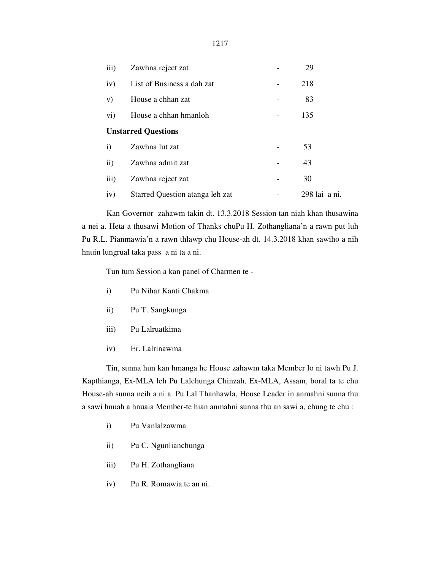| iii)                       | Zawhna reject zat               |  | 29            |
|----------------------------|---------------------------------|--|---------------|
| iv)                        | List of Business a dah zat      |  | 218           |
| V)                         | House a chhan zat               |  | 83            |
| $\mathbf{vi})$             | House a chhan hmanloh           |  | 135           |
| <b>Unstarred Questions</b> |                                 |  |               |
| $\mathbf{i}$               | Zawhna lut zat                  |  | 53            |
| $\mathbf{ii}$              | Zawhna admit zat                |  | 43            |
| iii)                       | Zawhna reject zat               |  | 30            |
| iv)                        | Starred Question atanga leh zat |  | 298 lai a ni. |

 Kan Governor zahawm takin dt. 13.3.2018 Session tan niah khan thusawina a nei a. Heta a thusawi Motion of Thanks chuPu H. Zothangliana'n a rawn put luh Pu R.L. Pianmawia'n a rawn thlawp chu House-ah dt. 14.3.2018 khan sawiho a nih hnuin lungrual taka pass a ni ta a ni.

Tun tum Session a kan panel of Charmen te -

- i) Pu Nihar Kanti Chakma
- ii) Pu T. Sangkunga
- iii) Pu Lalruatkima
- iv) Er. Lalrinawma

 Tin, sunna hun kan hmanga he House zahawm taka Member lo ni tawh Pu J. Kapthianga, Ex-MLA leh Pu Lalchunga Chinzah, Ex-MLA, Assam, boral ta te chu House-ah sunna neih a ni a. Pu Lal Thanhawla, House Leader in anmahni sunna thu a sawi hnuah a hnuaia Member-te hian anmahni sunna thu an sawi a, chung te chu :

- i) Pu Vanlalzawma
- ii) Pu C. Ngunlianchunga
- iii) Pu H. Zothangliana
- iv) Pu R. Romawia te an ni.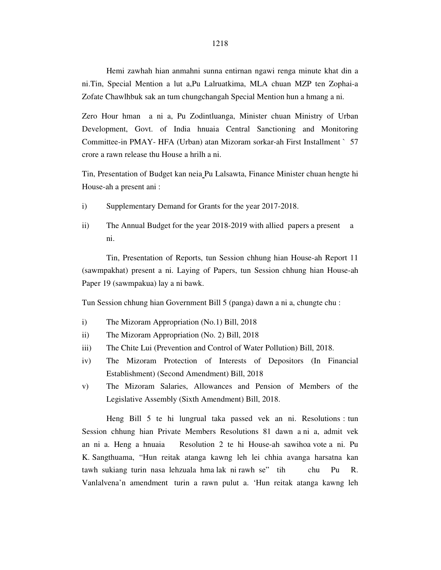Hemi zawhah hian anmahni sunna entirnan ngawi renga minute khat din a ni.Tin, Special Mention a lut a,Pu Lalruatkima, MLA chuan MZP ten Zophai-a Zofate Chawlhbuk sak an tum chungchangah Special Mention hun a hmang a ni.

Zero Hour hman a ni a, Pu Zodintluanga, Minister chuan Ministry of Urban Development, Govt. of India hnuaia Central Sanctioning and Monitoring Committee-in PMAY- HFA (Urban) atan Mizoram sorkar-ah First Installment ` 57 crore a rawn release thu House a hrilh a ni.

Tin, Presentation of Budget kan neia Pu Lalsawta, Finance Minister chuan hengte hi House-ah a present ani :

- i) Supplementary Demand for Grants for the year 2017-2018.
- ii) The Annual Budget for the year 2018-2019 with allied papers a present a ni.

 Tin, Presentation of Reports, tun Session chhung hian House-ah Report 11 (sawmpakhat) present a ni. Laying of Papers, tun Session chhung hian House-ah Paper 19 (sawmpakua) lay a ni bawk.

Tun Session chhung hian Government Bill 5 (panga) dawn a ni a, chungte chu :

- i) The Mizoram Appropriation (No.1) Bill, 2018
- ii) The Mizoram Appropriation (No. 2) Bill, 2018
- iii) The Chite Lui (Prevention and Control of Water Pollution) Bill, 2018.
- iv) The Mizoram Protection of Interests of Depositors (In Financial Establishment) (Second Amendment) Bill, 2018
- v) The Mizoram Salaries, Allowances and Pension of Members of the Legislative Assembly (Sixth Amendment) Bill, 2018.

 Heng Bill 5 te hi lungrual taka passed vek an ni. Resolutions : tun Session chhung hian Private Members Resolutions 81 dawn a ni a, admit vek an ni a. Heng a hnuaia Resolution 2 te hi House-ah sawihoa vote a ni. Pu K. Sangthuama, "Hun reitak atanga kawng leh lei chhia avanga harsatna kan tawh sukiang turin nasa lehzuala hma lak ni rawh se" tih chu Pu R. Vanlalvena'n amendment turin a rawn pulut a. 'Hun reitak atanga kawng leh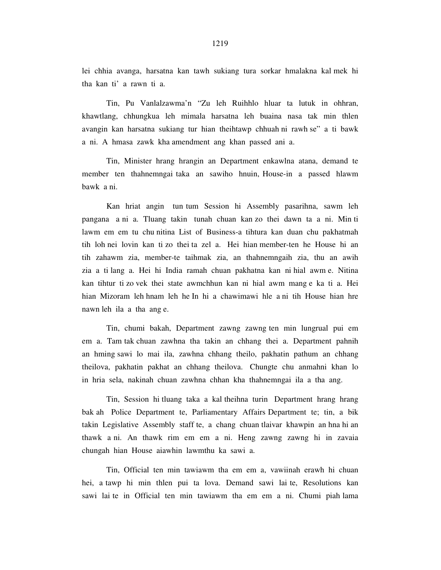lei chhia avanga, harsatna kan tawh sukiang tura sorkar hmalakna kal mek hi tha kan ti' a rawn ti a.

 Tin, Pu Vanlalzawma'n "Zu leh Ruihhlo hluar ta lutuk in ohhran, khawtlang, chhungkua leh mimala harsatna leh buaina nasa tak min thlen avangin kan harsatna sukiang tur hian theihtawp chhuah ni rawh se" a ti bawk a ni. A hmasa zawk kha amendment ang khan passed ani a.

 Tin, Minister hrang hrangin an Department enkawlna atana, demand te member ten thahnemngai taka an sawiho hnuin, House-in a passed hlawm bawk a ni.

 Kan hriat angin tun tum Session hi Assembly pasarihna, sawm leh pangana a ni a. Tluang takin tunah chuan kan zo thei dawn ta a ni. Min ti lawm em em tu chu nitina List of Business-a tihtura kan duan chu pakhatmah tih loh nei lovin kan ti zo thei ta zel a. Hei hian member-ten he House hi an tih zahawm zia, member-te taihmak zia, an thahnemngaih zia, thu an awih zia a ti lang a. Hei hi India ramah chuan pakhatna kan ni hial awm e. Nitina kan tihtur ti zo vek thei state awmchhun kan ni hial awm mang e ka ti a. Hei hian Mizoram leh hnam leh he In hi a chawimawi hle a ni tih House hian hre nawn leh ila a tha ang e.

 Tin, chumi bakah, Department zawng zawng ten min lungrual pui em em a. Tam tak chuan zawhna tha takin an chhang thei a. Department pahnih an hming sawi lo mai ila, zawhna chhang theilo, pakhatin pathum an chhang theilova, pakhatin pakhat an chhang theilova. Chungte chu anmahni khan lo in hria sela, nakinah chuan zawhna chhan kha thahnemngai ila a tha ang.

 Tin, Session hi tluang taka a kal theihna turin Department hrang hrang bak ah Police Department te, Parliamentary Affairs Department te; tin, a bik takin Legislative Assembly staff te, a chang chuan tlaivar khawpin an hna hi an thawk a ni. An thawk rim em em a ni. Heng zawng zawng hi in zavaia chungah hian House aiawhin lawmthu ka sawi a.

 Tin, Official ten min tawiawm tha em em a, vawiinah erawh hi chuan hei, a tawp hi min thlen pui ta lova. Demand sawi lai te, Resolutions kan sawi lai te in Official ten min tawiawm tha em em a ni. Chumi piah lama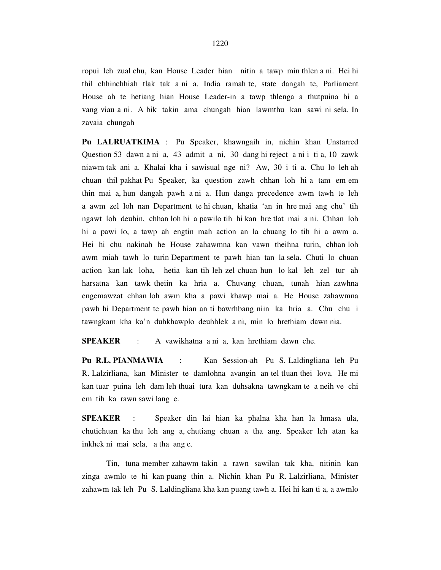ropui leh zual chu, kan House Leader hian nitin a tawp min thlen a ni. Hei hi thil chhinchhiah tlak tak a ni a. India ramah te, state dangah te, Parliament House ah te hetiang hian House Leader-in a tawp thlenga a thutpuina hi a vang viau a ni. A bik takin ama chungah hian lawmthu kan sawi ni sela. In zavaia chungah

**Pu LALRUATKIMA** : Pu Speaker, khawngaih in, nichin khan Unstarred Question 53 dawn a ni a, 43 admit a ni, 30 dang hi reject a ni i ti a, 10 zawk niawm tak ani a. Khalai kha i sawisual nge ni? Aw, 30 i ti a. Chu lo leh ah chuan thil pakhat Pu Speaker, ka question zawh chhan loh hi a tam em em thin mai a, hun dangah pawh a ni a. Hun danga precedence awm tawh te leh a awm zel loh nan Department te hi chuan, khatia 'an in hre mai ang chu' tih ngawt loh deuhin, chhan loh hi a pawilo tih hi kan hre tlat mai a ni. Chhan loh hi a pawi lo, a tawp ah engtin mah action an la chuang lo tih hi a awm a. Hei hi chu nakinah he House zahawmna kan vawn theihna turin, chhan loh awm miah tawh lo turin Department te pawh hian tan la sela. Chuti lo chuan action kan lak loha, hetia kan tih leh zel chuan hun lo kal leh zel tur ah harsatna kan tawk theiin ka hria a. Chuvang chuan, tunah hian zawhna engemawzat chhan loh awm kha a pawi khawp mai a. He House zahawmna pawh hi Department te pawh hian an ti bawrhbang niin ka hria a. Chu chu i tawngkam kha ka'n duhkhawplo deuhhlek a ni, min lo hrethiam dawn nia.

**SPEAKER** : A vawikhatna a ni a, kan hrethiam dawn che.

**Pu R.L. PIANMAWIA** : Kan Session-ah Pu S. Laldingliana leh Pu R. Lalzirliana, kan Minister te damlohna avangin an tel tluan thei lova. He mi kan tuar puina leh dam leh thuai tura kan duhsakna tawngkam te a neih ve chi em tih ka rawn sawi lang e.

**SPEAKER** : Speaker din lai hian ka phalna kha han la hmasa ula, chutichuan ka thu leh ang a, chutiang chuan a tha ang. Speaker leh atan ka inkhek ni mai sela, a tha ang e.

 Tin, tuna member zahawm takin a rawn sawilan tak kha, nitinin kan zinga awmlo te hi kan puang thin a. Nichin khan Pu R. Lalzirliana, Minister zahawm tak leh Pu S. Laldingliana kha kan puang tawh a. Hei hi kan ti a, a awmlo